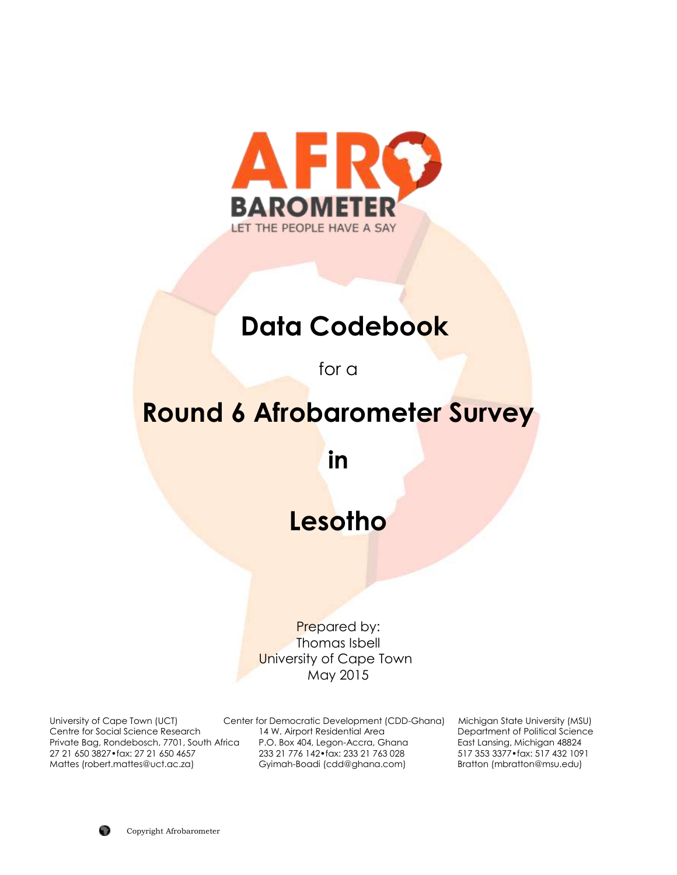

# **Data Codebook**

for a

# **Round 6 Afrobarometer Survey**

**in**

# **Lesotho**

Prepared by: Thomas Isbell University of Cape Town May 2015

University of Cape Town (UCT) Center for Democratic Development (CDD-Ghana) Michigan State University (MSU) Centre for Social Science Research 14 W. Airport Residential Area Department of Political Science Private Bag, Rondebosch, 7701, South Africa P.O. Box 404, Legon-Accra, Ghana East Lansing, Michigan 48824<br>27 21 650 3827•fax: 27 21 650 4657 233 21 776 142•fax: 233 21 763 028 517 353 3377•fax: 517 432 1091 27 21 650 3827•fax: 27 21 650 4657 233 21 776 142•fax: 233 21 763 028 517 353 3377•fax: 517 432 1091 Gyimah-Boadi (cdd@ghana.com)

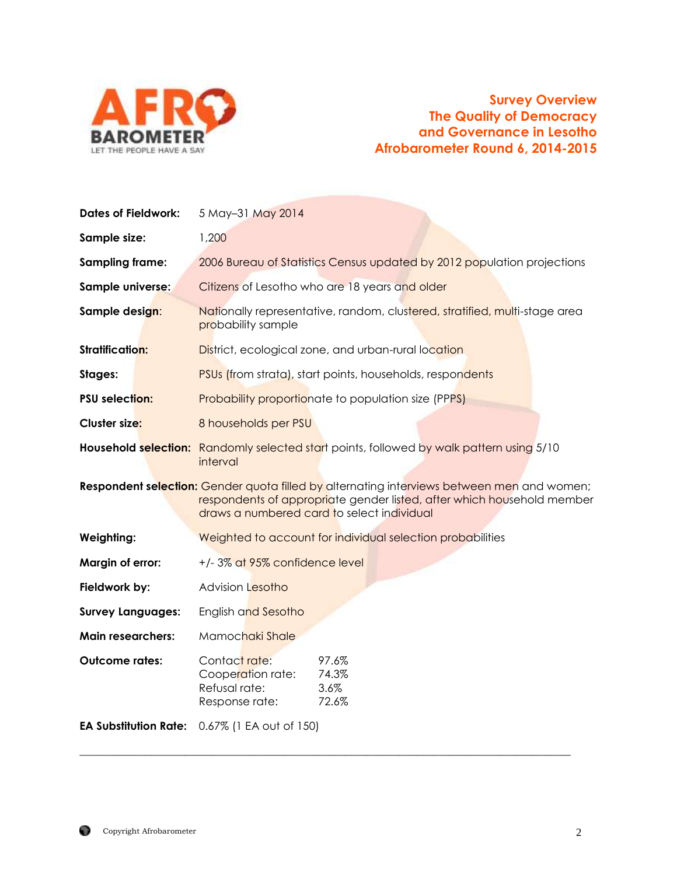

# **Survey Overview The Quality of Democracy and Governance in Lesotho Afrobarometer Round 6, 2014-2015**

| <b>Dates of Fieldwork:</b>   | 5 May-31 May 2014                                                                                                                                                                                                  |  |  |
|------------------------------|--------------------------------------------------------------------------------------------------------------------------------------------------------------------------------------------------------------------|--|--|
| Sample size:                 | 1,200                                                                                                                                                                                                              |  |  |
| Sampling frame:              | 2006 Bureau of Statistics Census updated by 2012 population projections                                                                                                                                            |  |  |
| Sample universe:             | Citizens of Lesotho who are 18 years and older                                                                                                                                                                     |  |  |
| Sample design:               | Nationally representative, random, clustered, stratified, multi-stage area<br>probability sample                                                                                                                   |  |  |
| <b>Stratification:</b>       | District, ecological zone, and urban-rural location                                                                                                                                                                |  |  |
| Stages:                      | PSUs (from strata), start points, households, respondents                                                                                                                                                          |  |  |
| <b>PSU selection:</b>        | <b>Probability proportionate to population size (PPPS)</b>                                                                                                                                                         |  |  |
| Cluster size:                | 8 households per PSU                                                                                                                                                                                               |  |  |
|                              | Household selection: Randomly selected start points, followed by walk pattern using 5/10<br>interval                                                                                                               |  |  |
|                              | Respondent selection: Gender quota filled by alternating interviews between men and women;<br>respondents of appropriate gender listed, after which household member<br>draws a numbered card to select individual |  |  |
| <b>Weighting:</b>            | Weighted to account for individual selection probabilities                                                                                                                                                         |  |  |
| Margin of error:             | +/-3% at 95% confidence level                                                                                                                                                                                      |  |  |
| Fieldwork by:                | <b>Advision Lesotho</b>                                                                                                                                                                                            |  |  |
| <b>Survey Languages:</b>     | English and Sesotho                                                                                                                                                                                                |  |  |
| <b>Main researchers:</b>     | Mamochaki Shale                                                                                                                                                                                                    |  |  |
| <b>Outcome rates:</b>        | Contact rate:<br>97.6%<br>74.3%<br>Cooperation rate:<br>Refusal rate:<br>3.6%<br>72.6%<br>Response rate:                                                                                                           |  |  |
| <b>EA Substitution Rate:</b> | 0.67% (1 EA out of 150)                                                                                                                                                                                            |  |  |

\_\_\_\_\_\_\_\_\_\_\_\_\_\_\_\_\_\_\_\_\_\_\_\_\_\_\_\_\_\_\_\_\_\_\_\_\_\_\_\_\_\_\_\_\_\_\_\_\_\_\_\_\_\_\_\_\_\_\_\_\_\_\_\_\_\_\_\_\_\_\_\_\_\_\_\_\_\_\_\_\_\_\_\_\_\_\_\_\_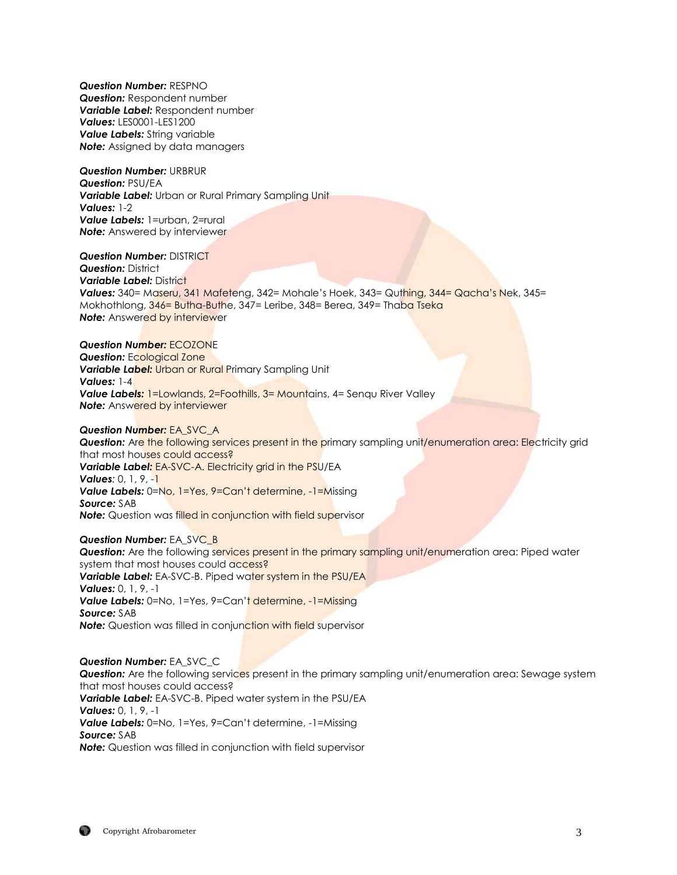*Question Number:* RESPNO *Question:* Respondent number *Variable Label:* Respondent number *Values:* LES0001-LES1200 *Value Labels:* String variable **Note:** Assigned by data managers

*Question Number:* URBRUR *Question:* PSU/EA *Variable Label:* Urban or Rural Primary Sampling Unit *Values:* 1-2 *Value Labels:* 1=urban, 2=rural **Note:** Answered by interviewer

*Question Number:* DISTRICT

*Question:* District *Variable Label:* District Values: 340= Maseru, 341 Mafeteng, 342= Mohale's Hoek, 343= Quthing, 344= Qacha's Nek, 345= Mokhothlong, 346= Butha-Buthe, 347= Leribe, 348= Berea, 349= Thaba Tseka **Note:** Answered by interviewer

#### *Question Number:* ECOZONE

**Question: Ecological Zone** *Variable Label:* Urban or Rural Primary Sampling Unit *Values:* 1-4 **Value Labels:** 1=Lowlands, 2=Foothills, 3= Mountains, 4= Senqu River Valley **Note:** Answered by interviewer

#### *Question Number:* EA\_SVC\_A

**Question:** Are the following services present in the primary sampling unit/enumeration area: Electricity grid that most houses could access? *Variable Label:* EA-SVC-A. Electricity grid in the PSU/EA *Values:* 0, 1, 9, -1 *Value Labels:* 0=No, 1=Yes, 9=Can't determine, -1=Missing *Source:* SAB **Note:** Question was filled in conjunction with field supervisor

#### **Question Number: EA\_SVC\_B**

**Question:** Are the following services present in the primary sampling unit/enumeration area: Piped water system that most houses could access? **Variable Label:** EA-SVC-B. Piped water system in the PSU/EA *Values:* 0, 1, 9, -1 Value Labels: 0=No, 1=Yes, 9=Can't determine, -1=Missing *Source:* SAB **Note:** Question was filled in conjunction with field supervisor

*Question Number:* EA\_SVC\_C *Question:* Are the following services present in the primary sampling unit/enumeration area: Sewage system that most houses could access? *Variable Label:* EA-SVC-B. Piped water system in the PSU/EA *Values:* 0, 1, 9, -1 *Value Labels:* 0=No, 1=Yes, 9=Can't determine, -1=Missing *Source:* SAB *Note:* Question was filled in conjunction with field supervisor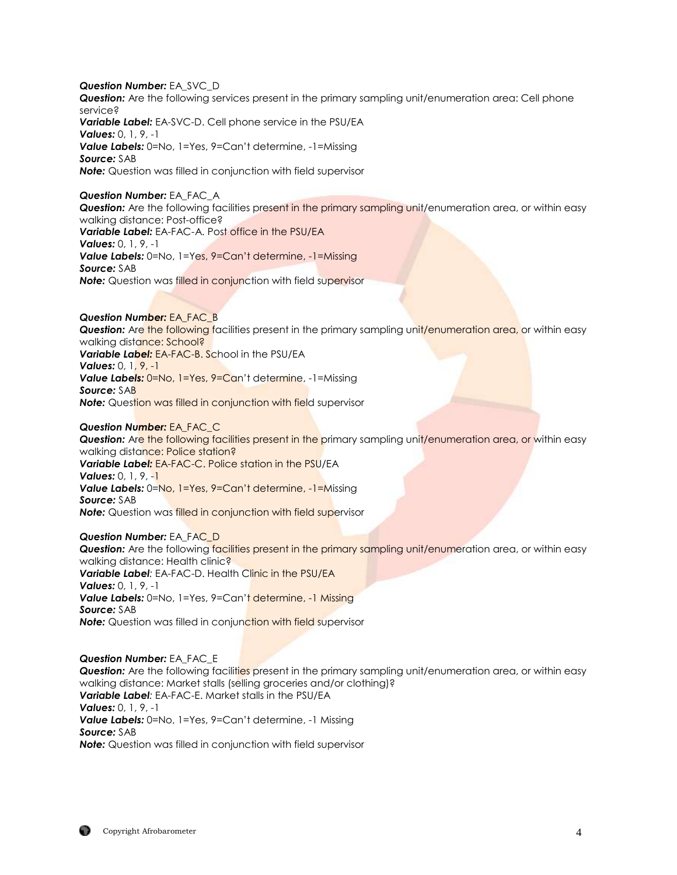*Question Number:* EA\_SVC\_D *Question:* Are the following services present in the primary sampling unit/enumeration area: Cell phone service? *Variable Label:* EA-SVC-D. Cell phone service in the PSU/EA *Values:* 0, 1, 9, -1 *Value Labels:* 0=No, 1=Yes, 9=Can't determine, -1=Missing *Source:* SAB *Note:* Question was filled in conjunction with field supervisor *Question Number:* EA\_FAC\_A

*Question:* Are the following facilities present in the primary sampling unit/enumeration area, or within easy walking distance: Post-office? *Variable Label:* EA-FAC-A. Post office in the PSU/EA *Values:* 0, 1, 9, -1 *Value Labels:* 0=No, 1=Yes, 9=Can't determine, -1=Missing *Source:* SAB **Note:** Question was filled in conjunction with field supervisor

## *Question Number:* EA\_FAC\_B

**Question:** Are the following facilities present in the primary sampling unit/enumeration area, or within easy walking distance: School? *Variable Label:* EA-FAC-B. School in the PSU/EA *Values:* 0, 1, 9, -1 **Value Labels:** 0=No, 1=Yes, 9=Can't determine, -1=Missing *Source:* SAB **Note:** Question was filled in conjunction with field supervisor

## *Question Number:* EA\_FAC\_C

*Question:* Are the following facilities present in the primary sampling unit/enumeration area, or within easy walking distance: Police station? *Variable Label:* EA-FAC-C. Police station in the PSU/EA *Values:* 0, 1, 9, -1 **Value Labels:** 0=No, 1=Yes, 9=Can't determine, -1=Missing *Source:* SAB **Note:** Question was filled in conjunction with field supervisor

#### *Question Number:* EA\_FAC\_D

**Question:** Are the following facilities present in the primary sampling unit/enumeration area, or within easy walking distance: Health clinic? *Variable Label:* EA-FAC-D. Health Clinic in the PSU/EA *Values:* 0, 1, 9, -1 **Value Labels:** 0=No, 1=Yes, 9=Can't determine, -1 Missing *Source:* SAB **Note:** Question was filled in conjunction with field supervisor

## *Question Number:* EA\_FAC\_E

*Question:* Are the following facilities present in the primary sampling unit/enumeration area, or within easy walking distance: Market stalls (selling groceries and/or clothing)? *Variable Label:* EA-FAC-E. Market stalls in the PSU/EA *Values:* 0, 1, 9, -1 *Value Labels:* 0=No, 1=Yes, 9=Can't determine, -1 Missing *Source:* SAB *Note:* Question was filled in conjunction with field supervisor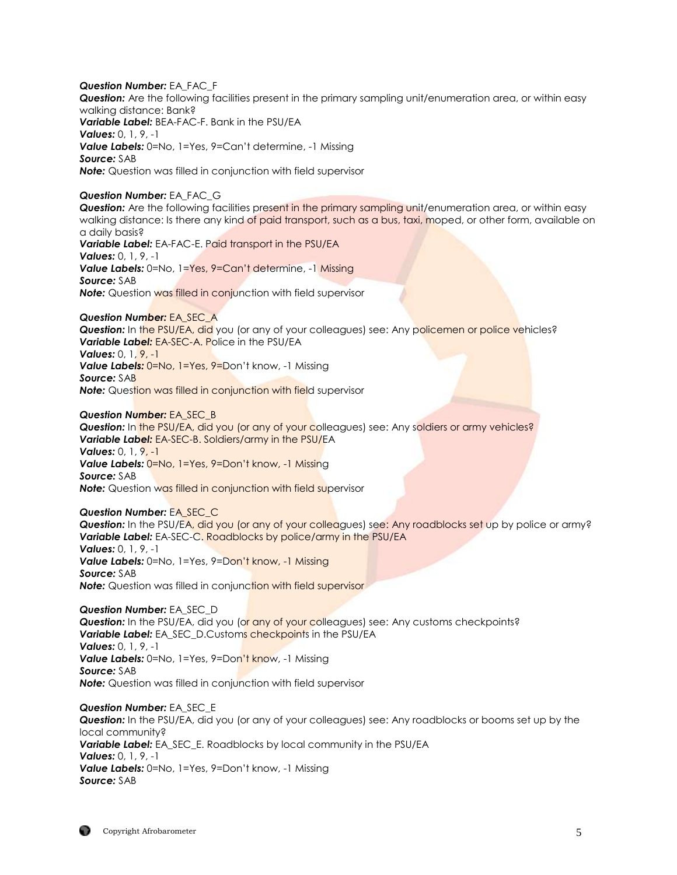*Question Number:* EA\_FAC\_F *Question:* Are the following facilities present in the primary sampling unit/enumeration area, or within easy walking distance: Bank? *Variable Label:* BEA-FAC-F. Bank in the PSU/EA *Values:* 0, 1, 9, -1 *Value Labels:* 0=No, 1=Yes, 9=Can't determine, -1 Missing *Source:* SAB *Note:* Question was filled in conjunction with field supervisor

## *Question Number:* EA\_FAC\_G

**Question:** Are the following facilities present in the primary sampling unit/enumeration area, or within easy walking distance: Is there any kind of paid transport, such as a bus, taxi, moped, or other form, available on a daily basis?

*Variable Label:* EA-FAC-E. Paid transport in the PSU/EA *Values:* 0, 1, 9, -1 **Value Labels:** 0=No, 1=Yes, 9=Can't determine, -1 Missing *Source:* SAB **Note:** Question was filled in conjunction with field supervisor

## *Question Number:* EA\_SEC\_A

**Question:** In the PSU/EA, did you (or any of your colleagues) see: Any policemen or police vehicles? *Variable Label:* EA-SEC-A. Police in the PSU/EA *Values:* 0, 1, 9, -1

Value Labels: 0=No, 1=Yes, 9=Don't know, -1 Missing *Source:* SAB

**Note:** Question was filled in conjunction with field supervisor

## *Question Number:* EA\_SEC\_B

**Question:** In the PSU/EA, did you (or any of your colleagues) see: Any soldiers or army vehicles? *Variable Label:* EA-SEC-B. Soldiers/army in the PSU/EA *Values:* 0, 1, 9, -1 *Value Labels:* 0=No, 1=Yes, 9=Don't know, -1 Missing *Source:* SAB **Note:** Question was filled in conjunction with field supervisor

## *Question Number:* EA\_SEC\_C

**Question:** In the PSU/EA, did you (or any of your colleagues) see: Any roadblocks set up by police or army? *Variable Label:* EA-SEC-C. Roadblocks by police/army in the PSU/EA *Values:* 0, 1, 9, -1 Value Labels: 0=No, 1=Yes, 9=Don't know, -1 Missing *Source:* SAB

**Note:** Question was filled in conjunction with field supervisor

*Question Number:* EA\_SEC\_D **Question:** In the PSU/EA, did you (or any of your colleagues) see: Any customs checkpoints? *Variable Label:* EA\_SEC\_D.Customs checkpoints in the PSU/EA *Values:* 0, 1, 9, -1 **Value Labels:** 0=No, 1=Yes, 9=Don't know, -1 Missing *Source:* SAB *Note:* Question was filled in conjunction with field supervisor

*Question Number:* EA\_SEC\_E *Question:* In the PSU/EA, did you (or any of your colleagues) see: Any roadblocks or booms set up by the local community? *Variable Label:* EA\_SEC\_E. Roadblocks by local community in the PSU/EA *Values:* 0, 1, 9, -1 *Value Labels:* 0=No, 1=Yes, 9=Don't know, -1 Missing *Source:* SAB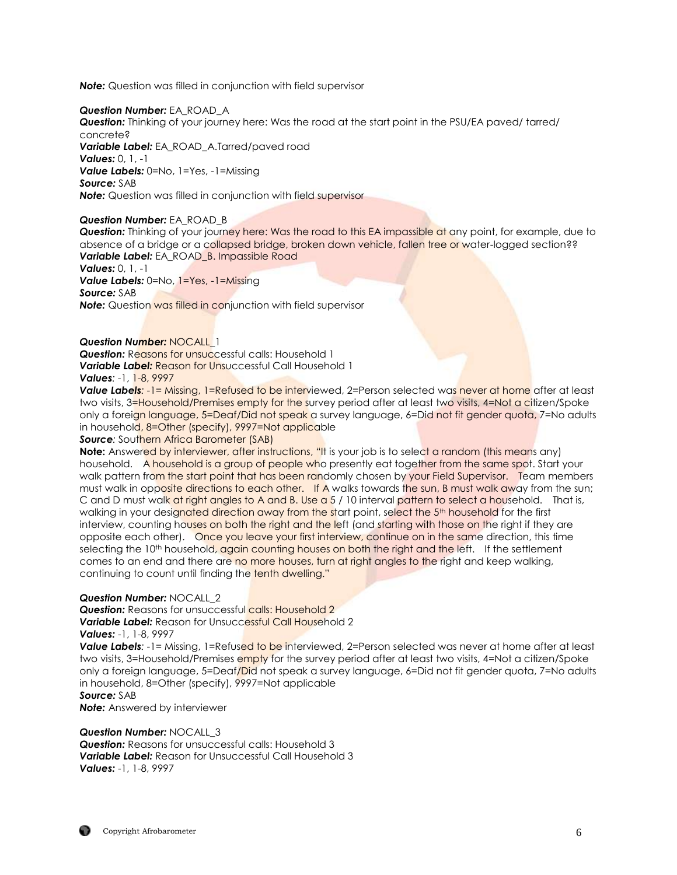*Note:* Question was filled in conjunction with field supervisor

## *Question Number:* EA\_ROAD\_A

*Question:* Thinking of your journey here: Was the road at the start point in the PSU/EA paved/ tarred/ concrete?

*Variable Label:* EA\_ROAD\_A.Tarred/paved road

*Values:* 0, 1, -1

*Value Labels:* 0=No, 1=Yes, -1=Missing

*Source:* SAB

*Note:* Question was filled in conjunction with field supervisor

## *Question Number:* EA\_ROAD\_B

*Question:* Thinking of your journey here: Was the road to this EA impassible at any point, for example, due to absence of a bridge or a collapsed bridge, broken down vehicle, fallen tree or water-logged section?? **Variable Label:** EA\_ROAD\_B. Impassible Road

*Values:* 0, 1, -1

*Value Labels:* 0=No, 1=Yes, -1=Missing *Source:* SAB

**Note:** Question was filled in conjunction with field supervisor

## *Question Number:* NOCALL\_1

**Question:** Reasons for unsuccessful calls: Household 1 *Variable Label:* Reason for Unsuccessful Call Household 1 *Values:* -1, 1-8, 9997

**Value Labels:**  $-1$ = Missing, 1=Refused to be interviewed, 2=Person selected was never at home after at least two visits, 3=Household/Premises empty for the survey period after at least two visits, 4=Not a citizen/Spoke only a foreign language, 5=Deaf/Did not speak a survey language, 6=Did not fit gender quota, 7=No adults in household, 8=Other (specify), 9997=Not applicable

**Source:** Southern Africa Barometer (SAB)

**Note:** Answered by interviewer, after instructions, "It is your job is to select a random (this means any) household. A household is a group of people who presently eat together from the same spot. Start your walk pattern from the start point that has been randomly chosen by your Field Supervisor. Team members must walk in opposite directions to each other. If A walks towards the sun, B must walk away from the sun; C and D must walk at right angles to A and B. Use a 5 / 10 interval pattern to select a household. That is, walking in your designated direction away from the start point, select the 5<sup>th</sup> household for the first interview, counting houses on both the right and the left (and starting with those on the right if they are opposite each other). Once you leave your first interview, continue on in the same direction, this time selecting the 10<sup>th</sup> household, again counting houses on both the right and the left. If the settlement comes to an end and there are no more houses, turn at right angles to the right and keep walking, continuing to count until finding the tenth dwelling."

## *Question Number:* NOCALL\_2

**Question:** Reasons for unsuccessful calls: Household 2 *Variable Label:* Reason for Unsuccessful Call Household 2 *Values:* -1, 1-8, 9997

*Value Labels*:  $-1$ = Missing, 1=Refused to be interviewed, 2=Person selected was never at home after at least two visits, 3=Household/Premises empty for the survey period after at least two visits, 4=Not a citizen/Spoke only a foreign language, 5=Deaf/Did not speak a survey language, 6=Did not fit gender quota, 7=No adults in household, 8=Other (specify), 9997=Not applicable

*Source:* SAB

*Note:* Answered by interviewer

## *Question Number:* NOCALL\_3

**Question:** Reasons for unsuccessful calls: Household 3 *Variable Label:* Reason for Unsuccessful Call Household 3 *Values:* -1, 1-8, 9997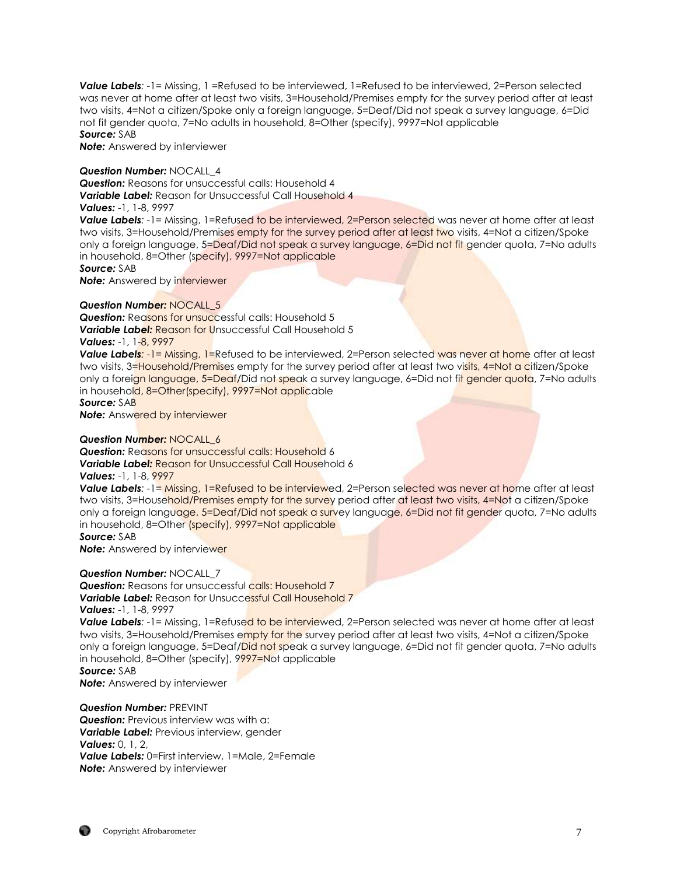*Value Labels:* -1= Missing, 1 =Refused to be interviewed, 1=Refused to be interviewed, 2=Person selected was never at home after at least two visits, 3=Household/Premises empty for the survey period after at least two visits, 4=Not a citizen/Spoke only a foreign language, 5=Deaf/Did not speak a survey language, 6=Did not fit gender quota, 7=No adults in household, 8=Other (specify), 9997=Not applicable *Source:* SAB

*Note:* Answered by interviewer

#### *Question Number:* NOCALL\_4

*Question:* Reasons for unsuccessful calls: Household 4 *Variable Label:* Reason for Unsuccessful Call Household 4

## *Values:* -1, 1-8, 9997

*Value Labels*:  $-1$ = Missing, 1=Refused to be interviewed, 2=Person selected was never at home after at least two visits, 3=Household/Premises empty for the survey period after at least two visits, 4=Not a citizen/Spoke only a foreign language, 5=Deaf/Did not speak a survey language, 6=Did not fit gender quota, 7=No adults in household, 8=Other (specify), 9997=Not applicable

*Source:* SAB

**Note:** Answered by interviewer

#### *Question Number:* NOCALL\_5

**Question:** Reasons for unsuccessful calls: Household 5 **Variable Label: Reason for Unsuccessful Call Household 5** *Values:* -1, 1-8, 9997

*Value Labels*: -1= Missing, 1=Refused to be interviewed, 2=Person selected was never at home after at least two visits, 3=Household/Premises empty for the survey period after at least two visits, 4=Not a citizen/Spoke only a foreign language, 5=Deaf/Did not speak a survey language, 6=Did not fit gender quota, 7=No adults in household, 8=Other(specify), 9997=Not applicable

*Source:* SAB **Note:** Answered by interviewer

## *Question Number:* NOCALL\_6

**Question:** Reasons for unsuccessful calls: Household 6 **Variable Label: Reason for Unsuccessful Call Household 6** 

## *Values:* -1, 1-8, 9997

*Value Labels*: -1= Missing, 1=Refused to be interviewed, 2=Person selected was never at home after at least two visits, 3=Household/Premises empty for the survey period after at least two visits, 4=Not a citizen/Spoke only a foreign language, 5=Deaf/Did not speak a survey language, 6=Did not fit gender quota, 7=No adults in household, 8=Other (specify), 9997=Not applicable

*Source:* SAB

**Note:** Answered by interviewer

#### *Question Number:* NOCALL\_7

**Question:** Reasons for unsuccessful calls: Household 7 **Variable Label:** Reason for Unsuccessful Call Household 7 *Values:* -1, 1-8, 9997

*Value Labels*; -1= Missing, 1=Refused to be interviewed, 2=Person selected was never at home after at least two visits, 3=Household/Premises empty for the survey period after at least two visits, 4=Not a citizen/Spoke only a foreign language, 5=Deaf/Did not speak a survey language, 6=Did not fit gender quota, 7=No adults in household,  $8=O$ ther (specify),  $9997=$ Not applicable *Source:* SAB

*Note:* Answered by interviewer

#### *Question Number:* PREVINT

**Question:** Previous interview was with a: *Variable Label:* Previous interview, gender *Values:* 0, 1, 2, *Value Labels:* 0=First interview, 1=Male, 2=Female **Note:** Answered by interviewer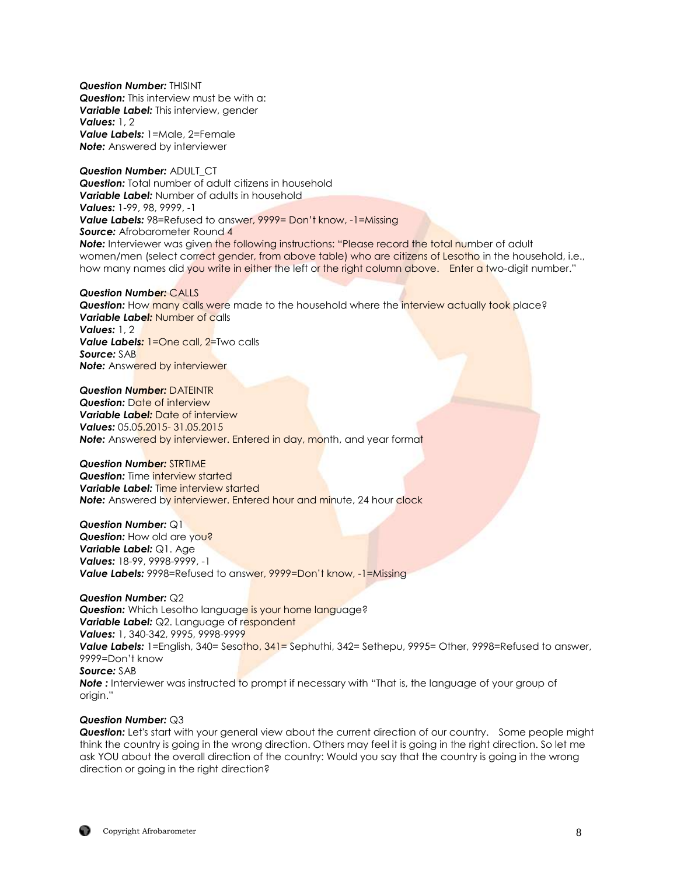*Question Number:* THISINT *Question:* This interview must be with a: *Variable Label:* This interview, gender *Values:* 1, 2 *Value Labels:* 1=Male, 2=Female *Note:* Answered by interviewer

*Question Number:* ADULT\_CT **Question:** Total number of adult citizens in household **Variable Label:** Number of adults in household *Values:* 1-99, 98, 9999, -1 *Value Labels:* 98=Refused to answer, 9999= Don't know, -1=Missing **Source:** Afrobarometer Round 4 **Note:** Interviewer was given the following instructions: "Please record the total number of adult women/men (select correct gender, from above table) who are citizens of Lesotho in the household, i.e., how many names did you write in either the left or the right column above. Enter a two-digit number."

#### *Question Number:* CALLS **Question:** How many calls were made to the household where the interview actually took place? *Variable Label:* Number of calls *Values:* 1, 2 *Value Labels:* 1=One call, 2=Two calls *Source:* SAB **Note:** Answered by interviewer

#### *Question Number:* DATEINTR

*Question:* Date of interview *Variable Label:* Date of interview *Values:* 05.05.2015- 31.05.2015 **Note:** Answered by interviewer. Entered in day, month, and year format

#### *Question Number:* STRTIME

*Question:* Time interview started *Variable Label:* Time interview started **Note:** Answered by interviewer. Entered hour and minute, 24 hour clock

*Question Number:* Q1 **Question:** How old are you? *Variable Label:* Q1. Age *Values:* 18-99, 9998-9999, -1 *Value Labels:* 9998=Refused to answer, 9999=Don't know, -1=Missing

#### *Question Number:* Q2

**Question:** Which Lesotho language is your home language? *Variable Label:* Q2. Language of respondent *Values:* 1, 340-342, 9995, 9998-9999 *Value Labels:* 1=English, 340= Sesotho, 341= Sephuthi, 342= Sethepu, 9995= Other, 9998=Refused to answer, 9999=Don't know *Source:* SAB **Note** : Interviewer was instructed to prompt if necessary with "That is, the language of your group of origin."

#### *Question Number:* Q3

*Question:* Let's start with your general view about the current direction of our country. Some people might think the country is going in the wrong direction. Others may feel it is going in the right direction. So let me ask YOU about the overall direction of the country: Would you say that the country is going in the wrong direction or going in the right direction?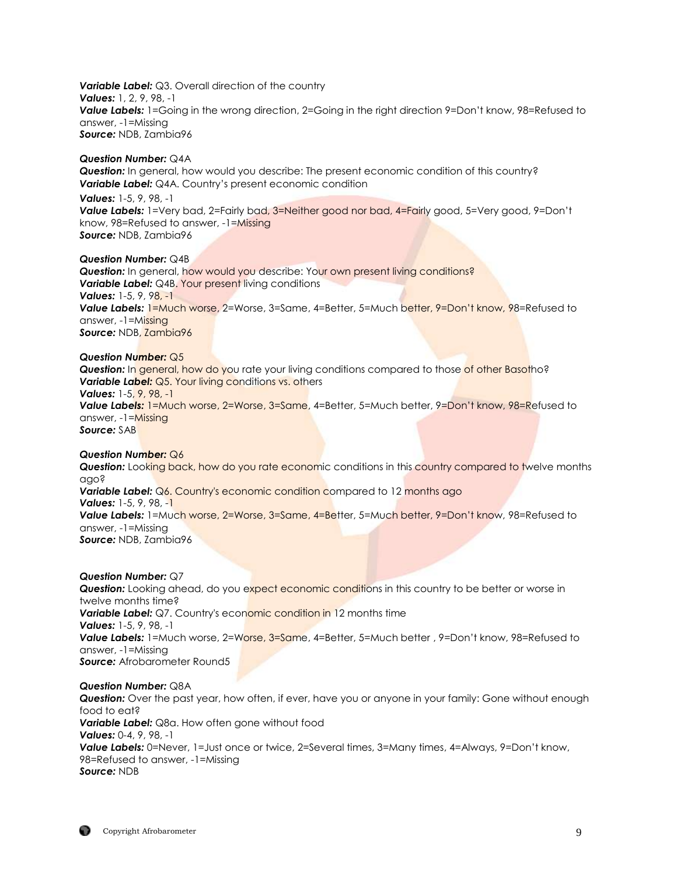*Variable Label:* Q3. Overall direction of the country *Values:* 1, 2, 9, 98, -1 **Value Labels:** 1=Going in the wrong direction, 2=Going in the right direction 9=Don't know, 98=Refused to answer, -1=Missing *Source:* NDB, Zambia96

#### *Question Number:* Q4A

**Question:** In general, how would you describe: The present economic condition of this country? *Variable Label:* Q4A. Country's present economic condition

*Values:* 1-5, 9, 98, -1 **Value Labels:** 1=Very bad, 2=Fairly bad, 3=Neither good nor bad, 4=Fairly good, 5=Very good, 9=Don't know, 98=Refused to answer, -1=Missing *Source:* NDB, Zambia96

#### *Question Number:* Q4B

**Question:** In general, how would you describe: Your own present living conditions? **Variable Label:** Q4B. Your present living conditions *Values:* 1-5, 9, 98, -1 Value Labels: 1=Much worse, 2=Worse, 3=Same, 4=Better, 5=Much better, 9=Don't know, 98=Refused to answer, -1=Missing *Source:* NDB, Zambia96

#### *Question Number:* Q5

**Question:** In general, how do you rate your living conditions compared to those of other Basotho? **Variable Label:** Q5. Your living conditions vs. others *Values:* 1-5, 9, 98, -1 *Value Labels:* 1=Much worse, 2=Worse, 3=Same, 4=Better, 5=Much better, 9=Don't know, 98=Refused to answer, -1=Missing *Source:* SAB

#### *Question Number:* Q6

**Question:** Looking back, how do you rate economic conditions in this country compared to twelve months ago? Variable Label: Q6. Country's economic condition compared to 12 months ago *Values:* 1-5, 9, 98, -1 *Value Labels:* 1=Much worse, 2=Worse, 3=Same, 4=Better, 5=Much better, 9=Don't know, 98=Refused to answer, -1=Missing *Source:* NDB, Zambia96

#### *Question Number:* Q7

**Question:** Looking ahead, do you expect economic conditions in this country to be better or worse in twelve months time? **Variable Label:** Q7. Country's economic condition in 12 months time *Values:* 1-5, 9, 98, -1 Value Labels: 1=Much worse, 2=Worse, 3=Same, 4=Better, 5=Much better, 9=Don't know, 98=Refused to answer, -1=Missing **Source:** Afrobarometer Round5

#### *Question Number:* Q8A

*Question:* Over the past year, how often, if ever, have you or anyone in your family: Gone without enough food to eat? *Variable Label:* Q8a. How often gone without food *Values:* 0-4, 9, 98, -1 *Value Labels:* 0=Never, 1=Just once or twice, 2=Several times, 3=Many times, 4=Always, 9=Don't know, 98=Refused to answer, -1=Missing *Source:* NDB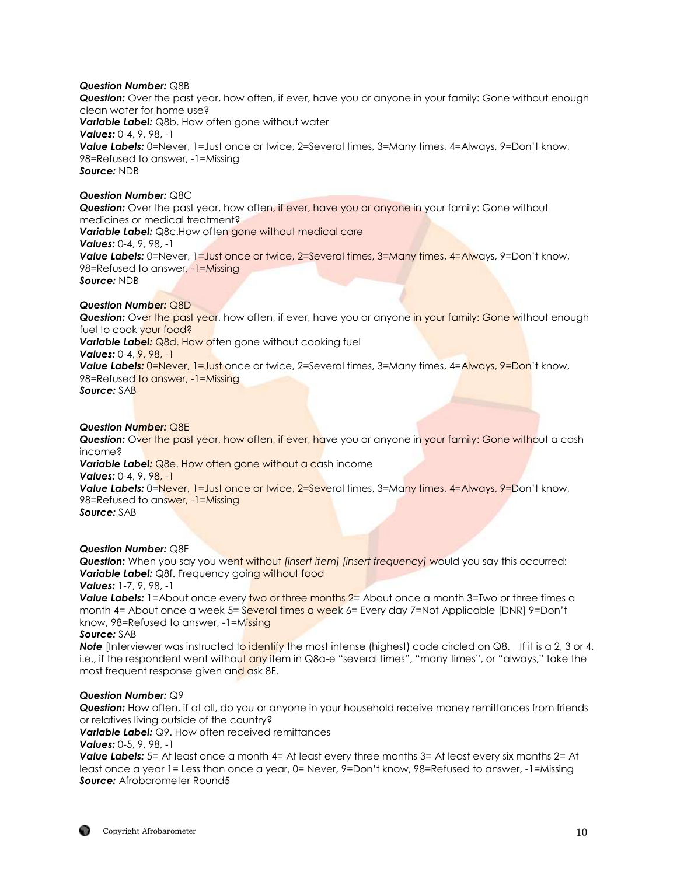## *Question Number:* Q8B

*Question:* Over the past year, how often, if ever, have you or anyone in your family: Gone without enough clean water for home use? *Variable Label:* Q8b. How often gone without water *Values:* 0-4, 9, 98, -1 *Value Labels:* 0=Never, 1=Just once or twice, 2=Several times, 3=Many times, 4=Always, 9=Don't know, 98=Refused to answer, -1=Missing *Source:* NDB

## *Question Number:* Q8C

**Question:** Over the past year, how often, if ever, have you or anyone in your family: Gone without medicines or medical treatment? **Variable Label:** Q8c.How often gone without medical care *Values:* 0-4, 9, 98, -1 *Value Labels:* 0=Never, 1=Just once or twice, 2=Several times, 3=Many times, 4=Always, 9=Don't know, 98=Refused to answer, -1=Missing *Source:* NDB

## *Question Number:* Q8D

**Question:** Over the past year, how often, if ever, have you or anyone in your family: Gone without enough fuel to cook your food? **Variable Label: Q8d. How often gone without cooking fuel** *Values:* 0-4, 9, 98, -1 **Value Labels:** 0=Never, 1=Just once or twice, 2=Several times, 3=Many times, 4=Always, 9=Don't know, 98=Refused to answer, -1=Missing *Source:* SAB

## *Question Number:* Q8E

**Question:** Over the past year, how often, if ever, have you or anyone in your family: Gone without a cash income?

**Variable Label:** Q8e. How often gone without a cash income

*Values:* 0-4, 9, 98, -1

**Value Labels:** 0=Never, 1=Just once or twice, 2=Several times, 3=Many times, 4=Always, 9=Don't know, 98=Refused to answer, -1=Missing

*Source:* SAB

*Question Number:* Q8F

*Question:* When you say you went without *[insert item] [insert frequency]* would you say this occurred: **Variable Label:** Q8f. Frequency going without food

*Values:* 1-7, 9, 98, -1

**Value Labels:** 1=About once every two or three months 2= About once a month 3=Two or three times a month 4= About once a week 5= Several times a week 6= Every day 7=Not Applicable [DNR] 9=Don't know, 98=Refused to answer, -1=Missing

## *Source:* SAB

**Note** [Interviewer was instructed to identify the most intense (highest) code circled on Q8. If it is a 2, 3 or 4, i.e., if the respondent went without any item in Q8a-e "several times", "many times", or "always," take the most frequent response given and ask 8F.

## *Question Number:* Q9

*Question:* How often, if at all, do you or anyone in your household receive money remittances from friends or relatives living outside of the country?

*Variable Label: Q9. How often received remittances* 

*Values:* 0-5, 9, 98, -1

**Value Labels:** 5= At least once a month 4= At least every three months 3= At least every six months 2= At least once a year 1= Less than once a year, 0= Never, 9=Don't know, 98=Refused to answer, -1=Missing **Source:** Afrobarometer Round5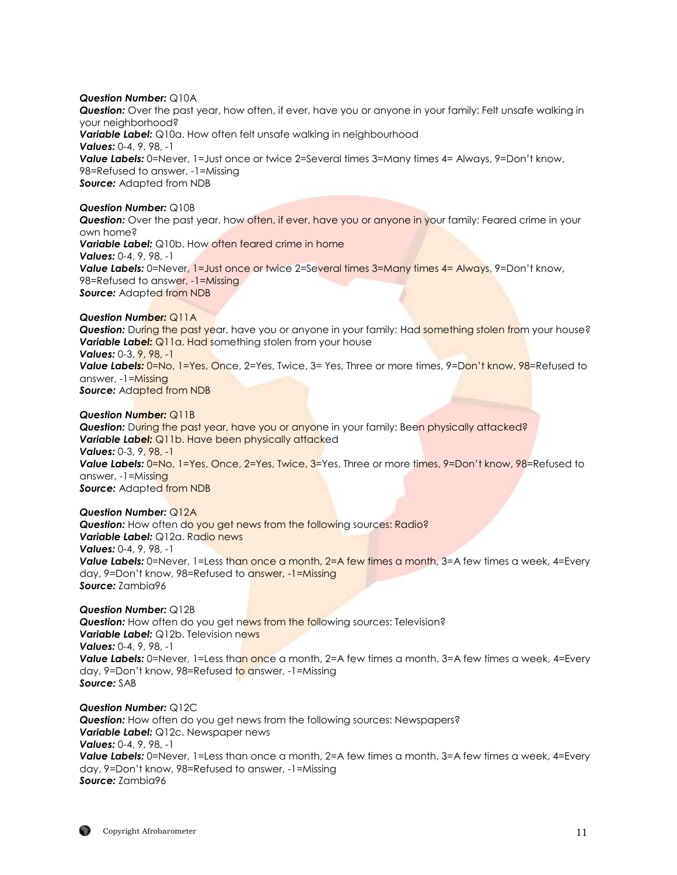#### *Question Number:* Q10A

*Question:* Over the past year, how often, if ever, have you or anyone in your family: Felt unsafe walking in your neighborhood? *Variable Label:* Q10a. How often felt unsafe walking in neighbourhood *Values:* 0-4, 9, 98, -1 **Value Labels:** 0=Never, 1=Just once or twice 2=Several times 3=Many times 4= Always, 9=Don't know, 98=Refused to answer, -1=Missing *Source: Adapted from NDB* 

#### *Question Number:* Q10B

**Question:** Over the past year, how often, if ever, have you or anyone in your family: Feared crime in your own home? **Variable Label:** Q10b. How often feared crime in home *Values:* 0-4, 9, 98, -1

**Value Labels:** 0=Never, 1=Just once or twice 2=Several times 3=Many times 4= Always, 9=Don't know, 98=Refused to answer, -1=Missing *Source:* Adapted from NDB

#### *Question Number:* Q11A

**Question:** During the past year, have you or anyone in your family: Had something stolen from your house? **Variable Label:** Q11a. Had something stolen from your house *Values:* 0-3, 9, 98, -1 *Value Labels:* 0=No, 1=Yes, Once, 2=Yes, Twice, 3= Yes, Three or more times, 9=Don't know, 98=Refused to answer, -1=Missing *Source: Adapted from NDB* 

#### *Question Number:* Q11B

**Question:** During the past year, have you or anyone in your family: Been physically attacked? **Variable Label:** Q11b. Have been physically attacked *Values:* 0-3, 9, 98, -1 **Value Labels:** 0=No, 1=Yes, Once, 2=Yes, Twice, 3=Yes, Three or more times, 9=Don't know, 98=Refused to answer, -1=Missing *Source:* Adapted from NDB

#### *Question Number:* Q12A

**Question:** How often do you get news from the following sources: Radio? *Variable Label:* Q12a. Radio news *Values:* 0-4, 9, 98, -1 **Value Labels:** 0=Never, 1=Less than once a month, 2=A few times a month, 3=A few times a week, 4=Every day, 9=Don't know, 98=Refused to answer, -1=Missing *Source:* Zambia96

#### *Question Number:* Q12B

**Question:** How often do you get news from the following sources: Television? **Variable Label:** Q12b. Television news *Values:* 0-4, 9, 98, -1 **Value Labels:** 0=Never, 1=Less than once a month, 2=A few times a month, 3=A few times a week, 4=Every day, 9=Don't know, 98=Refused to answer, -1=Missing *Source:* SAB

*Question Number:* Q12C *Question:* How often do you get news from the following sources: Newspapers? *Variable Label:* Q12c. Newspaper news *Values:* 0-4, 9, 98, -1 **Value Labels:** 0=Never, 1=Less than once a month, 2=A few times a month, 3=A few times a week, 4=Every day, 9=Don't know, 98=Refused to answer, -1=Missing *Source:* Zambia96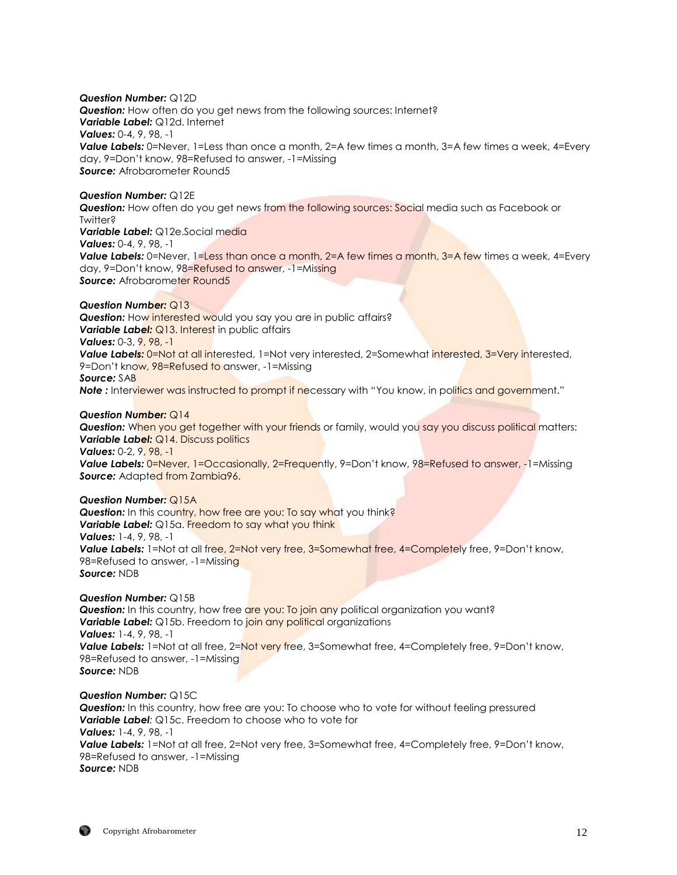*Question Number:* Q12D **Question:** How often do you get news from the following sources: Internet? *Variable Label:* Q12d. Internet *Values:* 0-4, 9, 98, -1 **Value Labels:** 0=Never, 1=Less than once a month, 2=A few times a month, 3=A few times a week, 4=Every day, 9=Don't know, 98=Refused to answer, -1=Missing **Source:** Afrobarometer Round5

## *Question Number:* Q12E

**Question:** How often do you get news from the following sources: Social media such as Facebook or Twitter? *Variable Label:* Q12e.Social media

*Values:* 0-4, 9, 98, -1

**Value Labels:** 0=Never, 1=Less than once a month, 2=A few times a month, 3=A few times a week, 4=Every day, 9=Don't know, 98=Refused to answer, -1=Missing **Source:** Afrobarometer Round5

## *Question Number:* Q13

**Question:** How interested would you say you are in public affairs? *Variable Label: Q13. Interest in public affairs Values:* 0-3, 9, 98, -1 **Value Labels:** 0=Not at all interested, 1=Not very interested, 2=Somewhat interested, 3=Very interested, 9=Don't know, 98=Refused to answer, -1=Missing *Source:* SAB **Note** : Interviewer was instructed to prompt if necessary with "You know, in politics and government."

## *Question Number:* Q14

**Question:** When you get together with your friends or family, would you say you discuss political matters: *Variable Label:* Q14. Discuss politics *Values:* 0-2, 9, 98, -1

**Value Labels:** 0=Never, 1=Occasionally, 2=Frequently, 9=Don't know, 98=Refused to answer, -1=Missing *Source:* Adapted from Zambia96.

#### *Question Number:* Q15A

**Question:** In this country, how free are you: To say what you think? **Variable Label:** Q15a. Freedom to say what you think *Values:* 1-4, 9, 98, -1 **Value Labels:** 1=Not at all free, 2=Not very free, 3=Somewhat free, 4=Completely free, 9=Don't know, 98=Refused to answer, -1=Missing *Source:* NDB

#### *Question Number:* Q15B

**Question:** In this country, how free are you: To join any political organization you want? *Variable Label:* Q15b. Freedom to *join any political* organizations *Values:* 1-4, 9, 98, -1 **Value Labels:** 1=Not at all free, 2=Not very free, 3=Somewhat free, 4=Completely free, 9=Don't know, 98=Refused to answer, -1=Missing *Source:* NDB

*Question Number:* Q15C *Question:* In this country, how free are you: To choose who to vote for without feeling pressured *Variable Label:* Q15c. Freedom to choose who to vote for *Values:* 1-4, 9, 98, -1 **Value Labels:** 1=Not at all free, 2=Not very free, 3=Somewhat free, 4=Completely free, 9=Don't know, 98=Refused to answer, -1=Missing *Source:* NDB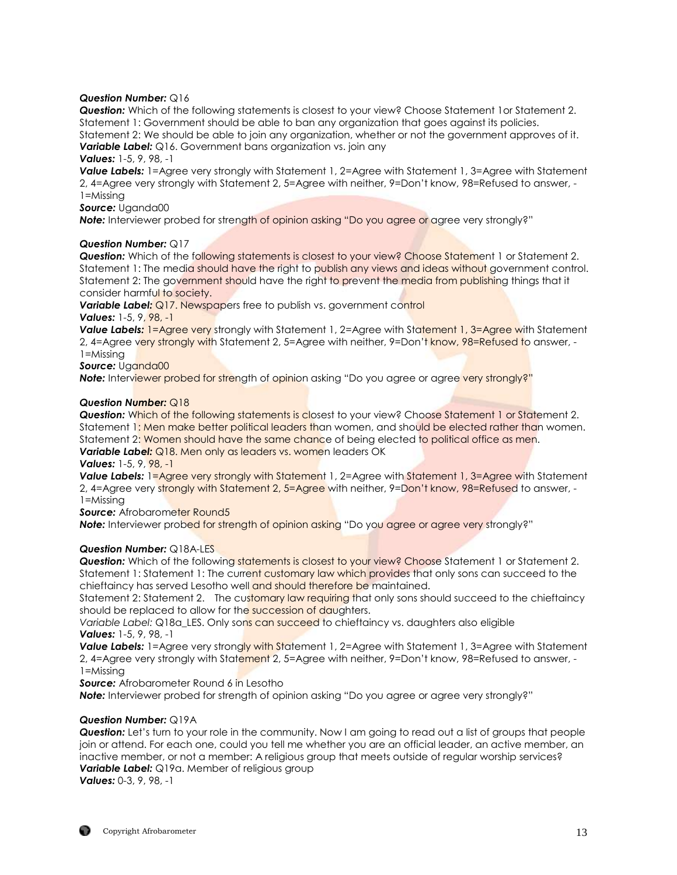## *Question Number:* Q16

*Question:* Which of the following statements is closest to your view? Choose Statement 1or Statement 2. Statement 1: Government should be able to ban any organization that goes against its policies. Statement 2: We should be able to join any organization, whether or not the government approves of it. *Variable Label:* Q16. Government bans organization vs. join any

## *Values:* 1-5, 9, 98, -1

*Value Labels:* 1=Agree very strongly with Statement 1, 2=Agree with Statement 1, 3=Agree with Statement 2, 4=Agree very strongly with Statement 2, 5=Agree with neither, 9=Don't know, 98=Refused to answer, - 1=Missing

#### *Source:* Uganda00

**Note:** Interviewer probed for strength of opinion asking "Do you agree or agree very strongly?"

## *Question Number:* Q17

**Question:** Which of the following statements is closest to your view? Choose Statement 1 or Statement 2. Statement 1: The media should have the right to publish any views and ideas without government control. Statement 2: The government should have the right to prevent the media from publishing things that it consider harmful to society.

**Variable Label:** Q17. Newspapers free to publish vs. government control *Values:* 1-5, 9, 98, -1

**Value Labels: 1=Agree very strongly with Statement 1, 2=Agree with Statement 1, 3=Agree with Statement** 2, 4=Agree very strongly with Statement 2, 5=Agree with neither, 9=Don't know, 98=Refused to answer, -1=Missing

*Source:* Uganda00

**Note:** Interviewer probed for strength of opinion asking "Do you agree or agree very strongly?"

## *Question Number:* Q18

**Question:** Which of the following statements is closest to your view? Choose Statement 1 or Statement 2. Statement 1: Men make better political leaders than women, and should be elected rather than women. Statement 2: Women should have the same chance of being elected to political office as men. **Variable Label:** Q18. Men only as leaders vs. women leaders OK

#### *Values:* 1-5, 9, 98, -1

*Value Labels:* 1=Agree very strongly with Statement 1, 2=Agree with Statement 1, 3=Agree with Statement 2, 4=Agree very strongly with Statement 2, 5=Agree with neither, 9=Don't know, 98=Refused to answer, -1=Missing

*Source: Afrobarometer Round5* 

**Note:** Interviewer probed for strength of opinion asking "Do you agree or agree very strongly?"

## *Question Number:* Q18A-LES

**Question:** Which of the following statements is closest to your view? Choose Statement 1 or Statement 2. Statement 1: Statement 1: The current customary law which provides that only sons can succeed to the chieftaincy has served Lesotho well and should therefore be maintained.

Statement 2: Statement 2. The customary law requiring that only sons should succeed to the chieftaincy should be replaced to allow for the succession of daughters.

Variable Label: Q18a LES. Only sons can succeed to chieftaincy vs. daughters also eligible *Values:* 1-5, 9, 98, -1

**Value Labels:** 1=Agree very strongly with Statement 1, 2=Agree with Statement 1, 3=Agree with Statement 2, 4=Agree very strongly with Statement 2, 5=Agree with neither, 9=Don't know, 98=Refused to answer, -1=Missing

**Source:** Afrobarometer Round 6 in Lesotho

**Note:** Interviewer probed for strength of opinion asking "Do you agree or agree very strongly?"

## *Question Number:* Q19A

**Question:** Let's turn to your role in the community. Now I am going to read out a list of groups that people join or attend. For each one, could you tell me whether you are an official leader, an active member, an inactive member, or not a member: A religious group that meets outside of regular worship services? **Variable Label:** Q19a. Member of religious group *Values:* 0-3, 9, 98, -1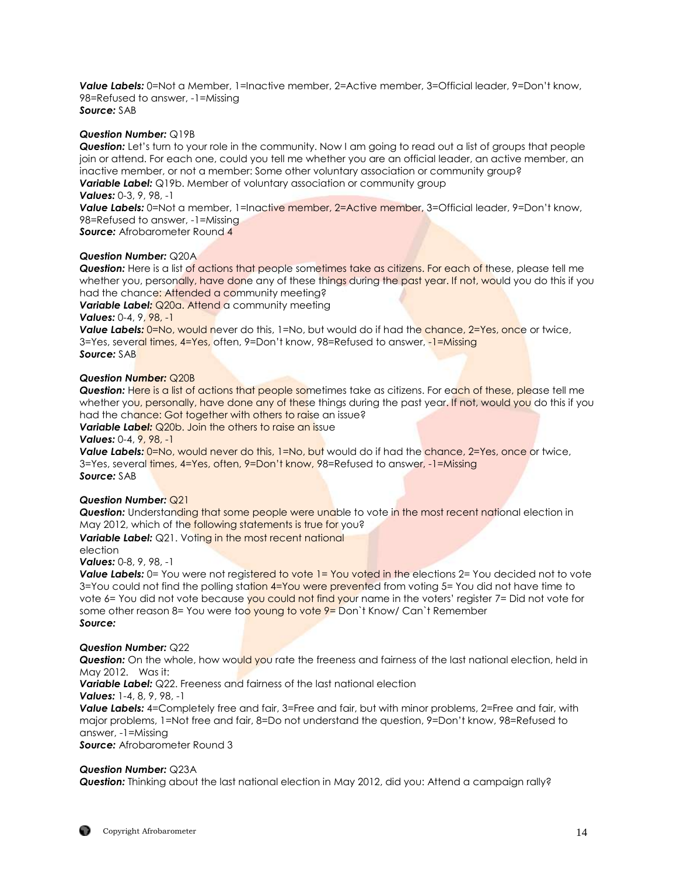*Value Labels:* 0=Not a Member, 1=Inactive member, 2=Active member, 3=Official leader, 9=Don't know, 98=Refused to answer, -1=Missing *Source:* SAB

#### *Question Number:* Q19B

**Question:** Let's turn to your role in the community. Now I am going to read out a list of groups that people join or attend. For each one, could you tell me whether you are an official leader, an active member, an inactive member, or not a member: Some other voluntary association or community group? *Variable Label:* Q19b. Member of voluntary association or community group *Values:* 0-3, 9, 98, -1

**Value Labels:** 0=Not a member, 1=Inactive member, 2=Active member, 3=Official leader, 9=Don't know, 98=Refused to answer, -1=Missing

*Source:* Afrobarometer Round 4

#### *Question Number:* Q20A

*Question:* Here is a list of actions that people sometimes take as citizens. For each of these, please tell me whether you, personally, have done any of these things during the past year. If not, would you do this if you had the chance: Attended a community meeting?

**Variable Label:** Q20a. Attend a community meeting

*Values:* 0-4, 9, 98, -1

**Value Labels:** 0=No, would never do this, 1=No, but would do if had the chance, 2=Yes, once or twice, 3=Yes, several times, 4=Yes, often, 9=Don't know, 98=Refused to answer, -1=Missing *Source:* SAB

#### *Question Number:* Q20B

**Question:** Here is a list of actions that people sometimes take as citizens. For each of these, please tell me whether you, personally, have done any of these things during the past year. If not, would you do this if you had the chance: Got together with others to raise an issue?

## **Variable Label:** Q20b. Join the others to raise an issue

*Values:* 0-4, 9, 98, -1

**Value Labels:** 0=No, would never do this, 1=No, but would do if had the chance, 2=Yes, once or twice, 3=Yes, several times, 4=Yes, often, 9=Don't know, 98=Refused to answer, -1=Missing *Source:* SAB

## *Question Number:* Q21

**Question:** Understanding that some people were unable to vote in the most recent national election in May 2012, which of the following statements is true for you?

**Variable Label:** Q21. Voting in the most recent national

election

*Values:* 0-8, 9, 98, -1

**Value Labels:** 0= You were not registered to vote 1= You voted in the elections 2= You decided not to vote  $3=$ You could not find the polling station  $4=$ You were prevented from voting  $5=$  You did not have time to vote 6= You did not vote because you could not find your name in the voters' register 7= Did not vote for some other reason 8= You were too young to vote 9= Don't Know/ Can't Remember *Source:*

#### *Question Number:* Q22

**Question:** On the whole, how would you rate the freeness and fairness of the last national election, held in May 2012. Was it:

*Variable Label:* Q22. Freeness and fairness of the last national election

*Values:* 1-4, 8, 9, 98, -1

*Value Labels:* 4=Completely free and fair, 3=Free and fair, but with minor problems, 2=Free and fair, with major problems, 1=Not free and fair, 8=Do not understand the question, 9=Don't know, 98=Refused to answer, -1=Missing *Source:* Afrobarometer Round 3

## *Question Number:* Q23A

*Question:* Thinking about the last national election in May 2012, did you: Attend a campaign rally?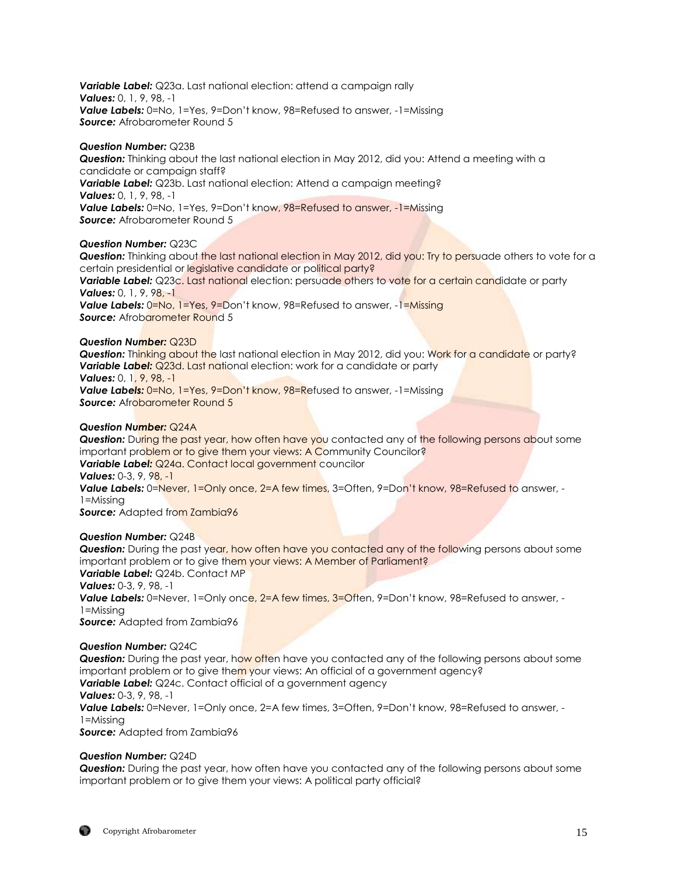*Variable Label:* Q23a. Last national election: attend a campaign rally *Values:* 0, 1, 9, 98, -1 *Value Labels:* 0=No, 1=Yes, 9=Don't know, 98=Refused to answer, -1=Missing **Source:** Afrobarometer Round 5

## *Question Number:* Q23B

*Question:* Thinking about the last national election in May 2012, did you: Attend a meeting with a candidate or campaign staff? *Variable Label:* Q23b. Last national election: Attend a campaign meeting? *Values:* 0, 1, 9, 98, -1 *Value Labels:* 0=No, 1=Yes, 9=Don't know, 98=Refused to answer, -1=Missing **Source:** Afrobarometer Round 5

## *Question Number:* Q23C

**Question:** Thinking about the last national election in May 2012, did you: Try to persuade others to vote for a certain presidential or legislative candidate or political party? *Variable Label:* Q23c. Last national election: persuade others to vote for a certain candidate or party *Values:* 0, 1, 9, 98, -1 **Value Labels:** 0=No, 1=Yes, 9=Don't know, 98=Refused to answer, -1=Missing **Source:** Afrobarometer Round 5

#### *Question Number:* Q23D

*Question:* Thinking about the last national election in May 2012, did you: Work for a candidate or party? **Variable Label:** Q23d. Last national election: work for a candidate or party *Values:* 0, 1, 9, 98, -1 *Value Labels:* 0=No, 1=Yes, 9=Don't know, 98=Refused to answer, -1=Missing

**Source:** Afrobarometer Round 5

## *Question Number:* Q24A

*Question:* During the past year, how often have you contacted any of the following persons about some important problem or to give them your views: A Community Councilor? *Variable Label:* Q24a. Contact local government councilor *Values:* 0-3, 9, 98, -1 **Value Labels:** 0=Never, 1=Only once, 2=A few times, 3=Often, 9=Don't know, 98=Refused to answer, -1=Missing **Source:** Adapted from Zambia96

#### *Question Number:* Q24B

**Question:** During the past year, how often have you contacted any of the following persons about some important problem or to give them your views: A Member of Parliament? *Variable Label:* Q24b. Contact MP *Values:* 0-3, 9, 98, -1 **Value Labels:** 0=Never, 1=Only once, 2=A few times, 3=Often, 9=Don't know, 98=Refused to answer, -1=Missing *Source:* Adapted from Zambia96

#### *Question Number:* Q24C

*Question:* During the past year, how often have you contacted any of the following persons about some important problem or to give them your views: An official of a government agency? **Variable Label:** Q24c. Contact official of a government agency *Values:* 0-3, 9, 98, -1 *Value Labels:* 0=Never, 1=Only once, 2=A few times, 3=Often, 9=Don't know, 98=Refused to answer, - 1=Missing **Source:** Adapted from Zambia96

#### *Question Number:* Q24D

*Question:* During the past year, how often have you contacted any of the following persons about some important problem or to give them your views: A political party official?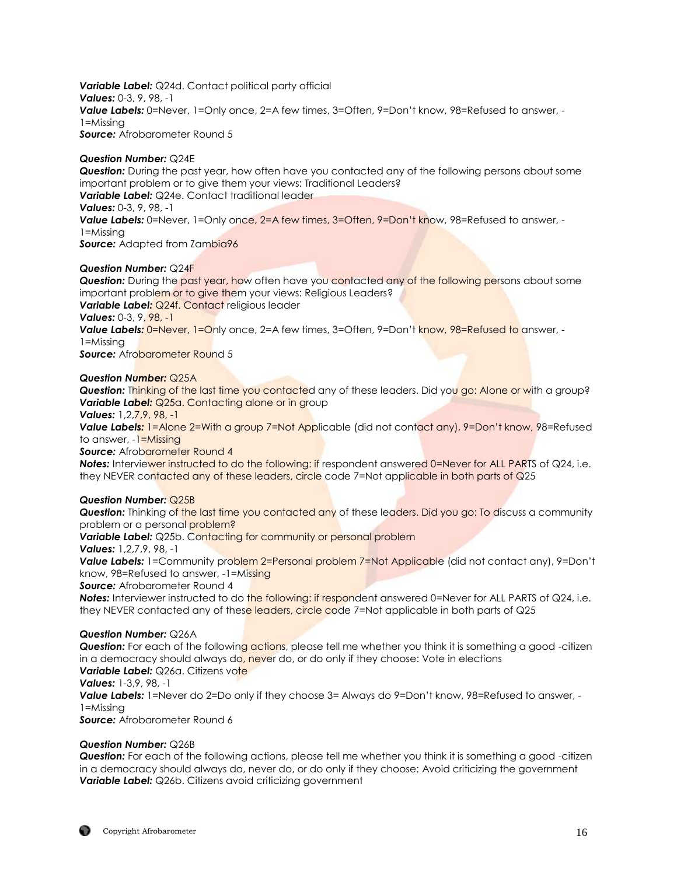*Variable Label:* Q24d. Contact political party official *Values:* 0-3, 9, 98, -1 *Value Labels:* 0=Never, 1=Only once, 2=A few times, 3=Often, 9=Don't know, 98=Refused to answer, - 1=Missing **Source:** Afrobarometer Round 5

## *Question Number:* Q24E

*Question:* During the past year, how often have you contacted any of the following persons about some important problem or to give them your views: Traditional Leaders? **Variable Label:** Q24e. Contact traditional leader *Values:* 0-3, 9, 98, -1 Value Labels: 0=Never, 1=Only once, 2=A few times, 3=Often, 9=Don't know, 98=Refused to answer, -1=Missing **Source:** Adapted from Zambia96

## *Question Number:* Q24F

*Question:* During the past year, how often have you contacted any of the following persons about some important problem or to give them your views: Religious Leaders? **Variable Label: Q24f. Contact religious leader** 

*Values:* 0-3, 9, 98, -1

**Value Labels: 0=Never, 1=Only once, 2=A few times, 3=Often, 9=Don't know, 98=Refused to answer, -**

1=Missing

**Source:** Afrobarometer Round 5

#### *Question Number:* Q25A

**Question:** Thinking of the last time you contacted any of these leaders. Did you go: Alone or with a group? **Variable Label:** Q25a. Contacting alone or in group

*Values:* 1,2,7,9, 98, -1

**Value Labels:** 1=Alone 2=With a group 7=Not Applicable (did not contact any), 9=Don't know, 98=Refused to answer, -1=Missing

**Source:** Afrobarometer Round 4

**Notes:** Interviewer instructed to do the following: if respondent answered 0=Never for ALL PARTS of Q24, i.e. they NEVER contacted any of these leaders, circle code 7=Not applicable in both parts of Q25

#### *Question Number:* Q25B

**Question:** Thinking of the last time you contacted any of these leaders. Did you go: To discuss a community problem or a personal problem?

*Variable Label:* Q25b. Contacting for community or personal problem

*Values:* 1,2,7,9, 98, -1

*Value Labels:* 1=Community problem 2=Personal problem 7=Not Applicable (did not contact any), 9=Don't know, 98=Refused to answer, -1=Missing

**Source:** Afrobarometer Round 4

**Notes:** Interviewer instructed to do the following: if respondent answered 0=Never for ALL PARTS of Q24, i.e. they NEVER contacted any of these leaders, circle code 7=Not applicable in both parts of Q25

#### *Question Number:* Q26A

**Question:** For each of the following actions, please tell me whether you think it is something a good -citizen in a democracy should always do, never do, or do only if they choose: Vote in elections **Variable Label:** Q26a. Citizens vote

*Values:* 1-3,9, 98, -1

**Value Labels:** 1=Never do 2=Do only if they choose 3= Always do 9=Don't know, 98=Refused to answer, -1=Missing

**Source:** Afrobarometer Round 6

#### *Question Number:* Q26B

*Question:* For each of the following actions, please tell me whether you think it is something a good -citizen in a democracy should always do, never do, or do only if they choose: Avoid criticizing the government **Variable Label:** Q26b. Citizens avoid criticizing government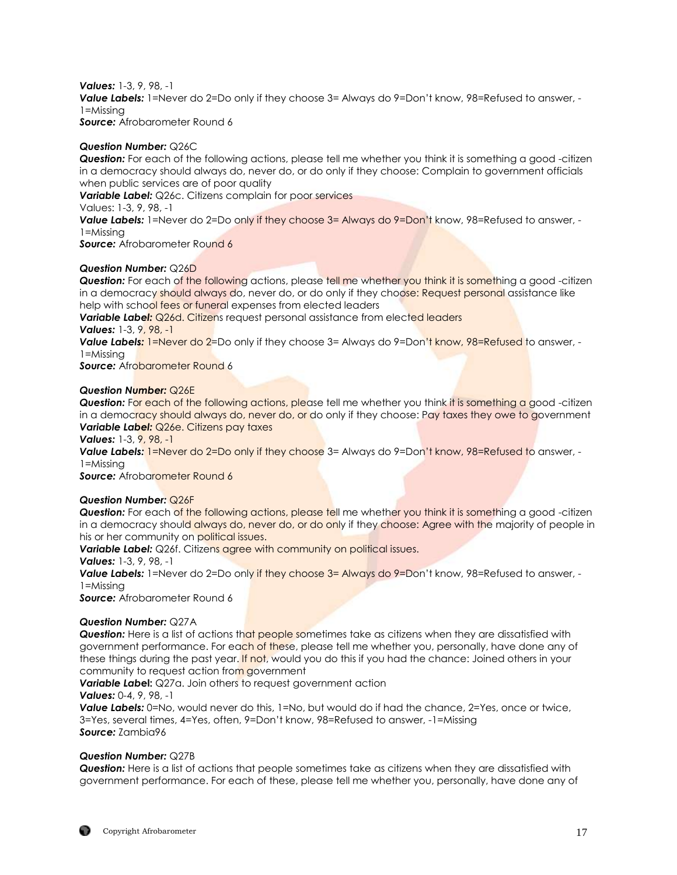*Values:* 1-3, 9, 98, -1 **Value Labels:** 1=Never do 2=Do only if they choose 3= Always do 9=Don't know, 98=Refused to answer, - $1 = M$ issing **Source:** Afrobarometer Round 6

## *Question Number:* Q26C

*Question:* For each of the following actions, please tell me whether you think it is something a good -citizen in a democracy should always do, never do, or do only if they choose: Complain to government officials when public services are of poor quality

*Variable Label:* Q26c. Citizens complain for poor services

Values: 1-3, 9, 98, -1

**Value Labels:** 1=Never do 2=Do only if they choose 3= Always do 9=Don't know, 98=Refused to answer, -1=Missing

**Source:** Afrobarometer Round 6

#### *Question Number:* Q26D

**Question:** For each of the following actions, please tell me whether you think it is something a good -citizen in a democracy should always do, never do, or do only if they choose: Request personal assistance like help with school fees or funeral expenses from elected leaders

**Variable Label:** Q26d. Citizens request personal assistance from elected leaders *Values:* 1-3, 9, 98, -1

Value Labels: 1=Never do 2=Do only if they choose 3= Always do 9=Don't know, 98=Refused to answer, -1=Missing

**Source:** Afrobarometer Round 6

#### *Question Number:* Q26E

**Question:** For each of the following actions, please tell me whether you think it is something a good -citizen in a democracy should always do, never do, or do only if they choose: Pay taxes they owe to government *Variable Label: Q26e. Citizens pay taxes* 

*Values:* 1-3, 9, 98, -1

**Value Labels: 1=Never do 2=Do only if they choose** 3= Always do 9=Don't know, 98=Refused to answer, -1=Missing

**Source:** Afrobarometer Round 6

#### *Question Number:* Q26F

**Question:** For each of the following actions, please tell me whether you think it is something a good -citizen in a democracy should always do, never do, or do only if they choose: Agree with the majority of people in his or her community on political issues.

**Variable Label:** Q26f. Citizens agree with community on political issues.

*Values:* 1-3, 9, 98, -1

**Value Labels:** 1=Never do 2=Do only if they choose 3= Always do 9=Don't know, 98=Refused to answer, -1=Missing

**Source:** Afrobarometer Round 6

#### *Question Number:* Q27A

**Question:** Here is a list of actions that people sometimes take as citizens when they are dissatisfied with government performance. For each of these, please tell me whether you, personally, have done any of these things during the past year. If not, would you do this if you had the chance: Joined others in your community to request action from government

**Variable Label:** Q27a. Join others to request government action

#### *Values:* 0-4, 9, 98, -1

**Value Labels:** 0=No, would never do this, 1=No, but would do if had the chance, 2=Yes, once or twice, 3=Yes, several times, 4=Yes, often, 9=Don't know, 98=Refused to answer, -1=Missing *Source:* Zambia96

#### *Question Number:* Q27B

*Question:* Here is a list of actions that people sometimes take as citizens when they are dissatisfied with government performance. For each of these, please tell me whether you, personally, have done any of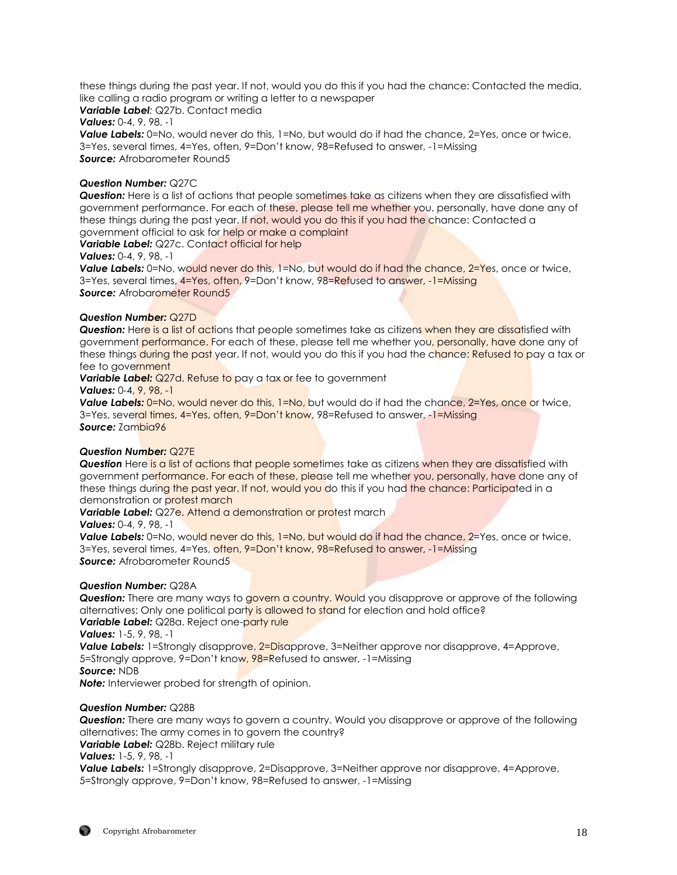these things during the past year. If not, would you do this if you had the chance: Contacted the media, like calling a radio program or writing a letter to a newspaper

*Variable Label:* Q27b. Contact media

*Values:* 0-4, 9, 98, -1

Value Labels: 0=No, would never do this, 1=No, but would do if had the chance, 2=Yes, once or twice, 3=Yes, several times, 4=Yes, often, 9=Don't know, 98=Refused to answer, -1=Missing *Source:* Afrobarometer Round5

## *Question Number:* Q27C

*Question:* Here is a list of actions that people sometimes take as citizens when they are dissatisfied with government performance. For each of these, please tell me whether you, personally, have done any of these things during the past year. If not, would you do this if you had the chance: Contacted a government official to ask for help or make a complaint

Variable Label: Q27c. Contact official for help

#### *Values:* 0-4, 9, 98, -1

Value Labels: 0=No, would never do this, 1=No, but would do if had the chance, 2=Yes, once or twice, 3=Yes, several times, 4=Yes, often, 9=Don't know, 98=Refused to answer, -1=Missing **Source:** Afrobarometer Round5

## *Question Number:* Q27D

**Question:** Here is a list of actions that people sometimes take as citizens when they are dissatisfied with government performance. For each of these, please tell me whether you, personally, have done any of these things during the past year. If not, would you do this if you had the chance: Refused to pay a tax or fee to government

*Variable Label:* Q27d. Refuse to pay a tax or fee to government

*Values:* 0-4, 9, 98, -1

**Value Labels:** 0=No, would never do this, 1=No, but would do if had the chance, 2=Yes, once or twice, 3=Yes, several times, 4=Yes, often, 9=Don't know, 98=Refused to answer, -1=Missina *Source:* Zambia96

#### *Question Number:* Q27E

**Question** Here is a list of actions that people sometimes take as citizens when they are dissatisfied with government performance. For each of these, please tell me whether you, personally, have done any of these things during the past year. If not, would you do this if you had the chance: Participated in a demonstration or protest march

**Variable Label:** Q27e. Attend a demonstration or protest march

## *Values:* 0-4, 9, 98, -1

**Value Labels:** 0=No, would never do this, 1=No, but would do if had the chance, 2=Yes, once or twice, 3=Yes, several times, 4=Yes, often, 9=Don't know, 98=Refused to answer, -1=Missing **Source:** Afrobarometer Round5

## *Question Number:* Q28A

**Question:** There are many ways to govern a country. Would you disapprove or approve of the following alternatives: Only one political party is allowed to stand for election and hold office? **Variable Label:** Q28a. Reject one-party rule

*Values:* 1-5, 9, 98, -1

**Value Labels:** 1=Strongly disapprove, 2=Disapprove, 3=Neither approve nor disapprove, 4=Approve, 5=Strongly approve, 9=Don't know, 98=Refused to answer, -1=Missing *Source:* NDB

*Note:* Interviewer probed for strength of opinion.

## *Question Number:* Q28B

*Question:* There are many ways to govern a country. Would you disapprove or approve of the following alternatives: The army comes in to govern the country?

*Variable Label:* Q28b. Reject military rule

## *Values:* 1-5, 9, 98, -1

**Value Labels:** 1=Strongly disapprove, 2=Disapprove, 3=Neither approve nor disapprove, 4=Approve, 5=Strongly approve, 9=Don't know, 98=Refused to answer, -1=Missing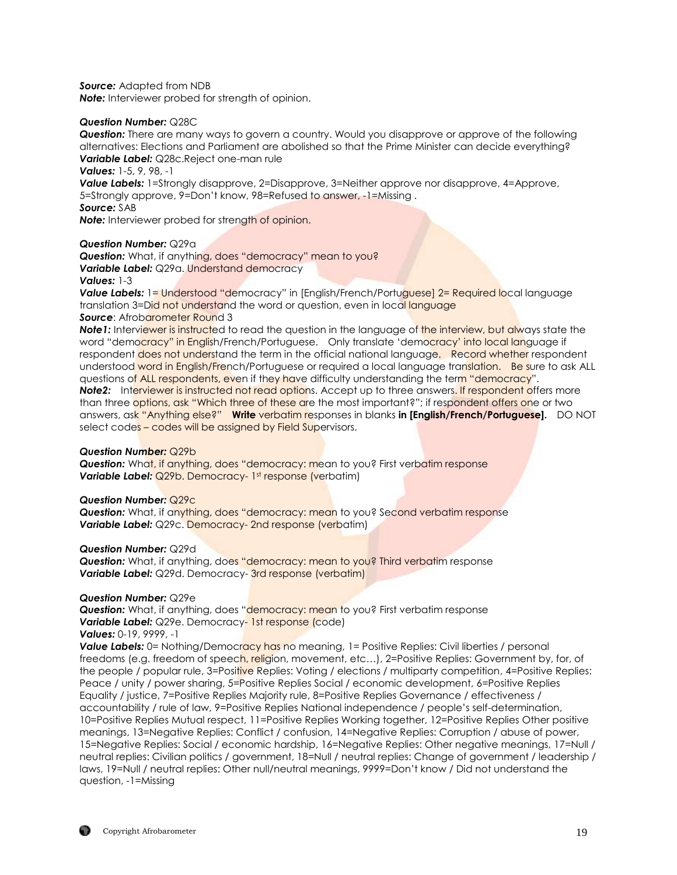*Source:* Adapted from NDB

*Note:* Interviewer probed for strength of opinion.

#### *Question Number:* Q28C

*Question:* There are many ways to govern a country. Would you disapprove or approve of the following alternatives: Elections and Parliament are abolished so that the Prime Minister can decide everything? *Variable Label:* Q28c.Reject one-man rule

*Values:* 1-5, 9, 98, -1

**Value Labels:** 1=Strongly disapprove, 2=Disapprove, 3=Neither approve nor disapprove, 4=Approve, 5=Strongly approve, 9=Don't know, 98=Refused to answer, -1=Missing .

*Source:* SAB

**Note:** Interviewer probed for strength of opinion.

#### *Question Number:* Q29a

**Question:** What, if anything, does "democracy" mean to you? *Variable Label:* Q29a. Understand democracy *Values:* 1-3

**Value Labels:** 1= Understood "democracy" in [English/French/Portuguese] 2= Required local language translation 3=Did not understand the word or question, even in local language **Source:** Afrobarometer Round 3

**Note1:** Interviewer is instructed to read the question in the language of the interview, but always state the word "democracy" in English/French/Portuguese. Only translate 'democracy' into local language if respondent does not understand the term in the official national language. Record whether respondent understood word in English/French/Portuguese or required a local language translation. Be sure to ask ALL questions of ALL respondents, even if they have difficulty understanding the term "democracy". **Note2:** Interviewer is instructed not read options. Accept up to three answers. If respondent offers more

than three options, ask "Which three of these are the most important?"; if respondent offers one or two answers, ask "Anything else?" **Write** verbatim responses in blanks **in [English/French/Portuguese].** DO NOT select codes – codes will be assigned by Field Supervisors.

#### *Question Number:* Q29b

**Question:** What, if anything, does "democracy: mean to you? First verbatim response **Variable Label:** Q29b. Democracy- 1st response (verbatim)

#### *Question Number:* Q29c

*Question:* What, if anything, does "democracy: mean to you? Second verbatim response *Variable Label:* Q29c. Democracy- 2nd response (verbatim)

#### *Question Number:* Q29d

*Question:* What, if anything, does "democracy: mean to you? Third verbatim response **Variable Label:** Q29d. Democracy- 3rd response (verbatim)

#### *Question Number:* Q29e

**Question:** What, if anything, does "democracy: mean to you? First verbatim response **Variable Label:** Q29e. Democracy- 1st response (code)

## *Values:* 0-19, 9999, -1

**Value Labels:** 0= Nothing/Democracy has no meaning, 1= Positive Replies: Civil liberties / personal freedoms (e.g. freedom of speech, religion, movement, etc...), 2=Positive Replies: Government by, for, of the people / popular rule, 3=Positive Replies: Voting / elections / multiparty competition, 4=Positive Replies: Peace / unity / power sharing, 5=Positive Replies Social / economic development, 6=Positive Replies Equality / justice, 7=Positive Replies Majority rule, 8=Positive Replies Governance / effectiveness / accountability / rule of law, 9=Positive Replies National independence / people's self-determination, 10=Positive Replies Mutual respect, 11=Positive Replies Working together, 12=Positive Replies Other positive meanings, 13=Negative Replies: Conflict / confusion, 14=Negative Replies: Corruption / abuse of power, 15=Negative Replies: Social / economic hardship, 16=Negative Replies: Other negative meanings, 17=Null / neutral replies: Civilian politics / government, 18=Null / neutral replies: Change of government / leadership / laws, 19=Null / neutral replies: Other null/neutral meanings, 9999=Don't know / Did not understand the question, -1=Missing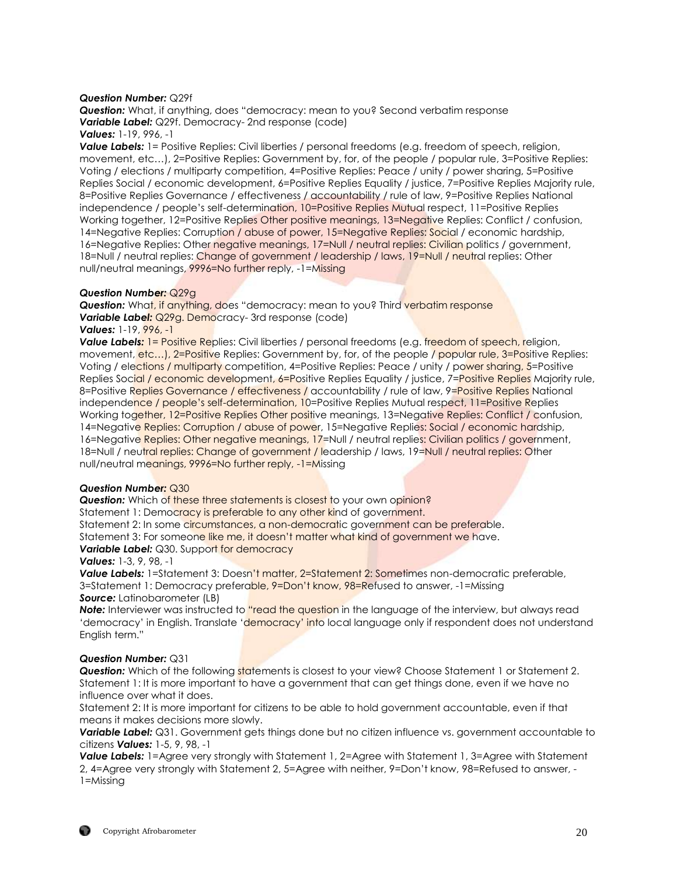#### *Question Number:* Q29f

*Question:* What, if anything, does "democracy: mean to you? Second verbatim response *Variable Label:* Q29f. Democracy- 2nd response (code) *Values:* 1-19, 996, -1

*Value Labels:* 1= Positive Replies: Civil liberties / personal freedoms (e.g. freedom of speech, religion, movement, etc…), 2=Positive Replies: Government by, for, of the people / popular rule, 3=Positive Replies: Voting / elections / multiparty competition, 4=Positive Replies: Peace / unity / power sharing, 5=Positive Replies Social / economic development, 6=Positive Replies Equality / justice, 7=Positive Replies Majority rule, 8=Positive Replies Governance / effectiveness / accountability / rule of law, 9=Positive Replies National independence / people's self-determination, 10=Positive Replies Mutual respect, 11=Positive Replies Working together, 12=Positive Replies Other positive meanings, 13=Negative Replies: Conflict / confusion, 14=Negative Replies: Corruption / abuse of power, 15=Negative Replies: Social / economic hardship, 16=Negative Replies: Other negative meanings, 17=Null / neutral replies: Civilian politics / government, 18=Null / neutral replies: Change of government / leadership / laws, 19=Null / neutral replies: Other null/neutral meanings, 9996=No further reply, -1=Missing

#### *Question Number:* Q29g

**Question:** What, if anything, does "democracy: mean to you? Third verbatim response *Variable Label:* Q29g. Democracy- 3rd response (code)

#### *Values:* 1-19, 996, -1

**Value Labels: 1= Positive Replies: Civil liberties / personal freedoms (e.g. freedom of speech, religion,** movement, etc...), 2=Positive Replies: Government by, for, of the people / popular rule, 3=Positive Replies: Voting / elections / multiparty competition, 4=Positive Replies: Peace / unity / power sharing, 5=Positive Replies Social / economic development, 6=Positive Replies Equality / justice, 7=Positive Replies Majority rule, 8=Positive Replies Governance / effectiveness / accountability / rule of law, 9=Positive Replies National independence / people's self-determination, 10=Positive Replies Mutual respect, 11=Positive Replies Working together, 12=Positive Replies Other positive meanings, 13=Negative Replies: Conflict / confusion, 14=Negative Replies: Corruption / abuse of power, 15=Negative Replies: Social / economic hardship, 16=Negative Replies: Other negative meanings, 17=Null / neutral replies: Civilian politics / government, 18=Null / neutral replies: Change of government / leadership / laws, 19=Null / neutral replies: Other null/neutral meanings, 9996=No further reply, -1=Missing

#### *Question Number:* Q30

**Question:** Which of these three statements is closest to your own opinion?

Statement 1: Democracy is preferable to any other kind of government.

Statement 2: In some circumstances, a non-democratic government can be preferable.

Statement 3: For someone like me, it doesn't matter what kind of government we have.

#### **Variable Label:** Q30. Support for democracy

#### *Values:* 1-3, 9, 98, -1

**Value Labels:** 1=Statement 3: Doesn't matter, 2=Statement 2: Sometimes non-democratic preferable, 3=Statement 1: Democracy preferable, 9=Don't know, 98=Refused to answer, -1=Missing *Source:* Latinobarometer (LB)

**Note:** Interviewer was instructed to "read the question in the language of the interview, but always read 'democracy' in English. Translate 'democracy' into local language only if respondent does not understand English term."

#### *Question Number:* Q31

**Question:** Which of the following statements is closest to your view? Choose Statement 1 or Statement 2. Statement 1: It is more important to have a government that can get things done, even if we have no influence over what it does.

Statement 2: It is more important for citizens to be able to hold government accountable, even if that means it makes decisions more slowly.

**Variable Label:** Q31. Government gets things done but no citizen influence vs. government accountable to citizens *Values:* 1-5, 9, 98, -1

*Value Labels:* 1=Agree very strongly with Statement 1, 2=Agree with Statement 1, 3=Agree with Statement 2, 4=Agree very strongly with Statement 2, 5=Agree with neither, 9=Don't know, 98=Refused to answer, - 1=Missing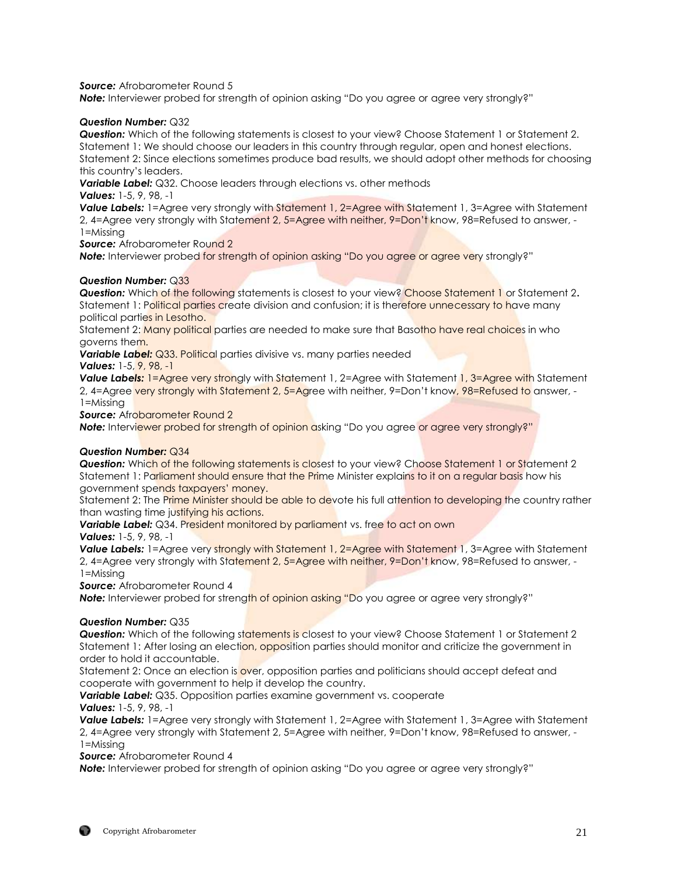**Source:** Afrobarometer Round 5

**Note:** Interviewer probed for strength of opinion asking "Do you agree or agree very strongly?"

## *Question Number:* Q32

*Question:* Which of the following statements is closest to your view? Choose Statement 1 or Statement 2. Statement 1: We should choose our leaders in this country through regular, open and honest elections. Statement 2: Since elections sometimes produce bad results, we should adopt other methods for choosing this country's leaders.

*Variable Label:* Q32. Choose leaders through elections vs. other methods *Values:* 1-5, 9, 98, -1

**Value Labels:** 1=Agree very strongly with Statement 1, 2=Agree with Statement 1, 3=Agree with Statement 2, 4=Agree very strongly with Statement 2, 5=Agree with neither, 9=Don't know, 98=Refused to answer, - 1=Missing

**Source:** Afrobarometer Round 2

**Note:** Interviewer probed for strength of opinion asking "Do you agree or agree very strongly?"

## *Question Number:* Q33

*Question:* Which of the following statements is closest to your view? Choose Statement 1 or Statement 2**.**  Statement 1: Political parties create division and confusion; it is therefore unnecessary to have many political parties in Lesotho.

Statement 2: Many political parties are needed to make sure that Basotho have real choices in who governs them.

**Variable Label:** Q33. Political parties divisive vs. many parties needed

*Values:* 1-5, 9, 98, -1

**Value Labels:** 1=Agree very strongly with Statement 1, 2=Agree with Statement 1, 3=Agree with Statement 2, 4=Agree very strongly with Statement 2, 5=Agree with neither, 9=Don't know, 98=Refused to answer, - 1=Missing

**Source:** Afrobarometer Round 2

**Note:** Interviewer probed for strength of opinion asking "Do you agree or agree very strongly?"

## *Question Number:* Q34

**Question:** Which of the following statements is closest to your view? Choose Statement 1 or Statement 2 Statement 1: Parliament should ensure that the Prime Minister explains to it on a regular basis how his government spends taxpayers' money.

Statement 2: The Prime Minister should be able to devote his full attention to developing the country rather than wasting time justifying his actions.

**Variable Label:** Q34. President monitored by parliament vs. free to act on own *Values:* 1-5, 9, 98, -1

*Value Labels:* 1=Agree very strongly with Statement 1, 2=Agree with Statement 1, 3=Agree with Statement 2, 4=Agree very strongly with Statement 2, 5=Agree with neither, 9=Don't know, 98=Refused to answer, - 1=Missing

*Source:* Afrobarometer Round 4

**Note:** Interviewer probed for strength of opinion asking "Do you agree or agree very strongly?"

#### *Question Number:* Q35

**Question:** Which of the following statements is closest to your view? Choose Statement 1 or Statement 2 Statement 1: After losing an election, opposition parties should monitor and criticize the government in order to hold it accountable.

Statement 2: Once an election is over, opposition parties and politicians should accept defeat and cooperate with government to help it develop the country.

*Variable Label:* Q35. Opposition parties examine government vs. cooperate *Values:* 1-5, 9, 98, -1

*Value Labels:* 1=Agree very strongly with Statement 1, 2=Agree with Statement 1, 3=Agree with Statement 2, 4=Agree very strongly with Statement 2, 5=Agree with neither, 9=Don't know, 98=Refused to answer, - 1=Missing

*Source:* Afrobarometer Round 4

**Note:** Interviewer probed for strength of opinion asking "Do you agree or agree very strongly?"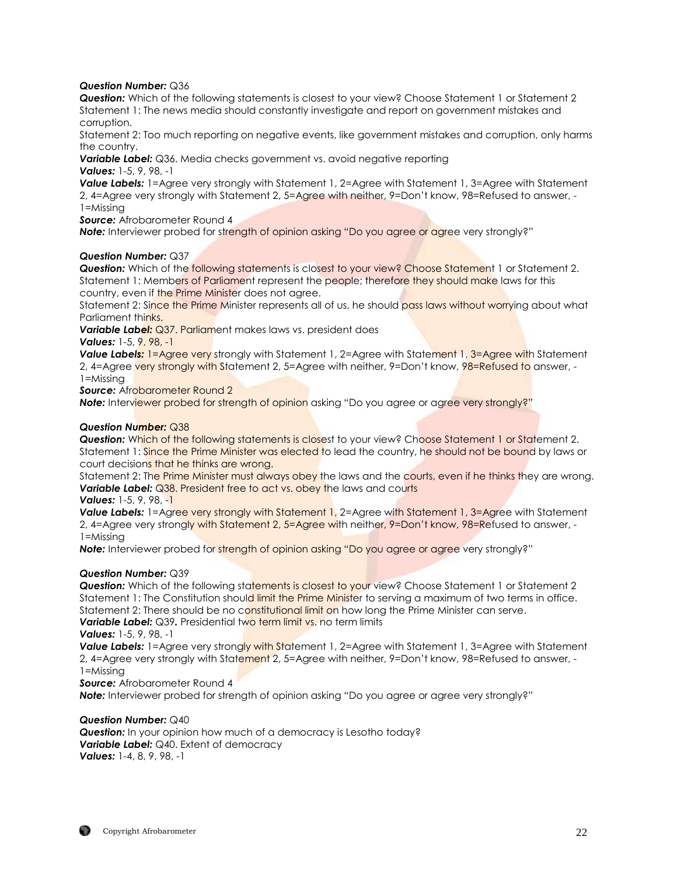## *Question Number:* Q36

*Question:* Which of the following statements is closest to your view? Choose Statement 1 or Statement 2 Statement 1: The news media should constantly investigate and report on government mistakes and corruption.

Statement 2: Too much reporting on negative events, like government mistakes and corruption, only harms the country.

*Variable Label:* Q36. Media checks government vs. avoid negative reporting *Values:* 1-5, 9, 98, -1

**Value Labels:** 1=Agree very strongly with Statement 1, 2=Agree with Statement 1, 3=Agree with Statement 2, 4=Agree very strongly with Statement 2, 5=Agree with neither, 9=Don't know, 98=Refused to answer, - 1=Missing

*Source:* Afrobarometer Round 4

**Note:** Interviewer probed for strength of opinion asking "Do you agree or agree very strongly?"

## *Question Number:* Q37

**Question:** Which of the following statements is closest to your view? Choose Statement 1 or Statement 2. Statement 1: Members of Parliament represent the people; therefore they should make laws for this country, even if the Prime Minister does not agree.

Statement 2: Since the Prime Minister represents all of us, he should pass laws without worrying about what Parliament thinks.

*Variable Label:* Q37. Parliament makes laws vs. president does

*Values:* 1-5, 9, 98, -1

**Value Labels:** 1=Agree very strongly with Statement 1, 2=Agree with Statement 1, 3=Agree with Statement 2, 4=Agree very strongly with Statement 2, 5=Agree with neither, 9=Don't know, 98=Refused to answer, -1=Missing

**Source:** Afrobarometer Round 2

**Note:** Interviewer probed for strength of opinion asking "Do you agree or agree very strongly?"

## *Question Number:* Q38

**Question:** Which of the following statements is closest to your view? Choose Statement 1 or Statement 2. Statement 1: Since the Prime Minister was elected to lead the country, he should not be bound by laws or court decisions that he thinks are wrong.

Statement 2: The Prime Minister must always obey the laws and the courts, even if he thinks they are wrong. **Variable Label:** Q38. President free to act vs. obey the laws and courts

*Values:* 1-5, 9, 98, -1

*Value Labels:* 1=Agree very strongly with Statement 1, 2=Agree with Statement 1, 3=Agree with Statement 2, 4=Agree very strongly with Statement 2, 5=Agree with neither, 9=Don't know, 98=Refused to answer, -1=Missing

**Note:** Interviewer probed for strength of opinion asking "Do you agree or agree very strongly?"

## *Question Number:* Q39

**Question:** Which of the following statements is closest to your view? Choose Statement 1 or Statement 2 Statement 1: The Constitution should limit the Prime Minister to serving a maximum of two terms in office. Statement 2: There should be no constitutional limit on how long the Prime Minister can serve. *Variable Label:* Q39. Presidential two term limit vs. no term limits

*Values:* 1-5, 9, 98, -1

*Value Labels:* 1=Agree very strongly with Statement 1, 2=Agree with Statement 1, 3=Agree with Statement 2, 4=Agree very strongly with Statement 2, 5=Agree with neither, 9=Don't know, 98=Refused to answer, -1=Missing

*Source:* Afrobarometer Round 4

**Note:** Interviewer probed for strength of opinion asking "Do you agree or agree very strongly?"

#### *Question Number:* Q40

*Question:* In your opinion how much of a democracy is Lesotho today? *Variable Label: Q40. Extent of democracy Values:* 1-4, 8, 9, 98, -1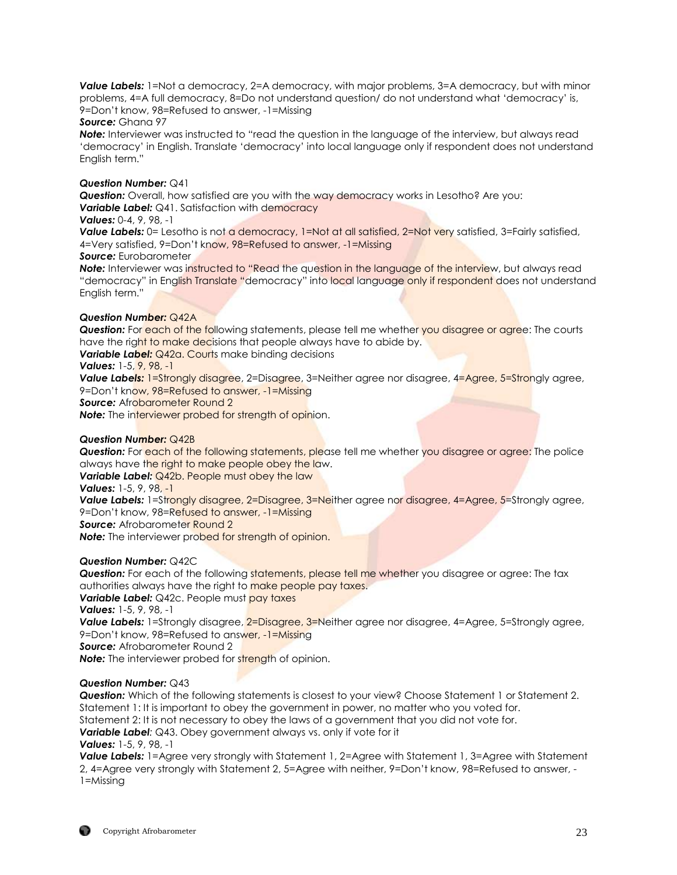**Value Labels:** 1=Not a democracy, 2=A democracy, with major problems, 3=A democracy, but with minor problems, 4=A full democracy, 8=Do not understand question/ do not understand what 'democracy' is, 9=Don't know, 98=Refused to answer, -1=Missing

#### *Source:* Ghana 97

**Note:** Interviewer was instructed to "read the question in the language of the interview, but always read 'democracy' in English. Translate 'democracy' into local language only if respondent does not understand English term."

#### *Question Number:* Q41

*Question:* Overall, how satisfied are you with the way democracy works in Lesotho? Are you: **Variable Label:** Q41. Satisfaction with democracy

## *Values:* 0-4, 9, 98, -1

Value Labels: 0= Lesotho is not a democracy, 1=Not at all satisfied, 2=Not very satisfied, 3=Fairly satisfied, 4=Very satisfied, 9=Don't know, 98=Refused to answer, -1=Missing

#### *Source:* Eurobarometer

**Note:** Interviewer was instructed to "Read the question in the language of the interview, but always read "democracy" in English Translate "democracy" into local language only if respondent does not understand English term."

## *Question Number:* Q42A

**Question:** For each of the following statements, please tell me whether you disagree or agree: The courts have the right to make decisions that people always have to abide by.

**Variable Label:** Q42a. Courts make binding decisions

## *Values:* 1-5, 9, 98, -1

**Value Labels:** 1=Strongly disagree, 2=Disagree, 3=Neither agree nor disagree, 4=Agree, 5=Strongly agree, 9=Don't know, 98=Refused to answer, -1=Missing

**Source:** Afrobarometer Round 2

**Note:** The interviewer probed for strength of opinion.

## *Question Number:* Q42B

**Question:** For each of the following statements, please tell me whether you disagree or agree: The police always have the right to make people obey the law.

**Variable Label:** Q42b. People must obey the law

*Values:* 1-5, 9, 98, -1

Value Labels: 1=Strongly disagree, 2=Disagree, 3=Neither agree nor disagree, 4=Agree, 5=Strongly agree, 9=Don't know, 98=Refused to answer, -1=Missing

**Source:** Afrobarometer Round 2

**Note:** The interviewer probed for strength of opinion.

## *Question Number:* Q42C

**Question:** For each of the following statements, please tell me whether you disagree or agree: The tax authorities always have the right to make people pay taxes.

**Variable Label:** Q42c. People must **pay taxes** 

*Values:* 1-5, 9, 98, -1

**Value Labels:** 1=Strongly disagree, 2=Disagree, 3=Neither agree nor disagree, 4=Agree, 5=Strongly agree, 9=Don't know, 98=Refused to answer, -1=Missing

*Source:* Afrobarometer Round 2

**Note:** The interviewer probed for strength of opinion.

## *Question Number:* Q43

*Question:* Which of the following statements is closest to your view? Choose Statement 1 or Statement 2. Statement 1: It is important to obey the government in power, no matter who you voted for.

Statement 2: It is not necessary to obey the laws of a government that you did not vote for.

*Variable Label:* Q43. Obey government always vs. only if vote for it

*Values:* 1-5, 9, 98, -1

**Value Labels:** 1=Agree very strongly with Statement 1, 2=Agree with Statement 1, 3=Agree with Statement 2, 4=Agree very strongly with Statement 2, 5=Agree with neither, 9=Don't know, 98=Refused to answer, - 1=Missing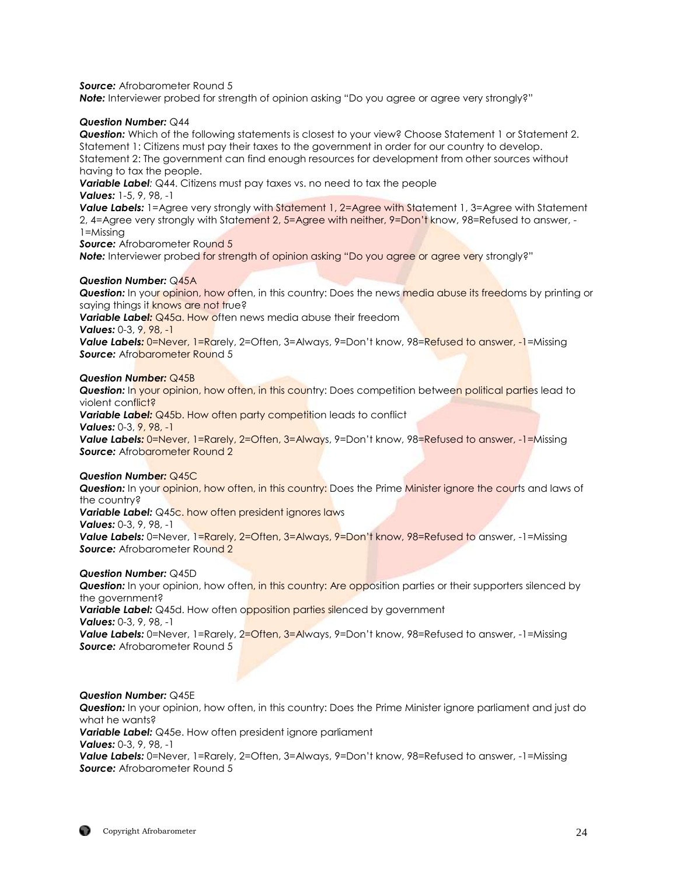*Source:* Afrobarometer Round 5

**Note:** Interviewer probed for strength of opinion asking "Do you agree or agree very strongly?"

#### *Question Number:* Q44

*Question:* Which of the following statements is closest to your view? Choose Statement 1 or Statement 2. Statement 1: Citizens must pay their taxes to the government in order for our country to develop. Statement 2: The government can find enough resources for development from other sources without having to tax the people.

*Variable Label:* Q44. Citizens must pay taxes vs. no need to tax the people *Values:* 1-5, 9, 98, -1

**Value Labels:** 1=Agree very strongly with Statement 1, 2=Agree with Statement 1, 3=Agree with Statement 2, 4=Agree very strongly with Statement 2, 5=Agree with neither, 9=Don't know, 98=Refused to answer, - 1=Missing

**Source:** Afrobarometer Round 5

**Note:** Interviewer probed for strength of opinion asking "Do you agree or agree very strongly?"

#### *Question Number:* Q45A

*Question:* In your opinion, how often, in this country: Does the news media abuse its freedoms by printing or saying things it knows are not true?

**Variable Label:** Q45a. How often news media abuse their freedom

*Values:* 0-3, 9, 98, -1

Value Labels: 0=Never, 1=Rarely, 2=Often, 3=Always, 9=Don't know, 98=Refused to answer, -1=Missing **Source:** Afrobarometer Round 5

#### *Question Number:* Q45B

*Question:* In your opinion, how often, in this country: Does competition between political parties lead to violent conflict?

**Variable Label:** Q45b. How often party competition leads to conflict *Values:* 0-3, 9, 98, -1

**Value Labels:** 0=Never, 1=Rarely, 2=Often, 3=Always, 9=Don't know, 98=Refused to answer, -1=Missing **Source:** Afrobarometer Round 2

#### *Question Number:* Q45C

**Question:** In your *opinion, how often, in this country*: Does the Prime Minister ignore the courts and laws of the country?

**Variable Label:** Q45c. how often president ignores laws

*Values:* 0-3, 9, 98, -1

*Value Labels:* 0=Never, 1=Rarely, 2=Often, 3=Always, 9=Don't know, 98=Refused to answer, -1=Missing **Source:** Afrobarometer Round 2

#### *Question Number:* Q45D

**Question:** In your opinion, how often, in this country: Are opposition parties or their supporters silenced by the government? **Variable Label:** Q45d. How often opposition parties silenced by government *Values:* 0-3, 9, 98, -1 **Value Labels:** 0=Never, 1=Rarely, 2=Often, 3=Always, 9=Don't know, 98=Refused to answer, -1=Missing *Source:* Afrobarometer Round 5

#### *Question Number:* Q45E

*Question:* In your opinion, how often, in this country: Does the Prime Minister ignore parliament and just do what he wants? *Variable Label:* Q45e. How often president ignore parliament *Values:* 0-3, 9, 98, -1 *Value Labels:* 0=Never, 1=Rarely, 2=Often, 3=Always, 9=Don't know, 98=Refused to answer, -1=Missing *Source:* Afrobarometer Round 5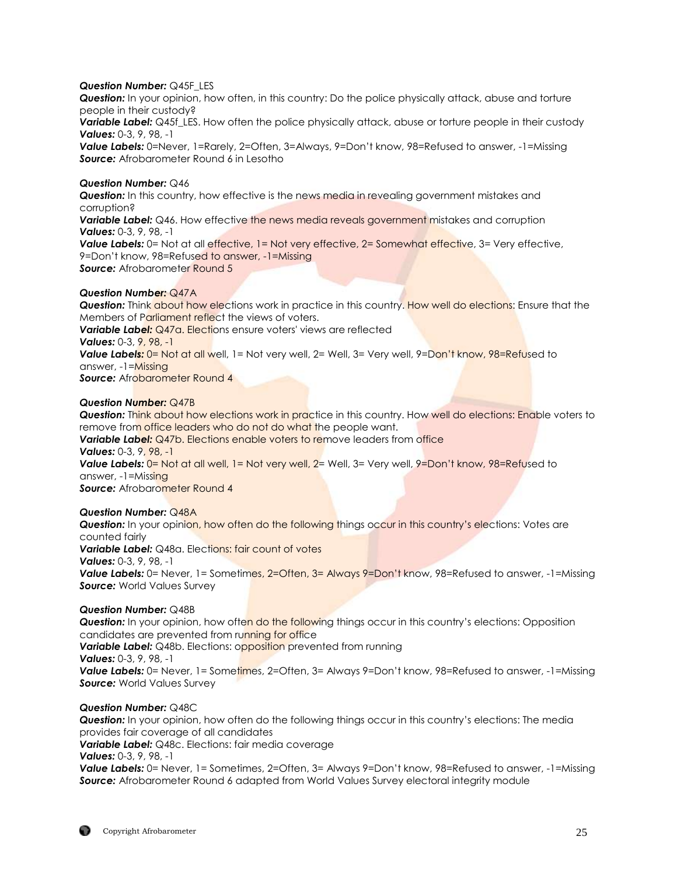#### *Question Number:* Q45F\_LES

*Question:* In your opinion, how often, in this country: Do the police physically attack, abuse and torture people in their custody?

**Variable Label:** Q45f\_LES. How often the police physically attack, abuse or torture people in their custody *Values:* 0-3, 9, 98, -1

*Value Labels:* 0=Never, 1=Rarely, 2=Often, 3=Always, 9=Don't know, 98=Refused to answer, -1=Missing **Source:** Afrobarometer Round 6 in Lesotho

#### *Question Number:* Q46

**Question:** In this country, how effective is the news media in revealing government mistakes and corruption?

**Variable Label:** Q46. How effective the news media reveals government mistakes and corruption *Values:* 0-3, 9, 98, -1

**Value Labels:** 0= Not at all effective, 1= Not very effective, 2= Somewhat effective, 3= Very effective, 9=Don't know, 98=Refused to answer, -1=Missing **Source:** Afrobarometer Round 5

## *Question Number:* Q47A

*Question:* Think about how elections work in practice in this country. How well do elections: Ensure that the Members of Parliament reflect the views of voters.

**Variable Label:** Q47a. Elections ensure voters' views are reflected

## *Values:* 0-3, 9, 98, -1

Value Labels: 0= Not at all well, 1= Not very well, 2= Well, 3= Very well, 9=Don't know, 98=Refused to answer, -1=Missing

**Source:** Afrobarometer Round 4

## *Question Number:* Q47B

*Question:* Think about how elections work in practice in this country. How well do elections: Enable voters to remove from office leaders who do not do what the people want.

*Variable Label:* Q47b. Elections enable voters to remove leaders from office

## *Values:* 0-3, 9, 98, -1

**Value Labels:** 0= Not at all well, 1= Not very well, 2= Well, 3= Very well, 9=Don't know, 98=Refused to answer, -1=Missing

**Source:** Afrobarometer Round 4

## *Question Number:* Q48A

**Question:** In your opinion, how often do the following things occur in this country's elections: Votes are counted fairly **Variable Label:** Q48a. Elections: fair count of votes *Values:* 0-3, 9, 98, -1 **Value Labels:** 0= Never, 1= Sometimes, 2=Often, 3= Always 9=Don't know, 98=Refused to answer, -1=Missing

# *Source:* World Values Survey *Question Number:* Q48B

**Question:** In your opinion, how often do the following things occur in this country's elections: Opposition candidates are prevented from running for office

**Variable Label:** Q48b. Elections: opposition prevented from running

*Values:* 0-3, 9, 98, -1

**Value Labels:** 0= Never, 1= Sometimes, 2=Often, 3= Always 9=Don't know, 98=Refused to answer, -1=Missing *Source:* World Values Survey

#### *Question Number:* Q48C

*Question:* In your opinion, how often do the following things occur in this country's elections: The media provides fair coverage of all candidates *Variable Label:* Q48c. Elections: fair media coverage *Values:* 0-3, 9, 98, -1 **Value Labels:** 0= Never, 1= Sometimes, 2=Often, 3= Always 9=Don't know, 98=Refused to answer, -1=Missing *Source:* Afrobarometer Round 6 adapted from World Values Survey electoral integrity module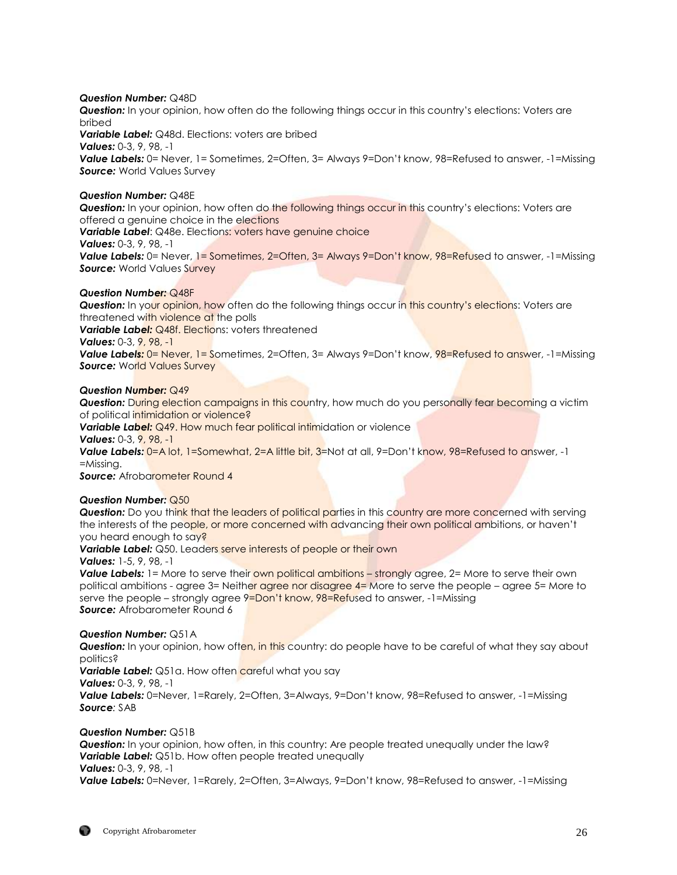#### *Question Number:* Q48D

*Question:* In your opinion, how often do the following things occur in this country's elections: Voters are bribed

*Variable Label:* Q48d. Elections: voters are bribed *Values:* 0-3, 9, 98, -1 Value Labels: 0= Never, 1= Sometimes, 2=Often, 3= Always 9=Don't know, 98=Refused to answer, -1=Missing *Source:* World Values Survey

## *Question Number:* Q48E

**Question:** In your opinion, how often do the following things occur in this country's elections: Voters are offered a genuine choice in the elections *Variable Label*: Q48e. Elections: voters have genuine choice *Values:* 0-3, 9, 98, -1 **Value Labels:** 0= Never, 1= Sometimes, 2=Often, 3= Always 9=Don't know, 98=Refused to answer, -1=Missing *Source:* World Values Survey

## *Question Number:* Q48F

**Question:** In your opinion, how often do the following things occur in this country's elections: Voters are threatened with violence at the polls **Variable Label: Q48f. Elections: voters threatened** *Values:* 0-3, 9, 98, -1 Value Labels: 0= Never, 1= Sometimes, 2=Often, 3= Always 9=Don't know, 98=Refused to answer, -1=Missing *Source:* World Values Survey

#### *Question Number:* Q49

**Question:** During election campaigns in this country, how much do you personally fear becoming a victim of political intimidation or violence?

**Variable Label:** Q49. How much fear political intimidation or violence

*Values:* 0-3, 9, 98, -1

**Value Labels:** 0=A lot, 1=Somewhat, 2=A little bit, 3=Not at all, 9=Don't know, 98=Refused to answer, -1 =Missing.

**Source:** Afrobarometer Round 4

## *Question Number:* Q50

**Question:** Do you think that the leaders of political parties in this country are more concerned with serving the interests of the people, or more concerned with advancing their own political ambitions, or haven't you heard enough to say?

**Variable Label:** Q50. Leaders serve interests of people or their own

## *Values:* 1-5, 9, 98, -1

**Value Labels:** 1= More to serve their own political ambitions – strongly agree, 2= More to serve their own political ambitions - agree 3= Neither agree nor disagree  $4=$  More to serve the people – agree 5= More to serve the people – strongly agree 9=Don't know, 98=Refused to answer, -1=Missing *Source:* Afrobarometer Round 6

## *Question Number:* Q51A

**Question:** In your opinion, how often, in this country: do people have to be careful of what they say about politics?

Variable Label: Q51a. How often careful what you say

*Values:* 0-3, 9, 98, -1

*Value Labels:* 0=Never, 1=Rarely, 2=Often, 3=Always, 9=Don't know, 98=Refused to answer, -1=Missing *Source:* SAB

## *Question Number:* Q51B

*Question:* In your opinion, how often, in this country: Are people treated unequally under the law? **Variable Label:** Q51b. How often people treated unequally *Values:* 0-3, 9, 98, -1

*Value Labels:* 0=Never, 1=Rarely, 2=Often, 3=Always, 9=Don't know, 98=Refused to answer, -1=Missing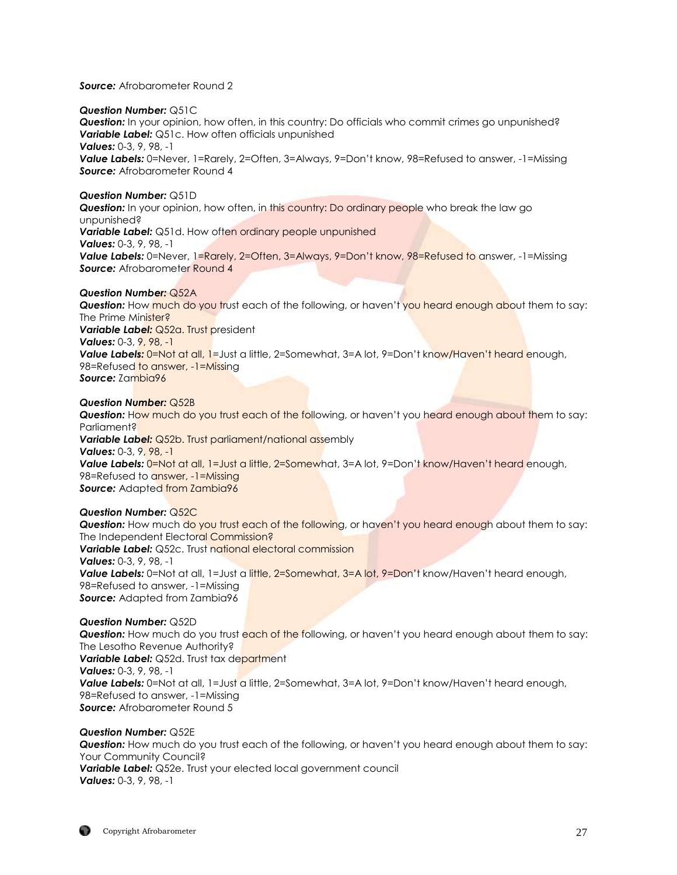## *Source:* Afrobarometer Round 2

## *Question Number:* Q51C

*Question:* In your opinion, how often, in this country: Do officials who commit crimes go unpunished? **Variable Label:** Q51c. How often officials unpunished *Values:* 0-3, 9, 98, -1 *Value Labels:* 0=Never, 1=Rarely, 2=Often, 3=Always, 9=Don't know, 98=Refused to answer, -1=Missing **Source:** Afrobarometer Round 4

## *Question Number:* Q51D

**Question:** In your opinion, how often, in this country: Do ordinary people who break the law go unpunished? **Variable Label:** Q51d. How often ordinary people unpunished *Values:* 0-3, 9, 98, -1 *Value Labels:* 0=Never, 1=Rarely, 2=Often, 3=Always, 9=Don't know, 98=Refused to answer, -1=Missing **Source:** Afrobarometer Round 4

## *Question Number:* Q52A

**Question:** How much do you trust each of the following, or haven't you heard enough about them to say: The Prime Minister? **Variable Label: Q52a. Trust president** *Values:* 0-3, 9, 98, -1 **Value Labels:** 0=Not at all, 1=Just a little, 2=Somewhat, 3=A lot, 9=Don't know/Haven't heard enough, 98=Refused to answer, -1=Missing *Source:* Zambia96

## *Question Number:* Q52B

**Question:** How much do you trust each of the following, or haven't you heard enough about them to say: Parliament? **Variable Label:** Q52b. Trust parliament/national assembly *Values:* 0-3, 9, 98, -1 **Value Labels:** 0=Not at all, 1=Just a little, 2=Somewhat, 3=A lot, 9=Don't know/Haven't heard enough, 98=Refused to answer, -1=Missing **Source:** Adapted from Zambia96

## *Question Number:* Q52C

**Question:** How much do you trust each of the following, or haven't you heard enough about them to say: The Independent Electoral Commission? **Variable Label:** Q52c. Trust national electoral commission *Values:* 0-3, 9, 98, -1 Value Labels: 0=Not at all, 1=Just a little, 2=Somewhat, 3=A lot, 9=Don't know/Haven't heard enough, 98=Refused to answer, -1=Missing **Source:** Adapted from Zambia96

*Question Number:* Q52D **Question:** How much do you trust each of the following, or haven't you heard enough about them to say: The Lesotho Revenue Authority? **Variable Label:** Q52d. Trust tax department *Values:* 0-3, 9, 98, -1 *Value Labels:* 0=Not at all, 1=Just a little, 2=Somewhat, 3=A lot, 9=Don't know/Haven't heard enough, 98=Refused to answer, -1=Missing *Source:* Afrobarometer Round 5

# *Question Number:* Q52E

*Question:* How much do you trust each of the following, or haven't you heard enough about them to say: Your Community Council? **Variable Label:** Q52e. Trust your elected local government council *Values:* 0-3, 9, 98, -1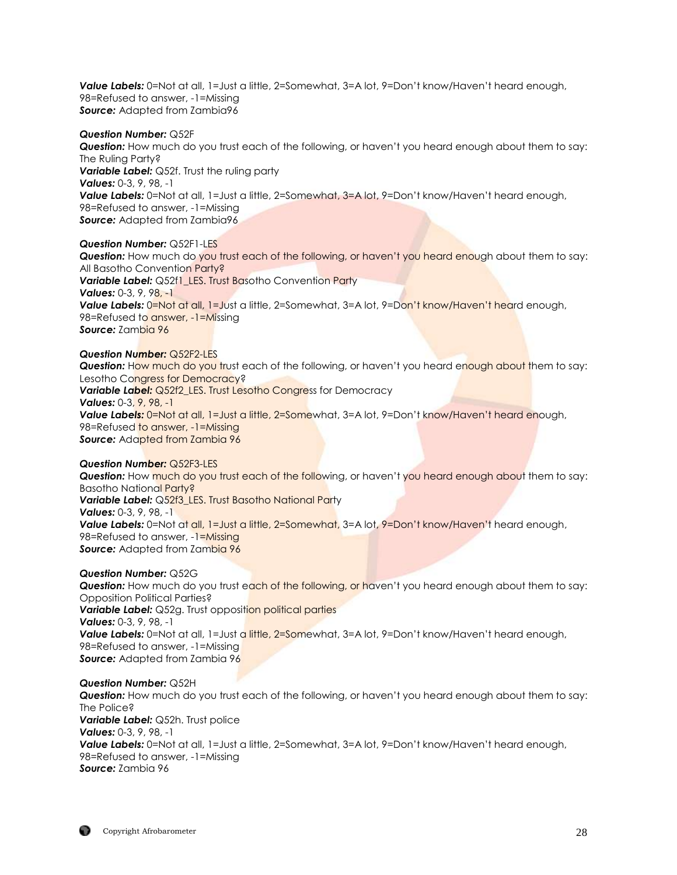Value Labels: 0=Not at all, 1=Just a little, 2=Somewhat, 3=A lot, 9=Don't know/Haven't heard enough, 98=Refused to answer, -1=Missing *Source:* Adapted from Zambia96

#### *Question Number:* Q52F

*Question:* How much do you trust each of the following, or haven't you heard enough about them to say: The Ruling Party? **Variable Label:** Q52f. Trust the ruling party *Values:* 0-3, 9, 98, -1 **Value Labels:** 0=Not at all, 1=Just a little, 2=Somewhat, 3=A lot, 9=Don't know/Haven't heard enough, 98=Refused to answer, -1=Missing **Source:** Adapted from Zambia96

*Question Number:* Q52F1-LES **Question:** How much do you trust each of the following, or haven't you heard enough about them to say: All Basotho Convention Party? **Variable Label:** Q52f1 LES. Trust Basotho Convention Party *Values:* 0-3, 9, 98, -1 **Value Labels:** 0=Not at all, 1=Just a little, 2=Somewhat, 3=A lot, 9=Don't know/Haven't heard enough, 98=Refused to answer, -1=Missing *Source:* Zambia 96

## *Question Number:* Q52F2-LES

**Question:** How much do you trust each of the following, or haven't you heard enough about them to say: Lesotho Congress for Democracy? **Variable Label:** Q52f2 LES. Trust Lesotho Congress for Democracy *Values:* 0-3, 9, 98, -1 *Value Labels:* 0=Not at all, 1=Just a little, 2=Somewhat, 3=A lot, 9=Don't know/Haven't heard enough, 98=Refused to answer, -1=Missing *Source:* Adapted from Zambia 96

#### *Question Number:* Q52F3-LES

**Question:** How much do you trust each of the following, or haven't you heard enough about them to say: Basotho National Party? **Variable Label:** Q52f3\_LES. Trust Basotho National Party *Values:* 0-3, 9, 98, -1 Value Labels: 0=Not at all, 1=Just a little, 2=Somewhat, 3=A lot, 9=Don't know/Haven't heard enough, 98=Refused to answer, -1=Missing **Source:** Adapted from Zambia 96

#### *Question Number:* Q52G

**Question:** How much do you trust each of the following, or haven't you heard enough about them to say: Opposition Political Parties? **Variable Label:** Q52g. Trust opposition political parties *Values:* 0-3, 9, 98, -1 **Value Labels:** 0=Not at all, 1=Just a little, 2=Somewhat, 3=A lot, 9=Don't know/Haven't heard enough, 98=Refused to answer, -1=Missing *Source:* Adapted from Zambia 96

#### *Question Number:* Q52H

**Question:** How much do you trust each of the following, or haven't you heard enough about them to say: The Police? **Variable Label:** Q52h. Trust police *Values:* 0-3, 9, 98, -1 **Value Labels:** 0=Not at all, 1=Just a little, 2=Somewhat, 3=A lot, 9=Don't know/Haven't heard enough, 98=Refused to answer, -1=Missing *Source:* Zambia 96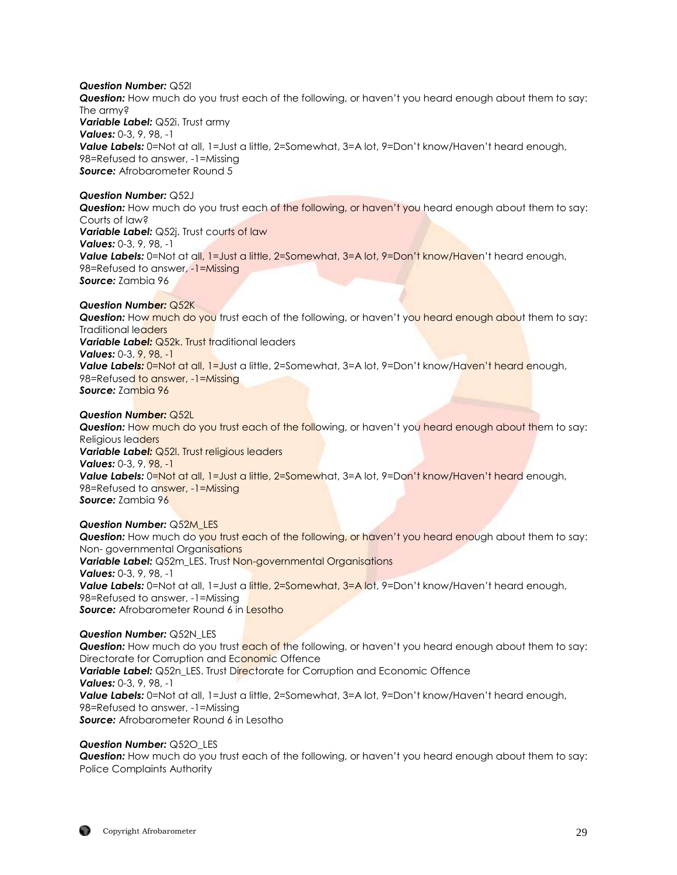*Question Number:* Q52I

*Question:* How much do you trust each of the following, or haven't you heard enough about them to say: The army? *Variable Label:* Q52i. Trust army *Values:* 0-3, 9, 98, -1 *Value Labels:* 0=Not at all, 1=Just a little, 2=Somewhat, 3=A lot, 9=Don't know/Haven't heard enough, 98=Refused to answer, -1=Missing **Source:** Afrobarometer Round 5

*Question Number:* Q52J

**Question:** How much do you trust each of the following, or haven't you heard enough about them to say: Courts of law? *Variable Label: Q52j. Trust courts of law Values:* 0-3, 9, 98, -1 **Value Labels:** 0=Not at all, 1=Just a little, 2=Somewhat, 3=A lot, 9=Don't know/Haven't heard enough, 98=Refused to answer, -1=Missing *Source:* Zambia 96

*Question Number:* Q52K

**Question:** How much do you trust each of the following, or haven't you heard enough about them to say: Traditional leaders **Variable Label:** Q52k. Trust traditional leaders *Values:* 0-3, 9, 98, -1 Value Labels: 0=Not at all, 1=Just a little, 2=Somewhat, 3=A lot, 9=Don't know/Haven't heard enough, 98=Refused to answer, -1=Missing *Source:* Zambia 96

*Question Number:* Q52L

**Question:** How much do you trust each of the following, or haven't you heard enough about them to say: Religious leaders *Variable Label:* Q52l. Trust religious leaders *Values:* 0-3, 9, 98, -1 **Value Labels:** 0=Not at all, 1=Just a little, 2=Somewhat, 3=A lot, 9=Don't know/Haven't heard enough, 98=Refused to answer, -1=Missing *Source:* Zambia 96

*Question Number:* Q52M\_LES **Question:** How much do you trust each of the following, or haven't you heard enough about them to say: Non- governmental Organisations *Variable Label:* Q52m\_LES. Trust Non-governmental Organisations *Values:* 0-3, 9, 98, -1 **Value Labels:** 0=Not at all, 1=Just a little, 2=Somewhat, 3=A lot, 9=Don't know/Haven't heard enough, 98=Refused to answer, -1=Missing **Source:** Afrobarometer Round 6 in Lesotho

*Question Number:* Q52N\_LES **Question:** How much do you trust **each of the following, or haven't you heard enough about them to say:** Directorate for Corruption and Economic Offence **Variable Label:** Q52n LES. Trust Directorate for Corruption and Economic Offence *Values:* 0-3, 9, 98, -1 **Value Labels:** 0=Not at all, 1=Just a little, 2=Somewhat, 3=A lot, 9=Don't know/Haven't heard enough, 98=Refused to answer, -1=Missing **Source:** Afrobarometer Round 6 in Lesotho

*Question Number:* Q52O\_LES *Question:* How much do you trust each of the following, or haven't you heard enough about them to say: Police Complaints Authority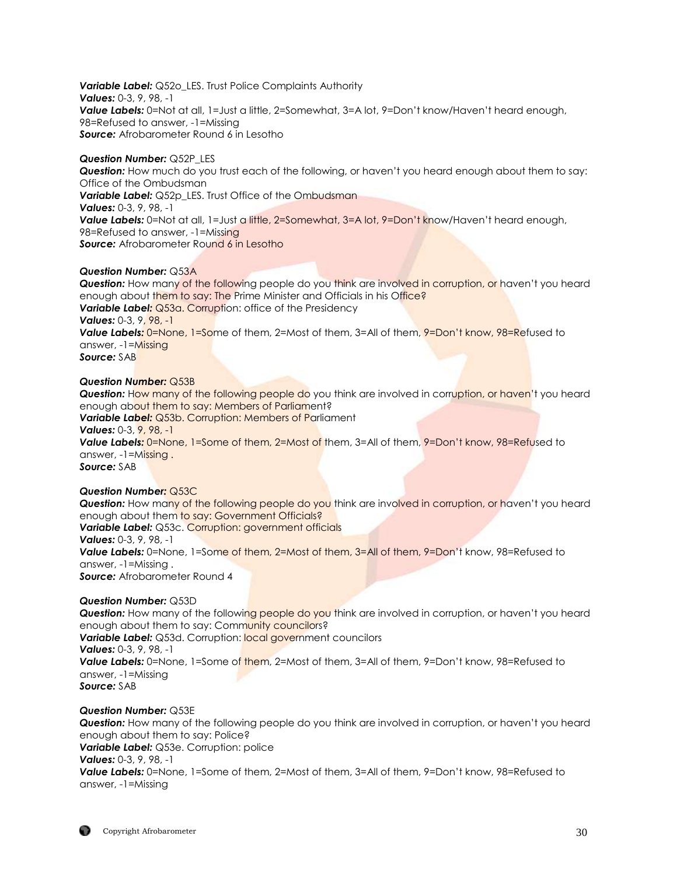*Variable Label:* Q52o\_LES. Trust Police Complaints Authority *Values:* 0-3, 9, 98, -1 Value Labels: 0=Not at all, 1=Just a little, 2=Somewhat, 3=A lot, 9=Don't know/Haven't heard enough, 98=Refused to answer, -1=Missing **Source:** Afrobarometer Round 6 in Lesotho

## *Question Number:* Q52P\_LES

*Question:* How much do you trust each of the following, or haven't you heard enough about them to say: Office of the Ombudsman **Variable Label:** Q52p LES. Trust Office of the Ombudsman *Values:* 0-3, 9, 98, -1 **Value Labels:** 0=Not at all, 1=Just a little, 2=Somewhat, 3=A lot, 9=Don't know/Haven't heard enough, 98=Refused to answer, -1=Missing **Source:** Afrobarometer Round 6 in Lesotho

## *Question Number:* Q53A

**Question:** How many of the following people do you think are involved in corruption, or haven't you heard enough about them to say: The Prime Minister and Officials in his Office? **Variable Label:** Q53a. Corruption: office of the Presidency *Values:* 0-3, 9, 98, -1 Value Labels: 0=None, 1=Some of them, 2=Most of them, 3=All of them, 9=Don't know, 98=Refused to answer, -1=Missing *Source:* SAB

#### *Question Number:* Q53B

**Question:** How many of the following people do you think are involved in corruption, or haven't you heard enough about them to say: Members of Parliament? *Variable Label:* Q53b. Corruption: Members of Parliament *Values:* 0-3, 9, 98, -1 Value Labels: 0=None, 1=Some of them, 2=Most of them, 3=All of them, 9=Don't know, 98=Refused to answer, -1=Missing . *Source:* SAB

## *Question Number:* Q53C

**Question:** How many of the following people do you think are involved in corruption, or haven't you heard enough about them to say: Government Officials? *Variable Label:* Q53c. Corruption: government officials *Values:* 0-3, 9, 98, -1 Value Labels: 0=None, 1=Some of them, 2=Most of them, 3=All of them, 9=Don't know, 98=Refused to answer, -1=Missing . **Source:** Afrobarometer Round 4

#### *Question Number:* Q53D

**Question:** How many of the following people do you think are involved in corruption, or haven't you heard enough about them to say: Community councilors? **Variable Label:** Q53d. Corruption: local government councilors *Values:* 0-3, 9, 98, -1 **Value Labels:** 0=None, 1=Some of them, 2=Most of them, 3=All of them, 9=Don't know, 98=Refused to answer, -1=Missing *Source:* SAB

## *Question Number:* Q53E

*Question:* How many of the following people do you think are involved in corruption, or haven't you heard enough about them to say: Police? *Variable Label:* Q53e. Corruption: police *Values:* 0-3, 9, 98, -1 *Value Labels:* 0=None, 1=Some of them, 2=Most of them, 3=All of them, 9=Don't know, 98=Refused to answer, -1=Missing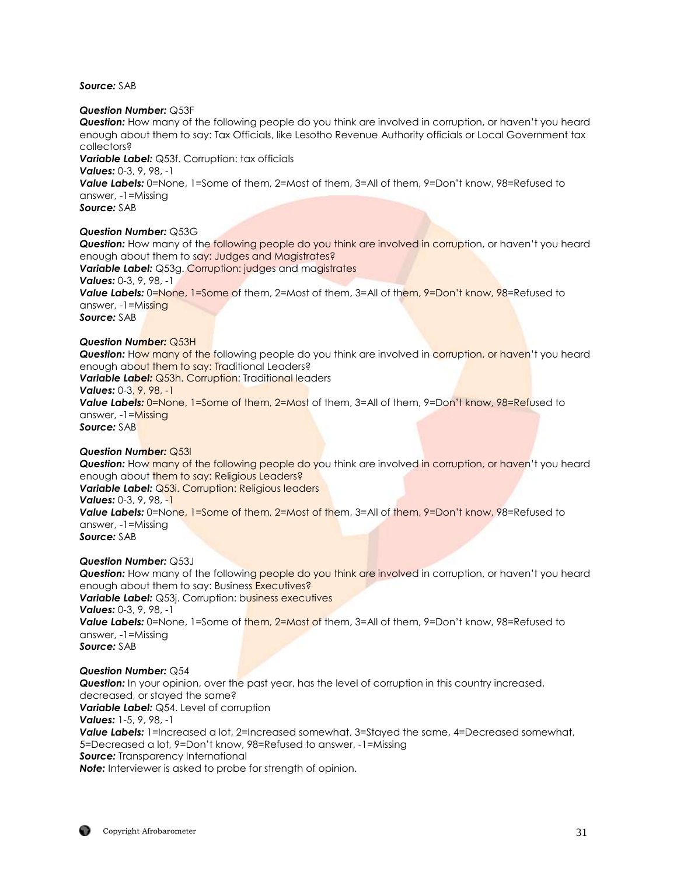*Source:* SAB

#### *Question Number:* Q53F

*Question:* How many of the following people do you think are involved in corruption, or haven't you heard enough about them to say: Tax Officials, like Lesotho Revenue Authority officials or Local Government tax collectors?

*Variable Label:* Q53f. Corruption: tax officials

*Values:* 0-3, 9, 98, -1

*Value Labels:* 0=None, 1=Some of them, 2=Most of them, 3=All of them, 9=Don't know, 98=Refused to answer, -1=Missing

*Source:* SAB

*Question Number:* Q53G

**Question:** How many of the following people do you think are involved in corruption, or haven't you heard enough about them to say: Judges and Magistrates? **Variable Label:** Q53g. Corruption: judges and magistrates *Values:* 0-3, 9, 98, -1 Value Labels: 0=None, 1=Some of them, 2=Most of them, 3=All of them, 9=Don't know, 98=Refused to answer, -1=Missing *Source:* SAB

#### *Question Number:* Q53H

**Question:** How many of the following people do you think are involved in corruption, or haven't you heard enough about them to say: Traditional Leaders? **Variable Label:** Q53h. Corruption: Traditional leaders *Values:* 0-3, 9, 98, -1 *Value Labels:* 0=None, 1=Some of them, 2=Most of them, 3=All of them, 9=Don't know, 98=Refused to answer, -1=Missing *Source:* SAB

*Question Number:* Q53I

**Question:** How many of the following people do you think are involved in corruption, or haven't you heard enough about them to say: Religious Leaders? *Variable Label:* Q53i. Corruption: Religious leaders *Values:* 0-3, 9, 98, -1 **Value Labels:** 0=None, 1=Some of them, 2=Most of them, 3=All of them, 9=Don't know, 98=Refused to answer, -1=Missing *Source:* SAB

*Question Number:* Q53J

**Question:** How many of the following people do you think are involved in corruption, or haven't you heard enough about them to say: Business Executives? **Variable Label:** Q53*i*. Corruption: business executives *Values:* 0-3, 9, 98, -1 **Value Labels:** 0=None, 1=Some of them, 2=Most of them, 3=All of them, 9=Don't know, 98=Refused to answer, -1=Missing *Source:* SAB

#### *Question Number:* Q54

**Question:** In your opinion, over the past year, has the level of corruption in this country increased, decreased, or stayed the same? *Variable Label:* Q54. Level of corruption *Values:* 1-5, 9, 98, -1 **Value Labels:** 1=Increased a lot, 2=Increased somewhat, 3=Stayed the same, 4=Decreased somewhat, 5=Decreased a lot, 9=Don't know, 98=Refused to answer, -1=Missing *Source:* Transparency International

**Note:** Interviewer is asked to probe for strength of opinion.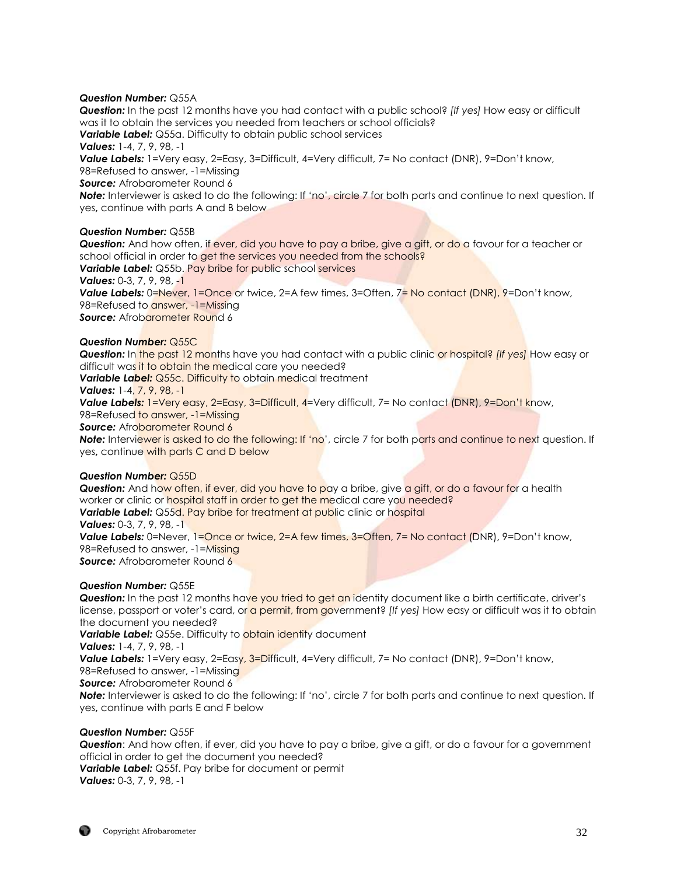#### *Question Number:* Q55A

*Question:* In the past 12 months have you had contact with a public school? *[If yes]* How easy or difficult was it to obtain the services you needed from teachers or school officials?

*Variable Label:* Q55a. Difficulty to obtain public school services

*Values:* 1-4, 7, 9, 98, -1

*Value Labels:* 1=Very easy, 2=Easy, 3=Difficult, 4=Very difficult, 7= No contact (DNR), 9=Don't know, 98=Refused to answer, -1=Missing

*Source:* Afrobarometer Round 6

*Note:* Interviewer is asked to do the following: If 'no', circle 7 for both parts and continue to next question. If yes**,** continue with parts A and B below

## *Question Number:* Q55B

*Question:* And how often, if ever, did you have to pay a bribe, give a gift, or do a favour for a teacher or school official in order to get the services you needed from the schools? *Variable Label:* Q55b. Pay bribe for public school services *Values:* 0-3, 7, 9, 98, -1 **Value Labels:** 0=Never, 1=Once or twice, 2=A few times, 3=Often, 7= No contact (DNR), 9=Don't know, 98=Refused to answer, -1=Missing **Source:** Afrobarometer Round 6

## *Question Number:* Q55C

*Question:* In the past 12 months have you had contact with a public clinic or hospital? *[If yes]* How easy or difficult was it to obtain the medical care you needed?

**Variable Label:** Q55c. Difficulty to obtain medical treatment

*Values:* 1-4, 7, 9, 98, -1

*Value Labels:* 1=Very easy, 2=Easy, 3=Difficult, 4=Very difficult, 7= No contact (DNR), 9=Don't know,

98=Refused to answer, -1=Missing

**Source:** Afrobarometer Round 6

**Note:** Interviewer is asked to do the following: If 'no', circle 7 for both parts and continue to next question. If yes**,** continue with parts C and D below

## *Question Number:* Q55D

**Question:** And how often, if ever, did you have to pay a bribe, give a gift, or do a favour for a health worker or clinic or hospital staff in order to get the medical care you needed? **Variable Label:** Q55d. Pay bribe for treatment at public clinic or hospital *Values:* 0-3, 7, 9, 98, -1 **Value Labels:** 0=Never, 1=Once or twice, 2=A few times, 3=Often, 7= No contact (DNR), 9=Don't know, 98=Refused to answer, -1=Missing **Source:** Afrobarometer Round 6

## *Question Number:* Q55E

**Question:** In the past 12 months have you tried to get an identity document like a birth certificate, driver's license, passport or voter's card, or a permit, from government? *[If yes]* How easy or difficult was it to obtain the document you needed?

**Variable Label:** Q55e. Difficulty to **obtain identity** document

*Values:* 1-4, 7, 9, 98, -1

**Value Labels:** 1=Very easy, 2=Easy, 3=Difficult, 4=Very difficult, 7= No contact (DNR), 9=Don't know,

98=Refused to answer, -1=Missing

*Source:* Afrobarometer Round 6

*Note:* Interviewer is asked to do the following: If 'no', circle 7 for both parts and continue to next question. If yes**,** continue with parts E and F below

## *Question Number:* Q55F

*Question*: And how often, if ever, did you have to pay a bribe, give a gift, or do a favour for a government official in order to get the document you needed? *Variable Label:* Q55f. Pay bribe for document or permit

*Values:* 0-3, 7, 9, 98, -1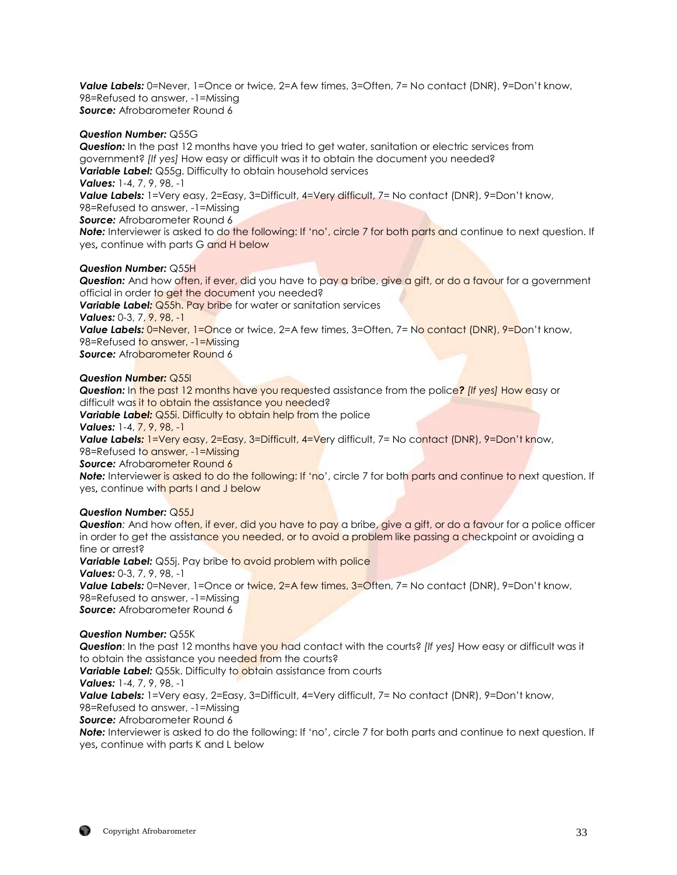*Value Labels:* 0=Never, 1=Once or twice, 2=A few times, 3=Often, 7= No contact (DNR), 9=Don't know, 98=Refused to answer, -1=Missing *Source:* Afrobarometer Round 6

## *Question Number:* Q55G

**Question:** In the past 12 months have you tried to get water, sanitation or electric services from government? *[If yes]* How easy or difficult was it to obtain the document you needed? *Variable Label:* Q55g. Difficulty to obtain household services *Values:* 1-4, 7, 9, 98, -1 **Value Labels:** 1=Very easy, 2=Easy, 3=Difficult, 4=Very difficult, 7= No contact (DNR), 9=Don't know, 98=Refused to answer, -1=Missing *Source:* Afrobarometer Round 6 *Note:* Interviewer is asked to do the following: If 'no', circle 7 for both parts and continue to next question. If yes**,** continue with parts G and H below

## *Question Number:* Q55H

**Question:** And how often, if ever, did you have to pay a bribe, give a gift, or do a favour for a government official in order to get the document you needed? **Variable Label:** Q55h. Pay bribe for water or sanitation services *Values:* 0-3, 7, 9, 98, -1 **Value Labels: 0=Never, 1=Once or twice, 2=A few times, 3=Often, 7= No contact (DNR), 9=Don't know,** 98=Refused to answer, -1=Missing **Source:** Afrobarometer Round 6

#### *Question Number:* Q55I

*Question:* In the past 12 months have you requested assistance from the police? *[If yes]* How easy or difficult was it to obtain the assistance you needed? **Variable Label:** Q55i. Difficulty to obtain help from the police *Values:* 1-4, 7, 9, 98, -1 **Value Labels:** 1=Very easy, 2=Easy, 3=Difficult, 4=Very difficult, 7= No contact (DNR), 9=Don't know, 98=Refused to answer, -1=Missing **Source:** Afrobarometer Round 6 *Note:* Interviewer is asked to do the following: If 'no', circle 7 for both parts and continue to next question. If yes**,** continue with parts I and J below

#### *Question Number:* Q55J

*Question:* And how often, if ever, did you have to pay a bribe, give a gift, or do a favour for a police officer in order to get the assistance you needed, or to avoid a problem like passing a checkpoint or avoiding a fine or arrest? **Variable Label:** Q55j. Pay bribe to avoid problem with police *Values:* 0-3, 7, 9, 98, -1 **Value Labels:** 0=Never, 1=Once or twice, 2=A few times, 3=Often, 7= No contact (DNR), 9=Don't know, 98=Refused to answer, -1=Missing *Source:* Afrobarometer Round 6

#### *Question Number:* Q55K

*Question*: In the past 12 months have you had contact with the courts? *[If yes]* How easy or difficult was it to obtain the assistance you needed from the courts? **Variable Label:** Q55k. Difficulty to obtain assistance from courts *Values:* 1-4, 7, 9, 98, -1 *Value Labels:* 1=Very easy, 2=Easy, 3=Difficult, 4=Very difficult, 7= No contact (DNR), 9=Don't know, 98=Refused to answer, -1=Missing *Source:* Afrobarometer Round 6

*Note:* Interviewer is asked to do the following: If 'no', circle 7 for both parts and continue to next question. If yes**,** continue with parts K and L below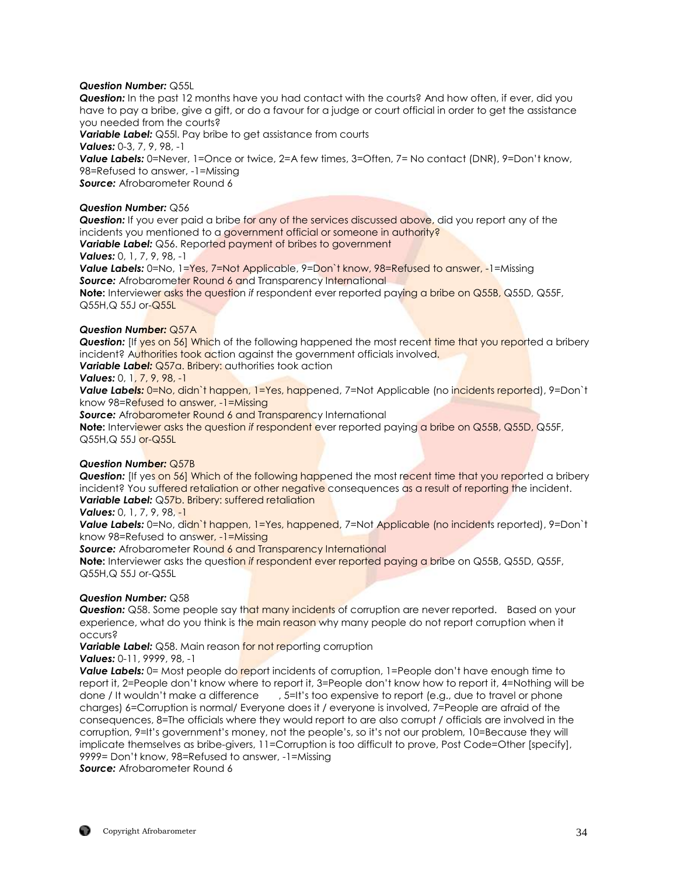## *Question Number:* Q55L

*Question:* In the past 12 months have you had contact with the courts? And how often, if ever, did you have to pay a bribe, give a gift, or do a favour for a judge or court official in order to get the assistance you needed from the courts?

*Variable Label:* Q55l. Pay bribe to get assistance from courts *Values:* 0-3, 7, 9, 98, -1 *Value Labels:* 0=Never, 1=Once or twice, 2=A few times, 3=Often, 7= No contact (DNR), 9=Don't know, 98=Refused to answer, -1=Missing **Source:** Afrobarometer Round 6

#### *Question Number:* Q56

*Question:* If you ever paid a bribe for any of the services discussed above, did you report any of the incidents you mentioned to a government official or someone in authority?

**Variable Label:** Q56. Reported payment of bribes to government

*Values:* 0, 1, 7, 9, 98, -1

Value Labels: 0=No, 1=Yes, 7=Not Applicable, 9=Don't know, 98=Refused to answer, -1=Missing **Source:** Afrobarometer Round 6 and Transparency International

**Note:** Interviewer asks the question *if* respondent ever reported paying a bribe on Q55B, Q55D, Q55F, Q55H, Q 55J or-**Q55L** 

#### *Question Number:* Q57A

**Question:** [If yes on 56] Which of the following happened the most recent time that you reported a bribery incident? Authorities took action against the government officials involved.

**Variable Label:** Q57a. Bribery: authorities took action

#### *Values:* 0, 1, 7, 9, 98, -1

*Value Labels:* 0=No, didn`t happen, 1=Yes, happened, 7=Not Applicable (no incidents reported), 9=Don`t know 98=Refused to answer, -1=Missing

**Source:** Afrobarometer Round 6 and Transparency International

**Note:** Interviewer asks the question *if* respondent ever reported paying a bribe on Q55B, Q55D, Q55F, Q55H,Q 55J or-Q55L

## *Question Number:* Q57B

**Question:** [If yes on 56] Which of the following happened the most recent time that you reported a bribery incident? You suffered retaliation or other negative consequences as a result of reporting the incident. *Variable Label:* Q57b. Bribery: suffered retaliation

*Values:* 0, 1, 7, 9, 98, -1

**Value Labels:** 0=No, didn't happen, 1=Yes, happened, 7=Not Applicable (no incidents reported), 9=Don't know 98=Refused to answer, -1=Missing

**Source:** Afrobarometer Round 6 and Transparency International

**Note:** Interviewer asks the question *if* respondent ever reported paying a bribe on Q55B, Q55D, Q55F, Q55H,Q 55J or-Q55L

## *Question Number:* Q58

**Question:** Q58. Some people say that many incidents of corruption are never reported. Based on your experience, what do you think is the main reason why many people do not report corruption when it occurs?

**Variable Label:** Q58. Main reason for not reporting corruption

*Values:* 0-11, 9999, 98, -1

**Value Labels:** 0= Most people do report incidents of corruption, 1=People don't have enough time to report it, 2=People don't know where to report it, 3=People don't know how to report it, 4=Nothing will be done / It wouldn't make a difference , 5=It's too expensive to report (e.g., due to travel or phone charges) 6=Corruption is normal/ Everyone does it / everyone is involved, 7=People are afraid of the consequences, 8=The officials where they would report to are also corrupt / officials are involved in the corruption, 9=It's government's money, not the people's, so it's not our problem, 10=Because they will implicate themselves as bribe-givers, 11=Corruption is too difficult to prove, Post Code=Other [specify], 9999= Don't know, 98=Refused to answer, -1=Missing

*Source:* Afrobarometer Round 6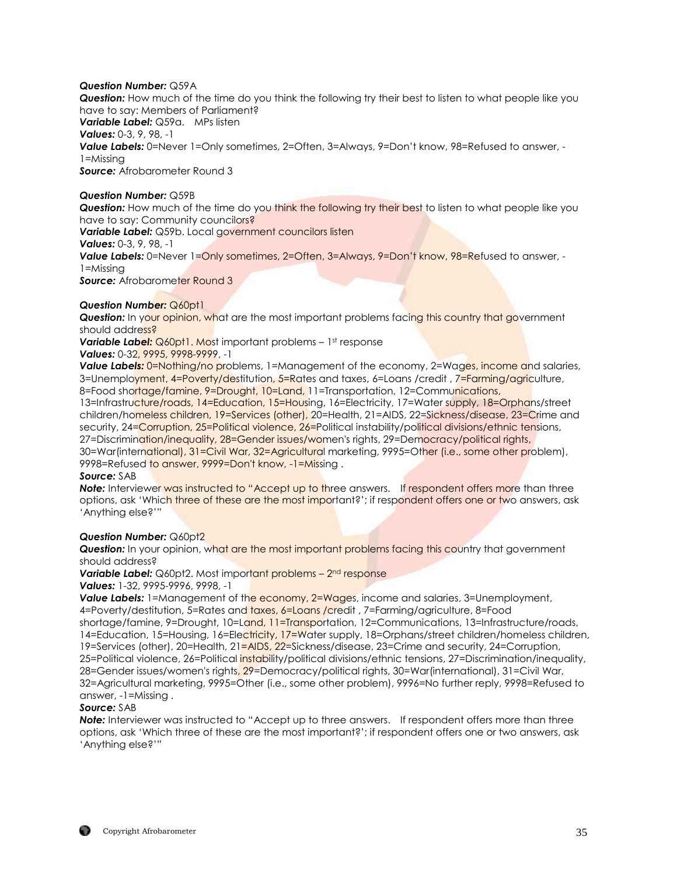## *Question Number:* Q59A

*Question:* How much of the time do you think the following try their best to listen to what people like you have to say: Members of Parliament?

*Variable Label:* Q59a. MPs listen

*Values:* 0-3, 9, 98, -1

*Value Labels:* 0=Never 1=Only sometimes, 2=Often, 3=Always, 9=Don't know, 98=Refused to answer, - 1=Missing

*Source:* Afrobarometer Round 3

#### *Question Number:* Q59B

**Question:** How much of the time do you think the following try their best to listen to what people like you have to say: Community councilors?

*Variable Label:* Q59b. Local government councilors listen

*Values:* 0-3, 9, 98, -1

**Value Labels:** 0=Never 1=Only sometimes, 2=Often, 3=Always, 9=Don't know, 98=Refused to answer, -1=Missing

**Source:** Afrobarometer Round 3

## *Question Number:* Q60pt1

**Question:** In your opinion, what are the most important problems facing this country that government should address?

**Variable Label:** Q60pt1. Most important problems – 1st response Values: 0-32, 9995, 9998-9999, -1

**Value Labels:** 0=Nothing/no problems, 1=Management of the economy, 2=Wages, income and salaries, 3=Unemployment, 4=Poverty/destitution, 5=Rates and taxes, 6=Loans /credit, 7=Farming/agriculture, 8=Food shortage/famine, 9=Drought, 10=Land, 11=Transportation, 12=Communications,

13=Infrastructure/roads, 14=Education, 15=Housing, 16=Electricity, 17=Water supply, 18=Orphans/street children/homeless children, 19=Services (other), 20=Health, 21=AIDS, 22=Sickness/disease, 23=Crime and security, 24=Corruption, 25=Political violence, 26=Political instability/political divisions/ethnic tensions, 27=Discrimination/inequality, 28=Gender issues/women's rights, 29=Democracy/political rights,

30=War(international), 31=Civil War, 32=Agricultural marketing, 9995=Other (i.e., some other problem), 9998=Refused to answer, 9999=Don't know, -1=Missing .

#### *Source:* SAB

**Note:** Interviewer was instructed to "Accept up to three answers. If respondent offers more than three options, ask 'Which three of these are the most important?'; if respondent offers one or two answers, ask 'Anything else?'"

## *Question Number:* Q60pt2

**Question:** In your opinion, what are the most important problems facing this country that government should address?

**Variable Label:** Q60pt2. Most important problems – 2<sup>nd</sup> response

*Values:* 1-32, 9995-9996, 9998, -1

**Value Labels:** 1=Management of the economy, 2=Wages, income and salaries, 3=Unemployment, 4=Poverty/destitution, 5=Rates and taxes, 6=Loans /credit , 7=Farming/agriculture, 8=Food shortage/famine, 9=Drought, 10=Land, 11=Transportation, 12=Communications, 13=Infrastructure/roads, 14=Education, 15=Housing, 16=Electricity, 17=Water supply, 18=Orphans/street children/homeless children, 19=Services (other), 20=Health, 21=AIDS, 22=Sickness/disease, 23=Crime and security, 24=Corruption, 25=Political violence, 26=Political instability/political divisions/ethnic tensions, 27=Discrimination/inequality, 28=Gender issues/women's rights, 29=Democracy/political rights, 30=War(international), 31=Civil War, 32=Agricultural marketing, 9995=Other (i.e., some other problem), 9996=No further reply, 9998=Refused to answer, -1=Missing .

## *Source:* SAB

**Note:** Interviewer was instructed to "Accept up to three answers. If respondent offers more than three options, ask 'Which three of these are the most important?'; if respondent offers one or two answers, ask 'Anything else?'"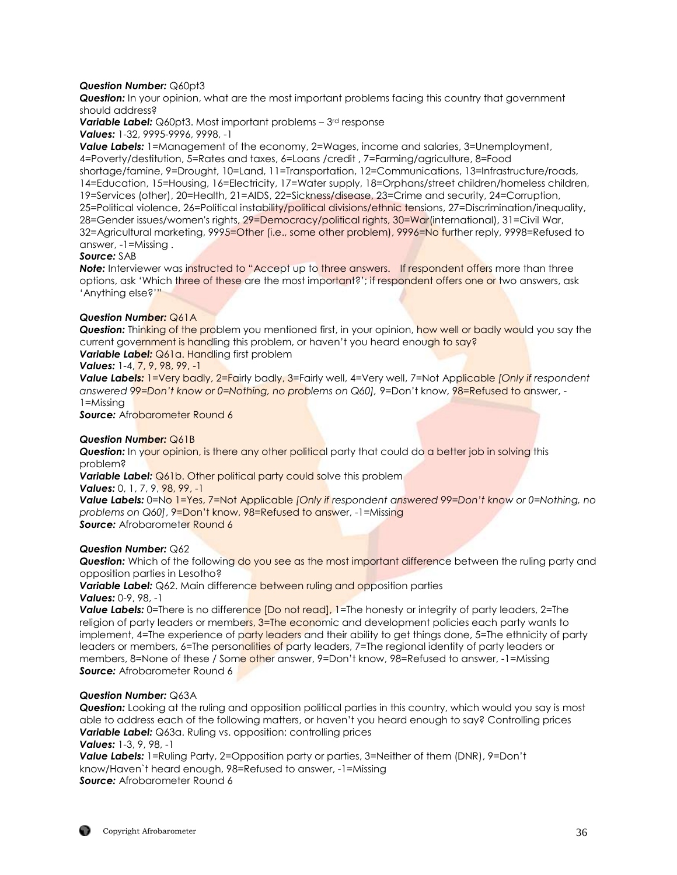## *Question Number:* Q60pt3

*Question:* In your opinion, what are the most important problems facing this country that government should address?

**Variable Label:** Q60pt3. Most important problems – 3<sup>rd</sup> response *Values:* 1-32, 9995-9996, 9998, -1

*Value Labels:* 1=Management of the economy, 2=Wages, income and salaries, 3=Unemployment, 4=Poverty/destitution, 5=Rates and taxes, 6=Loans /credit , 7=Farming/agriculture, 8=Food shortage/famine, 9=Drought, 10=Land, 11=Transportation, 12=Communications, 13=Infrastructure/roads, 14=Education, 15=Housing, 16=Electricity, 17=Water supply, 18=Orphans/street children/homeless children, 19=Services (other), 20=Health, 21=AIDS, 22=Sickness/disease, 23=Crime and security, 24=Corruption, 25=Political violence, 26=Political instability/political divisions/ethnic tensions, 27=Discrimination/inequality, 28=Gender issues/women's rights, 29=Democracy/political rights, 30=War(international), 31=Civil War, 32=Agricultural marketing, 9995=Other (i.e., some other problem), 9996=No further reply, 9998=Refused to answer, -1=Missing .

#### *Source:* SAB

**Note:** Interviewer was instructed to "Accept up to three answers. If respondent offers more than three options, ask 'Which three of these are the most important?'; if respondent offers one or two answers, ask 'Anything else?'"

## *Question Number:* Q61A

**Question:** Thinking of the problem you mentioned first, in your opinion, how well or badly would you say the current government is handling this problem, or haven't you heard enough to say?

## *Variable Label:* Q61a. Handling first problem

*Values:* 1-4, 7, 9, 98, 99, -1

*Value Labels:* 1=Very badly, 2=Fairly badly, 3=Fairly well, 4=Very well, 7=Not Applicable *[Only if respondent answered 99=Don't know or 0=Nothing, no problems on Q60],* 9=Don't know, 98=Refused to answer, - 1=Missing

**Source:** Afrobarometer Round 6

#### *Question Number:* Q61B

**Question:** In your opinion, is there any other political party that could do a better job in solving this problem?

**Variable Label:** Q61b. Other political party could solve this problem

Values: 0, 1, 7, 9, 98, 99, -1

*Value Labels:* 0=No 1=Yes, 7=Not Applicable *[Only if respondent answered 99=Don't know or 0=Nothing, no problems on Q60]*, 9=Don't know, 98=Refused to answer, -1=Missing **Source:** Afrobarometer Round 6

#### *Question Number:* Q62

**Question:** Which of the following do you see as the most important difference between the ruling party and opposition parties in Lesotho?

*Variable Label:* Q62. Main difference between ruling and opposition parties *Values:* 0-9, 98, -1

**Value Labels:** 0=There is no difference [Do not read], 1=The honesty or integrity of party leaders, 2=The religion of party leaders or members, 3=The economic and development policies each party wants to implement, 4=The experience of party leaders and their ability to get things done, 5=The ethnicity of party leaders or members, 6=The personalities of party leaders, 7=The regional identity of party leaders or members, 8=None of these / Some other answer, 9=Don't know, 98=Refused to answer, -1=Missing **Source:** Afrobarometer Round 6

#### *Question Number:* Q63A

*Question:* Looking at the ruling and opposition political parties in this country, which would you say is most able to address each of the following matters, or haven't you heard enough to say? Controlling prices *Variable Label:* Q63a. Ruling vs. opposition: controlling prices

*Values:* 1-3, 9, 98, -1

*Value Labels:* 1=Ruling Party, 2=Opposition party or parties, 3=Neither of them (DNR), 9=Don't know/Haven`t heard enough, 98=Refused to answer, -1=Missing **Source:** Afrobarometer Round 6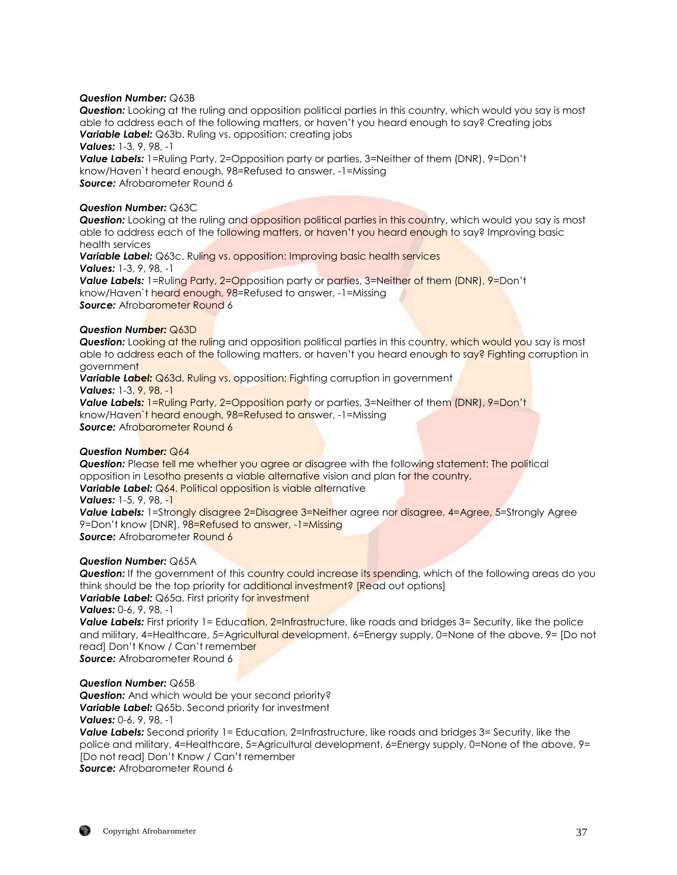#### *Question Number:* Q63B

*Question:* Looking at the ruling and opposition political parties in this country, which would you say is most able to address each of the following matters, or haven't you heard enough to say? Creating jobs *Variable Label:* Q63b. Ruling vs. opposition: creating jobs

*Values:* 1-3, 9, 98, -1

*Value Labels:* 1=Ruling Party, 2=Opposition party or parties, 3=Neither of them (DNR), 9=Don't know/Haven`t heard enough, 98=Refused to answer, -1=Missing **Source:** Afrobarometer Round 6

#### *Question Number:* Q63C

*Question:* Looking at the ruling and opposition political parties in this country, which would you say is most able to address each of the following matters, or haven't you heard enough to say? Improving basic health services

*Variable Label:* Q63c. Ruling vs. opposition: Improving basic health services *Values:* 1-3, 9, 98, -1

**Value Labels:** 1=Ruling Party, 2=Opposition party or parties, 3=Neither of them (DNR), 9=Don't know/Haven`t heard enough, 98=Refused to answer, -1=Missing **Source:** Afrobarometer Round 6

## *Question Number:* Q63D

**Question:** Looking at the ruling and opposition political parties in this country, which would you say is most able to address each of the following matters, or haven't you heard enough to say? Fighting corruption in government

**Variable Label:** Q63d. Ruling vs. opposition: Fighting corruption in government *Values:* 1-3, 9, 98, -1

*Value Labels:* 1=Ruling Party, 2=Opposition party or parties, 3=Neither of them (DNR), 9=Don't know/Haven`t heard enough, 98=Refused to answer, -1=Missing **Source:** Afrobarometer Round 6

#### *Question Number:* Q64

**Question:** Please tell me whether you garee or disagree with the following statement: The political opposition in Lesotho presents a viable alternative vision and plan for the country. **Variable Label:** Q64. Political opposition is viable alternative *Values:* 1-5, 9, 98, -1

**Value Labels:** 1=Strongly disagree 2=Disagree 3=Neither agree nor disagree, 4=Agree, 5=Strongly Agree 9=Don't know [DNR], 98=Refused to answer, -1=Missing **Source:** Afrobarometer Round 6

#### *Question Number:* Q65A

**Question:** If the government of this country could increase its spending, which of the following areas do you think should be the top priority for additional investment? [Read out options] **Variable Label:** Q65a. First priority for investment

*Values:* 0-6, 9, 98, -1

**Value Labels:** First priority 1= Education, 2=Infrastructure, like roads and bridges 3= Security, like the police and military, 4=Healthcare, 5=Agricultural development, 6=Energy supply, 0=None of the above, 9= [Do not read] Don't Know / Can't remember

*Source:* Afrobarometer Round 6

#### *Question Number:* Q65B

*Question:* And which would be your second priority? *Variable Label:* Q65b. Second priority for investment *Values:* 0-6, 9, 98, -1

**Value Labels:** Second priority 1= Education, 2=Infrastructure, like roads and bridges 3= Security, like the police and military, 4=Healthcare, 5=Agricultural development, 6=Energy supply, 0=None of the above, 9= [Do not read] Don't Know / Can't remember *Source:* Afrobarometer Round 6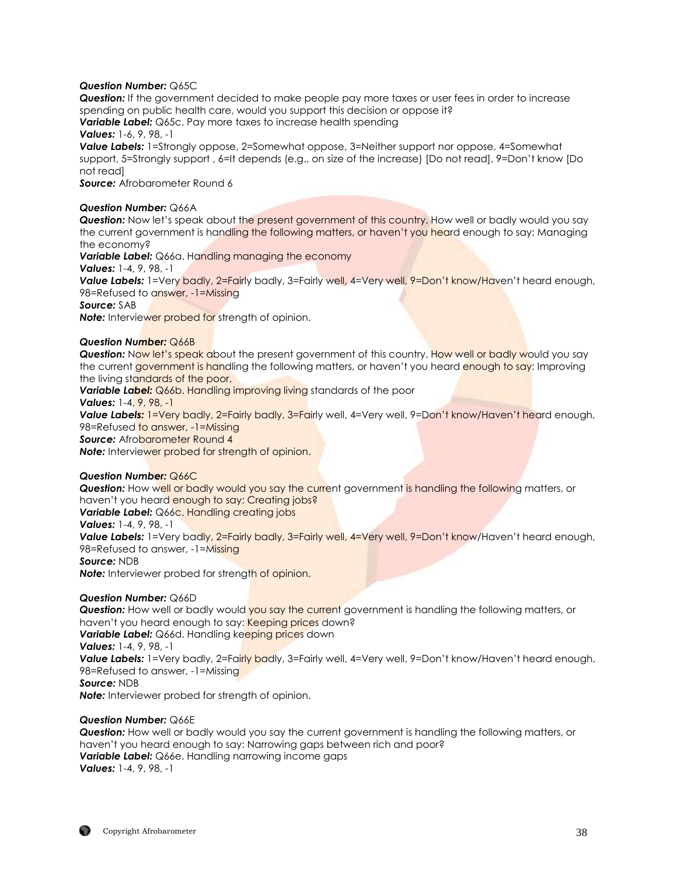## *Question Number:* Q65C

*Question:* If the government decided to make people pay more taxes or user fees in order to increase spending on public health care, would you support this decision or oppose it?

**Variable Label:** Q65c. Pay more taxes to increase health spending

*Values:* 1-6, 9, 98, -1

**Value Labels:** 1=Strongly oppose, 2=Somewhat oppose, 3=Neither support nor oppose, 4=Somewhat support, 5=Strongly support , 6=It depends (e.g., on size of the increase) [Do not read], 9=Don't know [Do not read]

**Source:** Afrobarometer Round 6

## *Question Number:* Q66A

**Question:** Now let's speak about the present government of this country. How well or badly would you say the current government is handling the following matters, or haven't you heard enough to say: Managing the economy?

**Variable Label:** Q66a. Handling managing the economy

*Values:* 1-4, 9, 98, -1

Value Labels: 1=Very badly, 2=Fairly badly, 3=Fairly well, 4=Very well, 9=Don't know/Haven't heard enough, 98=Refused to answer, -1=Missing

*Source:* SAB

**Note:** Interviewer probed for strength of opinion.

## *Question Number:* Q66B

**Question:** Now let's speak about the present government of this country. How well or badly would you say the current government is handling the following matters, or haven't you heard enough to say: Improving the living standards of the poor.

**Variable Label:** Q66b. Handling improving living standards of the poor

*Values:* 1-4, 9, 98, -1

**Value Labels:** 1=Very badly, 2=Fairly badly, 3=Fairly well, 4=Very well, 9=Don't know/Haven't heard enough, 98=Refused to answer, -1=Missing

**Source:** Afrobarometer Round 4

*Note:* Interviewer probed for strength of opinion.

## *Question Number:* Q66C

**Question:** How well or badly would you say the current government is handling the following matters, or haven't you heard enough to say: Creating jobs? **Variable Label:** Q66c. Handling creating jobs

*Values:* 1-4, 9, 98, -1

**Value Labels:** 1=Very badly, 2=Fairly badly, 3=Fairly well, 4=Very well, 9=Don't know/Haven't heard enough, 98=Refused to answer, -1=Missing

*Source:* NDB

**Note:** Interviewer probed for strength of opinion.

## *Question Number:* Q66D

**Question:** How well or badly would you say the current government is handling the following matters, or haven't you heard enough to say: Keeping prices down? **Variable Label:** Q66d. Handling keeping prices down *Values:* 1-4, 9, 98, -1 **Value Labels:** 1=Very badly, 2=Fairly badly, 3=Fairly well, 4=Very well, 9=Don't know/Haven't heard enough, 98=Refused to answer, -1=Missing *Source:* NDB *Note:* Interviewer probed for strength of opinion.

## *Question Number:* Q66E

*Question:* How well or badly would you say the current government is handling the following matters, or haven't you heard enough to say: Narrowing gaps between rich and poor? **Variable Label:** Q66e. Handling narrowing income gaps *Values:* 1-4, 9, 98, -1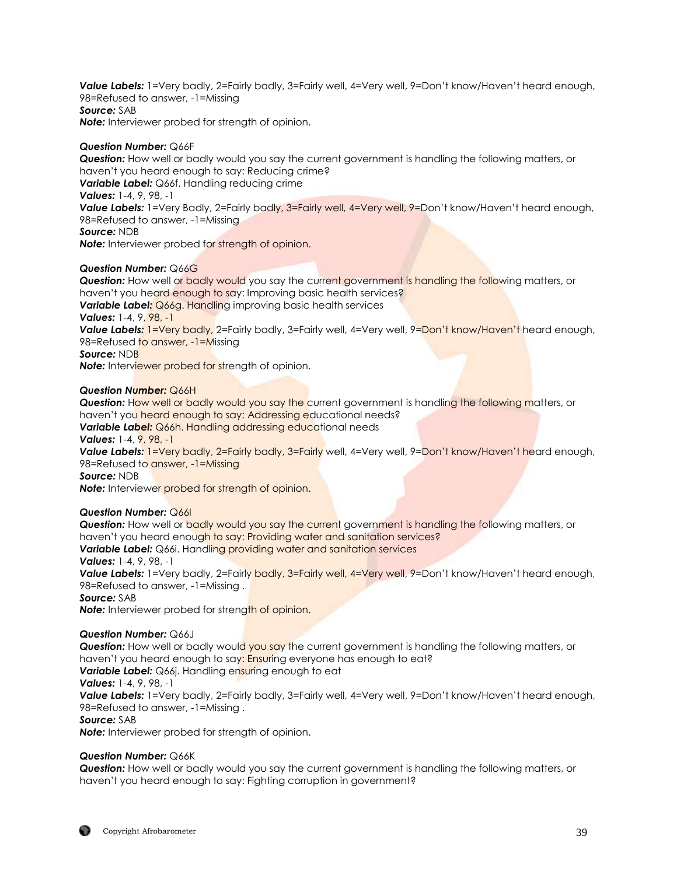*Value Labels:* 1=Very badly, 2=Fairly badly, 3=Fairly well, 4=Very well, 9=Don't know/Haven't heard enough, 98=Refused to answer, -1=Missing *Source:* SAB *Note:* Interviewer probed for strength of opinion.

## *Question Number:* Q66F

*Question:* How well or badly would you say the current government is handling the following matters, or haven't you heard enough to say: Reducing crime?

*Variable Label:* Q66f. Handling reducing crime

*Values:* 1-4, 9, 98, -1

Value Labels: 1=Very Badly, 2=Fairly badly, 3=Fairly well, 4=Very well, 9=Don't know/Haven't heard enough, 98=Refused to answer, -1=Missing

*Source:* NDB

*Note:* Interviewer probed for strength of opinion.

## *Question Number:* Q66G

**Question:** How well or badly would you say the current government is handling the following matters, or haven't you heard enough to say: Improving basic health services? **Variable Label:** Q66g. Handling improving basic health services *Values:* 1-4, 9, 98, -1 **Value Labels:** 1=Very badly, 2=Fairly badly, 3=Fairly well, 4=Very well, 9=Don't know/Haven't heard enough, 98=Refused to answer, -1=Missing *Source:* NDB

**Note:** Interviewer probed for strength of opinion.

## *Question Number:* Q66H

*Question:* How well or badly would you say the current government is handling the following matters, or haven't you heard enough to say: Addressing educational needs?

**Variable Label:** Q66h. Handling addressing educational needs

*Values:* 1-4, 9, 98, -1

**Value Labels:** 1=Very badly, 2=Fairly badly, 3=Fairly well, 4=Very well, 9=Don't know/Haven't heard enough, 98=Refused to answer, -1=Missing

*Source:* NDB

**Note:** Interviewer probed for strength of opinion.

## *Question Number:* Q66I

**Question:** How well or **badly would you say the current** government is handling the following matters, or haven't you heard enough to say: Providing water and sanitation services?

*Variable Label:* Q66i. Handling providing water and sanitation services

#### *Values:* 1-4, 9, 98, -1

**Value Labels:** 1=Very badly, 2=Fairly **badly, 3=Fairly well, 4=Very well, 9**=Don't know/Haven't heard enough, 98=Refused to answer, -1=Missing .

*Source:* SAB

**Note:** Interviewer probed for strength of opinion.

## *Question Number:* Q66J

**Question:** How well or badly would you say the current government is handling the following matters, or haven't you heard enough to say: Ensuring everyone has enough to eat? **Variable Label:** Q66j. Handling ensuring enough to eat *Values:* 1-4, 9, 98, -1 **Value Labels:** 1=Very badly, 2=Fairly badly, 3=Fairly well, 4=Very well, 9=Don't know/Haven't heard enough, 98=Refused to answer, -1=Missing .

*Source:* SAB

*Note:* Interviewer probed for strength of opinion.

## *Question Number:* Q66K

*Question:* How well or badly would you say the current government is handling the following matters, or haven't you heard enough to say: Fighting corruption in government?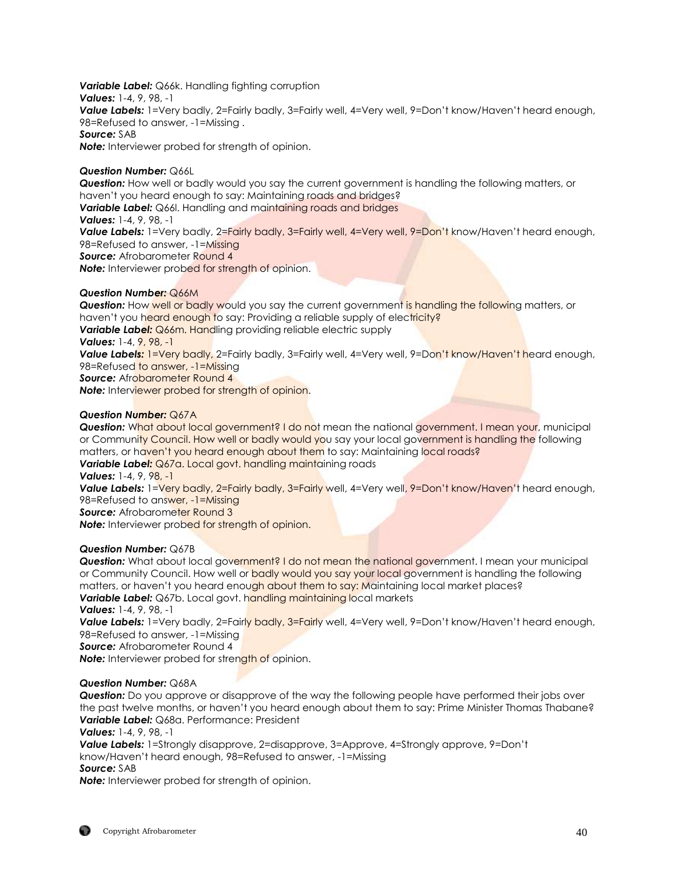*Variable Label:* Q66k. Handling fighting corruption *Values:* 1-4, 9, 98, -1 *Value Labels:* 1=Very badly, 2=Fairly badly, 3=Fairly well, 4=Very well, 9=Don't know/Haven't heard enough, 98=Refused to answer, -1=Missing . *Source:* SAB **Note:** Interviewer probed for strength of opinion.

## *Question Number:* Q66L

*Question:* How well or badly would you say the current government is handling the following matters, or haven't you heard enough to say: Maintaining roads and bridges? **Variable Label:** Q66l. Handling and maintaining roads and bridges *Values:* 1-4, 9, 98, -1 **Value Labels:** 1=Very badly, 2=Fairly badly, 3=Fairly well, 4=Very well, 9=Don't know/Haven't heard enough, 98=Refused to answer, -1=Missing **Source:** Afrobarometer Round 4 **Note:** Interviewer probed for strength of opinion.

#### *Question Number:* Q66M

**Question:** How well or badly would you say the current government is handling the following matters, or haven't you heard enough to say: Providing a reliable supply of electricity? **Variable Label:** Q66m. Handling providing reliable electric supply *Values:* 1-4, 9, 98, -1 Value Labels: 1=Very badly, 2=Fairly badly, 3=Fairly well, 4=Very well, 9=Don't know/Haven't heard enough, 98=Refused to answer, -1=Missing **Source:** Afrobarometer Round 4 *Note:* Interviewer probed for strength of opinion.

## *Question Number:* Q67A

**Question:** What about local government? I do not mean the national government. I mean your, municipal or Community Council. How well or badly would you say your local government is handling the following matters, or haven't you heard enough about them to say: Maintaining local roads? **Variable Label:** Q67a. Local govt. handling maintaining roads

*Values:* 1-4, 9, 98, -1

Value Labels: 1=Very badly, 2=Fairly badly, 3=Fairly well, 4=Very well, 9=Don't know/Haven't heard enough, 98=Refused to answer, -1=Missing

*Source: Afrobarometer Round 3* 

**Note:** Interviewer probed for strength of opinion.

#### *Question Number:* Q67B

**Question:** What about local government? I do not mean the national government. I mean your municipal or Community Council. How well or badly would you say your local government is handling the following matters, or haven't you heard enough about them to say: Maintaining local market places? **Variable Label:** Q67b. Local govt. handling maintaining local markets

*Values:* 1-4, 9, 98, -1

**Value Labels:** 1=Very badly, 2=Fairly badly, 3=Fairly well, 4=Very well, 9=Don't know/Haven't heard enough, 98=Refused to answer, -1=Missing

*Source:* Afrobarometer Round 4

**Note:** Interviewer probed for strength of opinion.

#### *Question Number:* Q68A

*Question:* Do you approve or disapprove of the way the following people have performed their jobs over the past twelve months, or haven't you heard enough about them to say: Prime Minister Thomas Thabane? *Variable Label:* Q68a. Performance: President

*Values:* 1-4, 9, 98, -1

*Value Labels:* 1=Strongly disapprove, 2=disapprove, 3=Approve, 4=Strongly approve, 9=Don't know/Haven't heard enough, 98=Refused to answer, -1=Missing *Source:* SAB

*Note:* Interviewer probed for strength of opinion.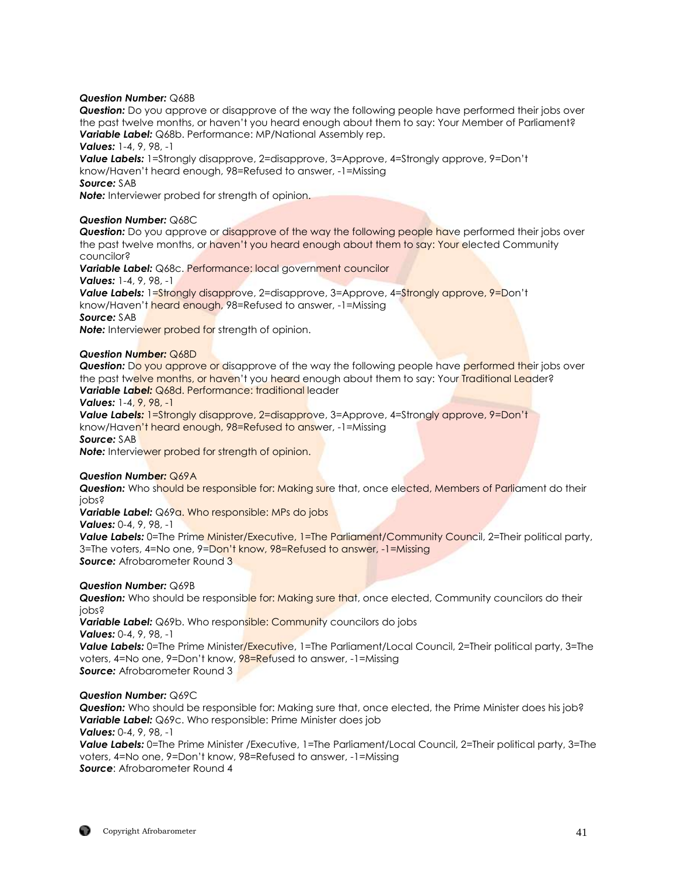#### *Question Number:* Q68B

*Question:* Do you approve or disapprove of the way the following people have performed their jobs over the past twelve months, or haven't you heard enough about them to say: Your Member of Parliament? *Variable Label:* Q68b. Performance: MP/National Assembly rep.

*Values:* 1-4, 9, 98, -1

*Value Labels:* 1=Strongly disapprove, 2=disapprove, 3=Approve, 4=Strongly approve, 9=Don't know/Haven't heard enough, 98=Refused to answer, -1=Missing

## *Source:* SAB

*Note:* Interviewer probed for strength of opinion.

## *Question Number:* Q68C

**Question:** Do you approve or disapprove of the way the following people have performed their jobs over the past twelve months, or haven't you heard enough about them to say: Your elected Community councilor?

*Variable Label:* Q68c. Performance: local government councilor

*Values:* 1-4, 9, 98, -1

**Value Labels:** 1=Strongly disapprove, 2=disapprove, 3=Approve, 4=Strongly approve, 9=Don't know/Haven't heard enough, 98=Refused to answer, -1=Missing *Source:* SAB

**Note:** Interviewer probed for strength of opinion.

## *Question Number:* Q68D

**Question:** Do you approve or disapprove of the way the following people have performed their jobs over the past twelve months, or haven't you heard enough about them to say: Your Traditional Leader? **Variable Label: Q68d. Performance: traditional leader** 

## *Values:* 1-4, 9, 98, -1

*Value Labels:* 1=Strongly disapprove, 2=disapprove, 3=Approve, 4=Strongly approve, 9=Don't know/Haven't heard enough, 98=Refused to answer, -1=Missing

*Source:* SAB

*Note:* Interviewer probed for strength of opinion.

#### *Question Number:* Q69A

**Question:** Who should be responsible for: Making sure that, once elected, Members of Parliament do their jobs?

*Variable Label:* Q69a. Who responsible: MPs do jobs

*Values:* 0-4, 9, 98, -1

**Value Labels:** 0=The Prime Minister/Executive, 1=The Parliament/Community Council, 2=Their political party, 3=The voters, 4=No one, 9=Don't know, 98=Refused to answer, -1=Missing **Source:** Afrobarometer Round 3

## *Question Number:* Q69B

**Question:** Who should be responsible for: Making sure that, once elected, Community councilors do their jobs?

**Variable Label:** Q69b. Who responsible: Community councilors do jobs *Values:* 0-4, 9, 98, -1

**Value Labels:** 0=The Prime Minister/Executive, 1=The Parliament/Local Council, 2=Their political party, 3=The voters, 4=No one, 9=Don't know, 98=Refused to answer, -1=Missing **Source:** Afrobarometer Round 3

## *Question Number:* Q69C

*Question:* Who should be responsible for: Making sure that, once elected, the Prime Minister does his job? *Variable Label:* Q69c. Who responsible: Prime Minister does job

*Values:* 0-4, 9, 98, -1

*Value Labels:* 0=The Prime Minister /Executive, 1=The Parliament/Local Council, 2=Their political party, 3=The voters, 4=No one, 9=Don't know, 98=Refused to answer, -1=Missing *Source*: Afrobarometer Round 4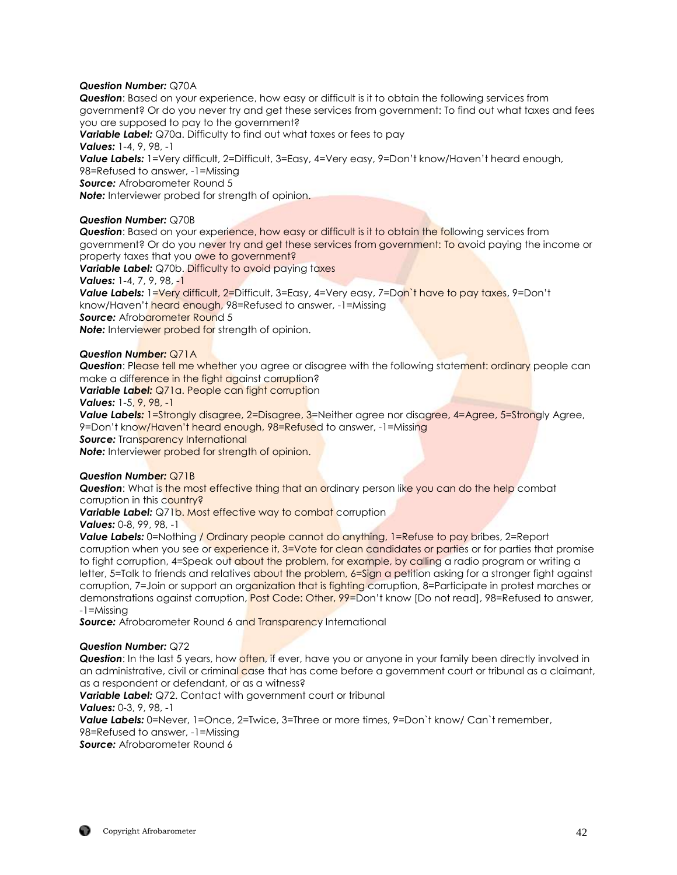## *Question Number:* Q70A

*Question*: Based on your experience, how easy or difficult is it to obtain the following services from government? Or do you never try and get these services from government: To find out what taxes and fees you are supposed to pay to the government?

*Variable Label:* Q70a. Difficulty to find out what taxes or fees to pay *Values:* 1-4, 9, 98, -1 Value Labels: 1=Very difficult, 2=Difficult, 3=Easy, 4=Very easy, 9=Don't know/Haven't heard enough, 98=Refused to answer, -1=Missing *Source:* Afrobarometer Round 5 *Note:* Interviewer probed for strength of opinion.

## *Question Number:* Q70B

**Question:** Based on your experience, how easy or difficult is it to obtain the following services from government? Or do you never try and get these services from government: To avoid paying the income or property taxes that you owe to government? **Variable Label:** Q70b. Difficulty to avoid paying taxes *Values:* 1-4, 7, 9, 98, -1 *Value Labels:* 1=Very difficult, 2=Difficult, 3=Easy, 4=Very easy, 7=Don`t have to pay taxes, 9=Don't know/Haven't heard enough, 98=Refused to answer, -1=Missing **Source:** Afrobarometer Round 5 **Note:** Interviewer probed for strength of opinion.

#### *Question Number:* Q71A

**Question**: Please tell me whether you agree or disagree with the following statement: ordinary people can make a difference in the fight against corruption?

*Variable Label:* Q71a. People can fight corruption

#### *Values:* 1-5, 9, 98, -1

**Value Labels:** 1=Strongly disagree, 2=Disagree, 3=Neither agree nor disagree, 4=Agree, 5=Strongly Agree, 9=Don't know/Haven't heard enough, 98=Refused to answer, -1=Missing

*Source:* Transparency International

*Note:* Interviewer probed for strength of opinion.

#### *Question Number:* Q71B

**Question:** What is the most effective thing that an ordinary person like you can do the help combat corruption in this country?

**Variable Label:** Q71b. Most effective way to combat corruption

*Values:* 0-8, 99, 98, -1

**Value Labels:** 0=Nothing / Ordinary people cannot do anything, 1=Refuse to pay bribes, 2=Report corruption when you see or experience it, 3=Vote for clean candidates or parties or for parties that promise to fight corruption, 4=Speak out about the problem, for example, by calling a radio program or writing a letter, 5=Talk to friends and relatives about the problem, 6=Sign a petition asking for a stronger fight against corruption, 7=Join or support an organization that is fighting corruption, 8=Participate in protest marches or demonstrations against corruption, **Post Code: Other, 99=Don't know [Do not read]**, 98=Refused to answer, -1=Missing

**Source:** Afrobarometer Round 6 and Transparency International

#### *Question Number:* Q72

**Question**: In the last 5 years, how often, if ever, have you or anyone in your family been directly involved in an administrative, civil or criminal case that has come before a government court or tribunal as a claimant, as a respondent or defendant, or as a witness?

*Variable Label:* Q72. Contact with government court or tribunal

#### *Values:* 0-3, 9, 98, -1

**Value Labels:** 0=Never, 1=Once, 2=Twice, 3=Three or more times, 9=Don't know/ Can't remember,

98=Refused to answer, -1=Missing

*Source:* Afrobarometer Round 6

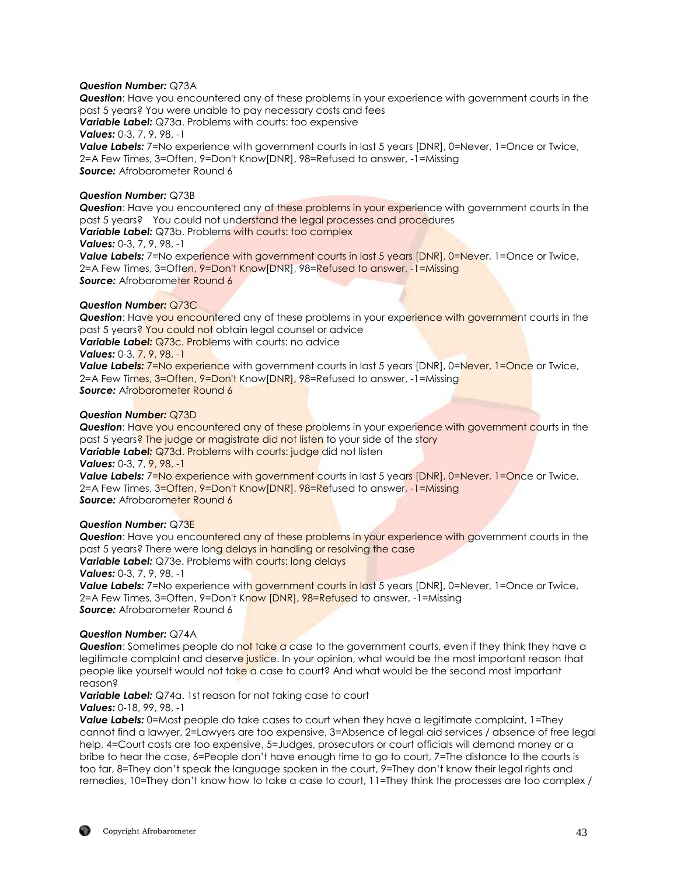## *Question Number:* Q73A

*Question*: Have you encountered any of these problems in your experience with government courts in the past 5 years? You were unable to pay necessary costs and fees **Variable Label:** Q73a. Problems with courts: too expensive *Values:* 0-3, 7, 9, 98, -1 **Value Labels:** 7=No experience with government courts in last 5 years [DNR], 0=Never, 1=Once or Twice, 2=A Few Times, 3=Often, 9=Don't Know[DNR], 98=Refused to answer, -1=Missing **Source:** Afrobarometer Round 6

#### *Question Number:* Q73B

*Question*: Have you encountered any of these problems in your experience with government courts in the past 5 years? You could not understand the legal processes and procedures *Variable Label:* Q73b. Problems with courts: too complex

## *Values:* 0-3, 7, 9, 98, -1

**Value Labels:** 7=No experience with government courts in last 5 years [DNR], 0=Never, 1=Once or Twice, 2=A Few Times, 3=Often, 9=Don't Know[DNR], 98=Refused to answer, -1=Missing **Source:** Afrobarometer Round 6

#### *Question Number:* Q73C

**Question:** Have you encountered any of these problems in your experience with government courts in the past 5 years? You could not obtain legal counsel or advice

**Variable Label:** Q73c. Problems with courts: no advice

*Values:* 0-3, 7, 9, 98, -1

**Value Labels:** 7=No experience with government courts in last 5 years [DNR], 0=Never, 1=Once or Twice, 2=A Few Times, 3=Often, 9=Don't Know[DNR], 98=Refused to answer, -1=Missing **Source:** Afrobarometer Round 6

#### *Question Number:* Q73D

*Question*: Have you encountered any of these problems in your experience with government courts in the past 5 years? The judge or magistrate did not listen to your side of the story **Variable Label:** Q73d. Problems with courts: judge did not listen

*Values:* 0-3, 7, 9, 98, -1

**Value Labels:** 7=No experience with government courts in last 5 years [DNR], 0=Never, 1=Once or Twice, 2=A Few Times, 3=Often, 9=Don't Know[DNR], 98=Refused to answer, -1=Missing **Source:** Afrobarometer Round 6

#### *Question Number:* Q73E

*Question*: Have you encountered any of these problems in your experience with government courts in the past 5 years? There were long delays in handling or resolving the case **Variable Label:** Q73e. Problems with courts: long delays *Values:* 0-3, 7, 9, 98, -1

**Value Labels:** 7=No experience with government courts in last 5 years [DNR], 0=Never, 1=Once or Twice, 2=A Few Times, 3=Often, 9=Don't Know [DNR], 98=Refused to answer, -1=Missing *Source:* Afrobarometer Round 6

#### *Question Number:* Q74A

**Question:** Sometimes people do not take a case to the government courts, even if they think they have a legitimate complaint and deserve justice. In your opinion, what would be the most important reason that people like yourself would not take a case to court? And what would be the second most important reason?

*Variable Label:* Q74a. 1st reason for not taking case to court

*Values:* 0-18, 99, 98, -1

**Value Labels:** 0=Most people do take cases to court when they have a legitimate complaint, 1=They cannot find a lawyer, 2=Lawyers are too expensive, 3=Absence of legal aid services / absence of free legal help, 4=Court costs are too expensive, 5=Judges, prosecutors or court officials will demand money or a bribe to hear the case, 6=People don't have enough time to go to court, 7=The distance to the courts is too far, 8=They don't speak the language spoken in the court, 9=They don't know their legal rights and remedies, 10=They don't know how to take a case to court, 11=They think the processes are too complex /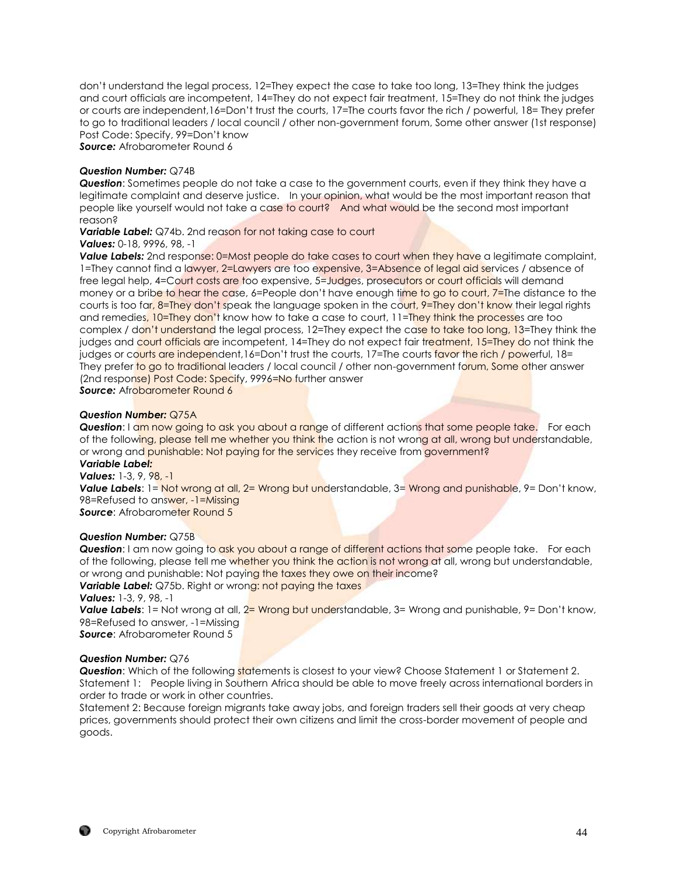don't understand the legal process, 12=They expect the case to take too long, 13=They think the judges and court officials are incompetent, 14=They do not expect fair treatment, 15=They do not think the judges or courts are independent,16=Don't trust the courts, 17=The courts favor the rich / powerful, 18= They prefer to go to traditional leaders / local council / other non-government forum, Some other answer (1st response) Post Code: Specify, 99=Don't know

*Source:* Afrobarometer Round 6

#### *Question Number:* Q74B

*Question*: Sometimes people do not take a case to the government courts, even if they think they have a legitimate complaint and deserve justice. In your opinion, what would be the most important reason that people like yourself would not take a case to court? And what would be the second most important reason?

**Variable Label:** Q74b. 2nd reason for not taking case to court *Values:* 0-18, 9996, 98, -1

**Value Labels:** 2nd response: 0=Most people do take cases to court when they have a legitimate complaint, 1=They cannot find a lawyer, 2=Lawyers are too expensive, 3=Absence of legal aid services / absence of free legal help, 4=Court costs are too expensive, 5=Judges, prosecutors or court officials will demand money or a bribe to hear the case, 6=People don't have enough time to go to court, 7=The distance to the courts is too far, 8=They don't speak the language spoken in the court, 9=They don't know their legal rights and remedies, 10=They don't know how to take a case to court, 11=They think the processes are too complex / don't understand the legal process, 12=They expect the case to take too long, 13=They think the judges and court officials are incompetent, 14=They do not expect fair treatment, 15=They do not think the judges or courts are independent,16=Don't trust the courts, 17=The courts favor the rich / powerful, 18= They prefer to go to traditional leaders / local council / other non-government forum, Some other answer (2nd response) Post Code: Specify, 9996=No further answer **Source:** Afrobarometer Round 6

#### *Question Number:* Q75A

**Question**: I am now going to ask you about a range of different actions that some people take. For each of the following, please tell me whether you think the action is not wrong at all, wrong but understandable, or wrong and punishable: Not paying for the services they receive from government?

#### *Variable Label: Values:* 1-3, 9, 98, -1

**Value Labels**: 1= Not wrong at all, 2= Wrong but understandable, 3= Wrong and punishable, 9= Don't know, 98=Refused to answer, -1=Missing **Source:** Afrobarometer Round 5

#### *Question Number:* Q75B

**Question**: I am now going to ask you about a range of different actions that some people take. For each of the following, please tell me whether you think the action is not wrong at all, wrong but understandable, or wrong and punishable: Not paying the taxes they owe on their income? **Variable Label:** Q75b. Right or wrong: not paying the taxes

*Values:* 1-3, 9, 98, -1

Value Labels: 1= Not wrong at all, 2= Wrong but understandable, 3= Wrong and punishable, 9= Don't know, 98=Refused to answer, -1=Missing

**Source:** Afrobarometer Round 5

#### *Question Number:* Q76

**Question:** Which of the following statements is closest to your view? Choose Statement 1 or Statement 2. Statement 1: People living in Southern Africa should be able to move freely across international borders in order to trade or work in other countries.

Statement 2: Because foreign migrants take away jobs, and foreign traders sell their goods at very cheap prices, governments should protect their own citizens and limit the cross-border movement of people and goods.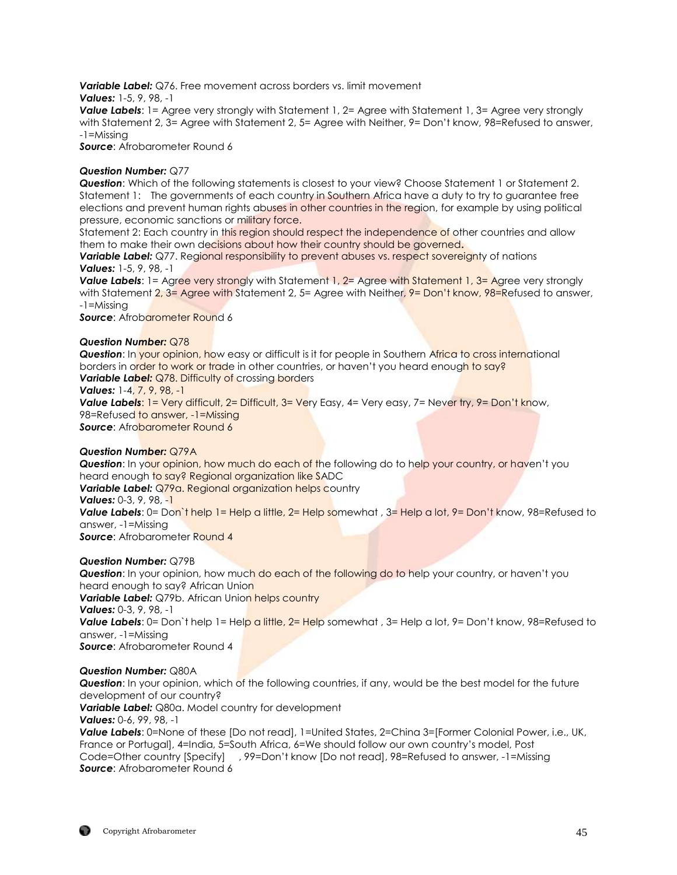*Variable Label:* Q76. Free movement across borders vs. limit movement

*Values:* 1-5, 9, 98, -1

*Value Labels*: 1= Agree very strongly with Statement 1, 2= Agree with Statement 1, 3= Agree very strongly with Statement 2, 3= Agree with Statement 2, 5= Agree with Neither, 9= Don't know, 98=Refused to answer, -1=Missing

*Source*: Afrobarometer Round 6

## *Question Number:* Q77

*Question*: Which of the following statements is closest to your view? Choose Statement 1 or Statement 2. Statement 1: The governments of each country in Southern Africa have a duty to try to guarantee free elections and prevent human rights abuses in other countries in the region, for example by using political pressure, economic sanctions or military force.

Statement 2: Each country in this region should respect the independence of other countries and allow them to make their own decisions about how their country should be governed**.**

**Variable Label:** Q77. Regional responsibility to prevent abuses vs. respect sovereignty of nations *Values:* 1-5, 9, 98, -1

**Value Labels**: 1= Agree very strongly with Statement 1, 2= Agree with Statement 1, 3= Agree very strongly with Statement 2, 3= Agree with Statement 2, 5= Agree with Neither, 9= Don't know, 98=Refused to answer, -1=Missing

**Source:** Afrobarometer Round 6

## *Question Number:* Q78

**Question:** In your opinion, how easy or difficult is it for people in Southern Africa to cross international borders in order to work or trade in other countries, or haven't you heard enough to say? **Variable Label:** Q78. Difficulty of crossing borders

## *Values:* 1-4, 7, 9, 98, -1

**Value Labels:** 1= Very difficult, 2= Difficult, 3= Very Easy, 4= Very easy, 7= Never try, 9= Don't know, 98=Refused to answer, -1=Missing

**Source:** Afrobarometer Round 6

## *Question Number:* Q79A

**Question**: In your opinion, how much do each of the following do to help your country, or haven't you heard enough to say? Regional organization like SADC

**Variable Label:** Q79a. Regional organization helps country

*Values:* 0-3, 9, 98, -1

*Value Labels*: 0= Don't help 1= Help a little, 2= Help somewhat, 3= Help a lot, 9= Don't know, 98=Refused to answer, -1=Missing

*Source*: Afrobarometer Round 4

## *Question Number:* Q79B

**Question**: In your opinion, how much do each of the following do to help your country, or haven't you heard enough to say? African Union **Variable Label:** Q79b. African Union helps country *Values:* 0-3, 9, 98, -1 *Value Labels*: 0= Don't help 1= Help a little, 2= Help somewhat, 3= Help a lot, 9= Don't know, 98=Refused to answer, -1=Missing *Source*: Afrobarometer Round 4

#### *Question Number:* Q80A

*Question*: In your opinion, which of the following countries, if any, would be the best model for the future development of our country?

*Variable Label:* Q80a. Model country for development

## *Values:* 0-6, 99, 98, -1

*Value Labels*: 0=None of these [Do not read], 1=United States, 2=China 3=[Former Colonial Power, i.e., UK, France or Portugal], 4=India, 5=South Africa, 6=We should follow our own country's model, Post Code=Other country [Specify] , 99=Don't know [Do not read], 98=Refused to answer, -1=Missing *Source*: Afrobarometer Round 6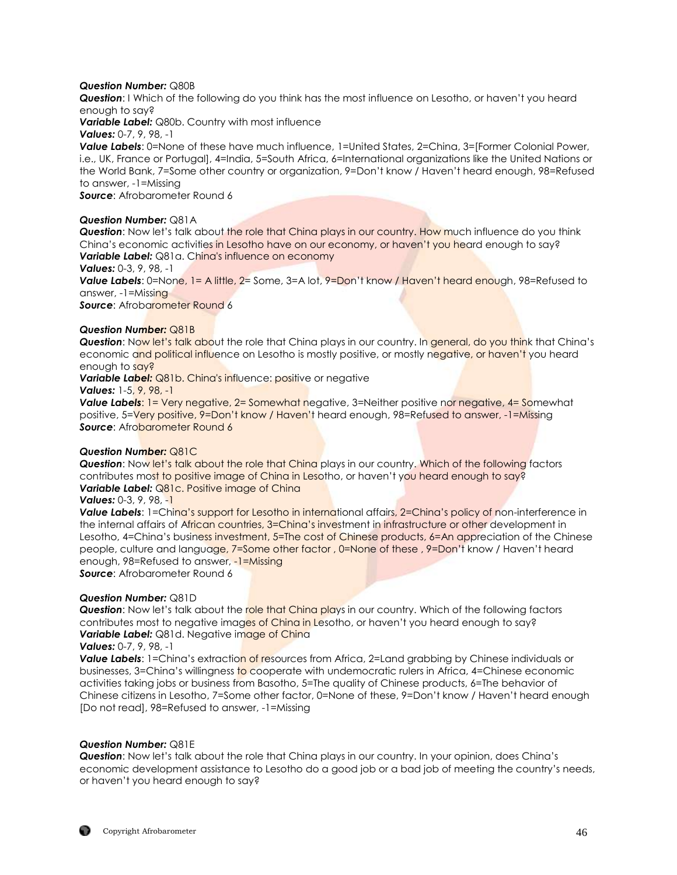## *Question Number:* Q80B

*Question*: I Which of the following do you think has the most influence on Lesotho, or haven't you heard enough to say?

*Variable Label:* Q80b. Country with most influence

*Values:* 0-7, 9, 98, -1

*Value Labels*: 0=None of these have much influence, 1=United States, 2=China, 3=[Former Colonial Power, i.e., UK, France or Portugal], 4=India, 5=South Africa, 6=International organizations like the United Nations or the World Bank, 7=Some other country or organization, 9=Don't know / Haven't heard enough, 98=Refused to answer, -1=Missing

*Source*: Afrobarometer Round 6

## *Question Number:* Q81A

**Question:** Now let's talk about the role that China plays in our country. How much influence do you think China's economic activities in Lesotho have on our economy, or haven't you heard enough to say? *Variable Label:* Q81a. China's influence on economy

#### *Values:* 0-3, 9, 98, -1

*Value Labels*: 0=None, 1= A little, 2= Some, 3=A lot, 9=Don't know / Haven't heard enough, 98=Refused to answer, -1=Missing

**Source: Afrobarometer Round 6** 

## *Question Number:* Q81B

*Question*: Now let's talk about the role that China plays in our country. In general, do you think that China's economic and political influence on Lesotho is mostly positive, or mostly negative, or haven't you heard enough to say?

**Variable Label:** Q81b. China's influence: positive or negative

*Values:* 1-5, 9, 98, -1

**Value Labels: 1 = Very negative, 2 = Somewhat negative, 3 = Neither positive nor negative, 4 = Somewhat** positive, 5=Very positive, 9=Don't know / Haven't heard enough, 98=Refused to answer. -1=Missina **Source:** Afrobarometer Round 6

## *Question Number:* Q81C

**Question:** Now let's talk about the role that China plays in our country. Which of the following factors contributes most to positive image of China in Lesotho, or haven't you heard enough to say? *Variable Label:* Q81c. Positive image of China

## *Values:* 0-3, 9, 98, -1

*Value Labels*: 1=China's support for Lesotho in international affairs, 2=China's policy of non-interference in the internal affairs of African countries, 3=China's investment in infrastructure or other development in Lesotho, 4=China's business investment, 5=The cost of Chinese products, 6=An appreciation of the Chinese people, culture and language, 7=Some other factor , 0=None of these , 9=Don't know / Haven't heard enough, 98=Refused to answer, -1=Missing

*Source*: Afrobarometer Round 6

#### *Question Number:* Q81D

**Question:** Now let's talk about the role that China plays in our country. Which of the following factors contributes most to negative images of China in Lesotho, or haven't you heard enough to say? **Variable Label:** Q81d. Negative image of China

*Values:* 0-7, 9, 98, -1

**Value Labels:** 1=China's extraction of resources from Africa, 2=Land grabbing by Chinese individuals or businesses, 3=China's willingness to cooperate with undemocratic rulers in Africa, 4=Chinese economic activities taking jobs or business from Basotho, 5=The quality of Chinese products, 6=The behavior of Chinese citizens in Lesotho, 7=Some other factor, 0=None of these, 9=Don't know / Haven't heard enough [Do not read], 98=Refused to answer, -1=Missing

#### *Question Number:* Q81E

*Question*: Now let's talk about the role that China plays in our country. In your opinion, does China's economic development assistance to Lesotho do a good job or a bad job of meeting the country's needs, or haven't you heard enough to say?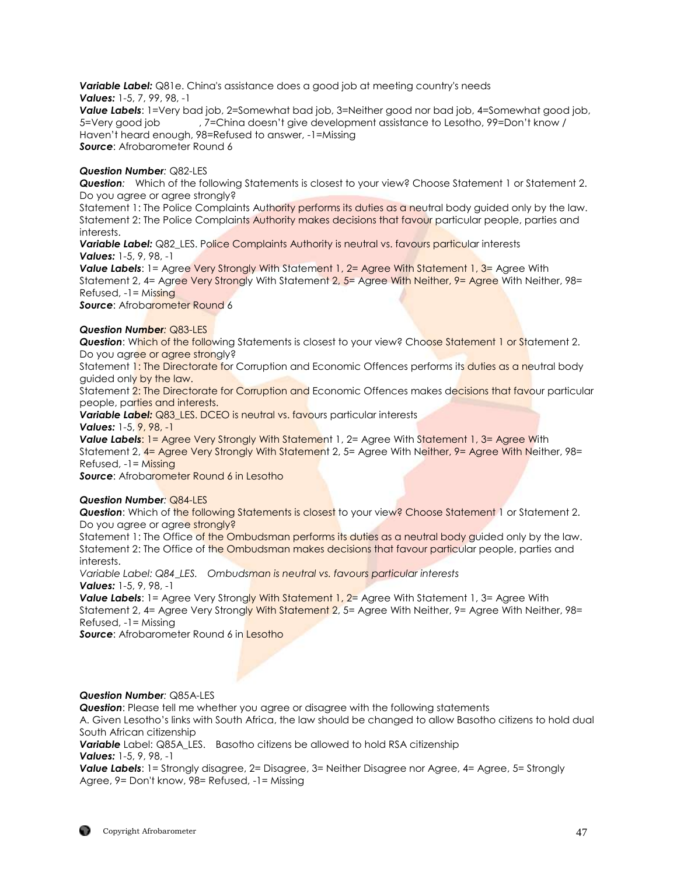**Variable Label:** Q81e. China's assistance does a good job at meeting country's needs *Values:* 1-5, 7, 99, 98, -1

*Value Labels*: 1=Very bad job, 2=Somewhat bad job, 3=Neither good nor bad job, 4=Somewhat good job, 5=Very good job , 7=China doesn't give development assistance to Lesotho, 99=Don't know / Haven't heard enough, 98=Refused to answer, -1=Missing **Source:** Afrobarometer Round 6

## *Question Number:* Q82-LES

*Question:* Which of the following Statements is closest to your view? Choose Statement 1 or Statement 2. Do you agree or agree strongly?

Statement 1: The Police Complaints Authority performs its duties as a neutral body guided only by the law. Statement 2: The Police Complaints Authority makes decisions that favour particular people, parties and interests.

**Variable Label:** Q82 LES. Police Complaints Authority is neutral vs. favours particular interests *Values:* 1-5, 9, 98, -1

**Value Labels:** 1= Agree Very Strongly With Statement 1, 2= Agree With Statement 1, 3= Agree With Statement 2, 4= Agree Very Strongly With Statement 2, 5= Agree With Neither, 9= Agree With Neither, 98= Refused, -1= Missing

**Source:** Afrobarometer Round 6

#### *Question Number:* Q83-LES

**Question:** Which of the following Statements is closest to your view? Choose Statement 1 or Statement 2. Do you agree or agree strongly?

Statement 1: The Directorate for Corruption and Economic Offences performs its duties as a neutral body guided only by the law.

Statement 2: The Directorate for Corruption and Economic Offences makes decisions that favour particular people, parties and interests.

**Variable Label:** Q83\_LES. DCEO is neutral vs. favours particular interests

*Values:* 1-5, 9, 98, -1

**Value Labels:** 1 = Agree Very Strongly With Statement 1, 2 = Agree With Statement 1, 3 = Agree With Statement 2, 4= Agree Very Strongly With Statement 2, 5= Agree With Neither, 9= Agree With Neither, 98=  $Refused. -1 = Missina$ 

**Source:** Afrobarometer Round 6 in Lesotho

## *Question Number:* Q84-LES

**Question:** Which of the following Statements is closest to your view? Choose Statement 1 or Statement 2. Do you agree or agree strongly?

Statement 1: The Office of the Ombudsman performs its duties as a neutral body quided only by the law. Statement 2: The Office of the Ombudsman makes decisions that favour particular people, parties and interests.

*Variable Label: Q84\_LES. Ombudsman is neutral vs. favours particular interests Values:* 1-5, 9, 98, -1

**Value Labels:** 1= Agree Very Strongly With Statement 1, 2= Agree With Statement 1, 3= Agree With Statement 2, 4= Agree Very Strongly With Statement 2, 5= Agree With Neither, 9= Agree With Neither, 98= Refused, -1= Missing

**Source:** Afrobarometer Round 6 in Lesotho

## *Question Number:* Q85A-LES

*Question*: Please tell me whether you agree or disagree with the following statements

A. Given Lesotho's links with South Africa, the law should be changed to allow Basotho citizens to hold dual South African citizenship

*Variable* Label: Q85A\_LES. Basotho citizens be allowed to hold RSA citizenship *Values:* 1-5, 9, 98, -1

**Value Labels:** 1= Strongly disagree, 2= Disagree, 3= Neither Disagree nor Agree, 4= Agree, 5= Strongly Agree, 9= Don't know, 98= Refused, -1= Missing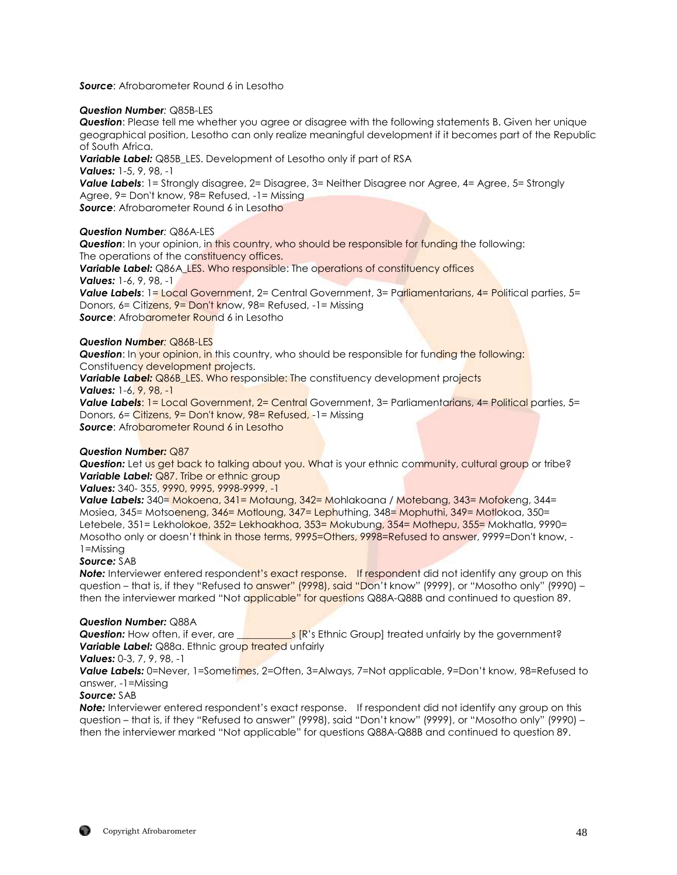*Source*: Afrobarometer Round 6 in Lesotho

#### *Question Number:* Q85B-LES

*Question*: Please tell me whether you agree or disagree with the following statements B. Given her unique geographical position, Lesotho can only realize meaningful development if it becomes part of the Republic of South Africa.

*Variable Label:* Q85B\_LES. Development of Lesotho only if part of RSA

*Values:* 1-5, 9, 98, -1

**Value Labels:** 1= Strongly disagree, 2= Disagree, 3= Neither Disagree nor Agree, 4= Agree, 5= Strongly Agree, 9= Don't know, 98= Refused, -1= Missing

**Source:** Afrobarometer Round 6 in Lesotho

## *Question Number:* Q86A-LES

**Question:** In your opinion, in this country, who should be responsible for funding the following: The operations of the constituency offices.

**Variable Label:** Q86A\_LES. Who responsible: The operations of constituency offices *Values:* 1-6, 9, 98, -1

Value Labels: 1= Local Government, 2= Central Government, 3= Parliamentarians, 4= Political parties, 5= Donors, 6= Citizens, 9= Don't know, 98= Refused, -1= Missing **Source:** Afrobarometer Round 6 in Lesotho

## *Question Number:* Q86B-LES

**Question:** In your opinion, in this country, who should be responsible for funding the following: Constituency development projects.

**Variable Label:** Q86B\_LES. Who responsible: The constituency development projects *Values:* 1-6, 9, 98, -1

*Value Labels*: 1= Local Government, 2= Central Government, 3= Parliamentarians, 4= Political parties, 5= Donors, 6= Citizens, 9= Don't know, 98= Refused, -1= Missing **Source:** Afrobarometer Round 6 in Lesotho

#### *Question Number:* Q87

**Question:** Let us get back to talking about you. What is your ethnic community, cultural group or tribe? **Variable Label: Q87. Tribe or ethnic group** 

*Values:* 340- 355, 9990, 9995, 9998-9999, -1

*Value Labels:* 340= Mokoena, 341= Motaung, 342= Mohlakoana / Motebang, 343= Mofokeng, 344= Mosiea, 345= Motsoeneng, 346= Motloung, 347= Lephuthing, 348= Mophuthi, 349= Motlokoa, 350= Letebele, 351= Lekholokoe, 352= Lekhoakhoa, 353= Mokubung, 354= Mothepu, 355= Mokhatla, 9990= Mosotho only or doesn't think in those terms, 9995=Others, 9998=Refused to answer, 9999=Don't know, - 1=Missing

## *Source:* SAB

**Note:** Interviewer entered respondent's exact response. If respondent did not identify any group on this question – that is, if they "Refused to answer" (9998), said "Don't know" (9999), or "Mosotho only" (9990) – then the interviewer marked "Not applicable" for questions Q88A-Q88B and continued to question 89.

#### *Question Number:* Q88A

**Question:** How often, if ever, are *Letter are set in Section:* Croup] treated unfairly by the government? **Variable Label:** Q88a. Ethnic group treated unfairly

#### *Values:* 0-3, 7, 9, 98, -1

*Value Labels:* 0=Never, 1=Sometimes, 2=Often, 3=Always, 7=Not applicable, 9=Don't know, 98=Refused to answer, -1=Missing

#### *Source:* SAB

*Note:* Interviewer entered respondent's exact response. If respondent did not identify any group on this question – that is, if they "Refused to answer" (9998), said "Don't know" (9999), or "Mosotho only" (9990) – then the interviewer marked "Not applicable" for questions Q88A-Q88B and continued to question 89.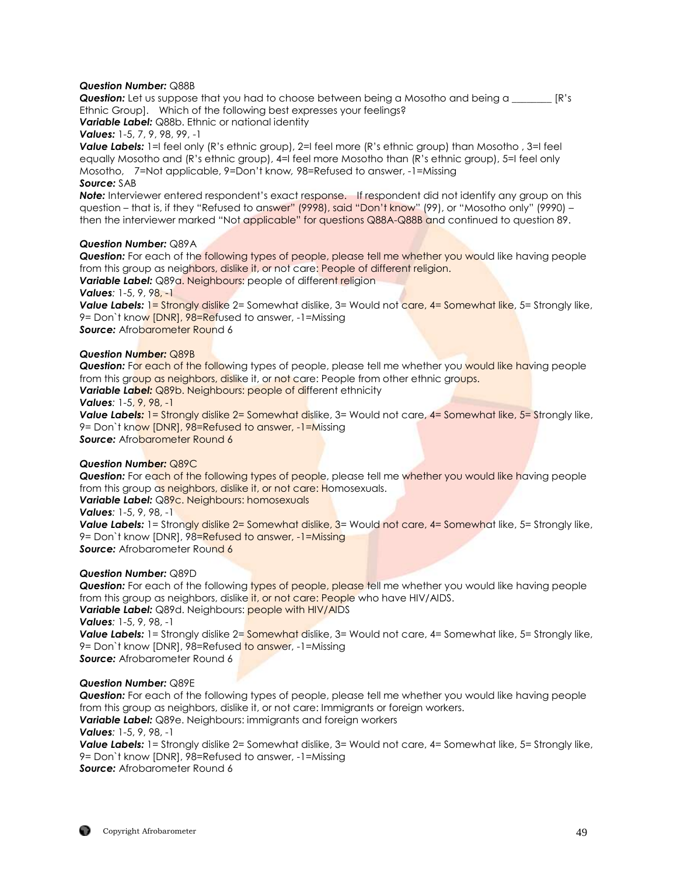#### *Question Number:* Q88B

*Question:* Let us suppose that you had to choose between being a Mosotho and being a \_\_\_\_\_\_\_ [R's Ethnic Group]. Which of the following best expresses your feelings?

*Variable Label:* Q88b. Ethnic or national identity

*Values:* 1-5, 7, 9, 98, 99, -1

*Value Labels:* 1=I feel only (R's ethnic group), 2=I feel more (R's ethnic group) than Mosotho , 3=I feel equally Mosotho and (R's ethnic group), 4=I feel more Mosotho than (R's ethnic group), 5=I feel only Mosotho, 7=Not applicable, 9=Don't know*,* 98=Refused to answer, -1=Missing *Source:* SAB

*Note:* Interviewer entered respondent's exact response. If respondent did not identify any group on this question – that is, if they "Refused to answer" (9998), said "Don't know" (99), or "Mosotho only" (9990) – then the interviewer marked "Not applicable" for questions Q88A-Q88B and continued to question 89.

## *Question Number:* Q89A

**Question:** For each of the following types of people, please tell me whether you would like having people from this group as neighbors, dislike it, or not care: People of different religion.

*Variable Label:* Q89a. Neighbours: people of different religion

*Values:* 1-5, 9, 98, -1

**Value Labels:** 1 = Strongly dislike 2 = Somewhat dislike, 3 = Would not care, 4 = Somewhat like, 5 = Strongly like, 9= Don`t know [DNR], 98=Refused to answer, -1=Missing

**Source:** Afrobarometer Round 6

## *Question Number:* Q89B

**Question:** For each of the following types of people, please tell me whether you would like having people from this group as neighbors, dislike it, or not care: People from other ethnic groups.

*Variable Label:* Q89b. Neighbours: people of different ethnicity

*Values:* 1-5, 9, 98, -1

**Value Labels:** 1= Strongly dislike 2= Somewhat dislike, 3= Would not care, 4= Somewhat like, 5= Strongly like, 9= Don`t know [DNR], 98=Refused to answer, -1=Missing **Source:** Afrobarometer Round 6

#### *Question Number:* Q89C

**Question:** For each of the following types of people, please tell me whether you would like having people from this group as neighbors, dislike it, or not care: Homosexuals.

*Variable Label:* Q89c. Neighbours: homosexuals

*Values:* 1-5, 9, 98, -1

**Value Labels:** 1= Strongly dislike 2= Somewhat dislike, 3= Would not care, 4= Somewhat like, 5= Strongly like, 9= Don`t know [DNR], 98=Refused to answer, -1=Missing **Source:** Afrobarometer Round 6

## *Question Number:* Q89D

**Question:** For each of the following types of people, please tell me whether you would like having people from this group as neighbors, dislike it, or not care: People who have HIV/AIDS. **Variable Label:** Q89d. Neighbours: people with HIV/AIDS *Values:* 1-5, 9, 98, -1 **Value Labels:** 1= Strongly dislike 2= **Somewhat** dislike, 3= Would not care, 4= Somewhat like, 5= Strongly like, 9= Don't know [DNR], 98=Refused to answer, -1=Missing *Source:* Afrobarometer Round 6

#### *Question Number:* Q89E

*Question:* For each of the following types of people, please tell me whether you would like having people from this group as neighbors, dislike it, or not care: Immigrants or foreign workers.

*Variable Label:* Q89e. Neighbours: immigrants and foreign workers

*Values:* 1-5, 9, 98, -1

**Value Labels:** 1= Strongly dislike 2= Somewhat dislike, 3= Would not care, 4= Somewhat like, 5= Strongly like, 9= Don`t know [DNR], 98=Refused to answer, -1=Missing

*Source:* Afrobarometer Round 6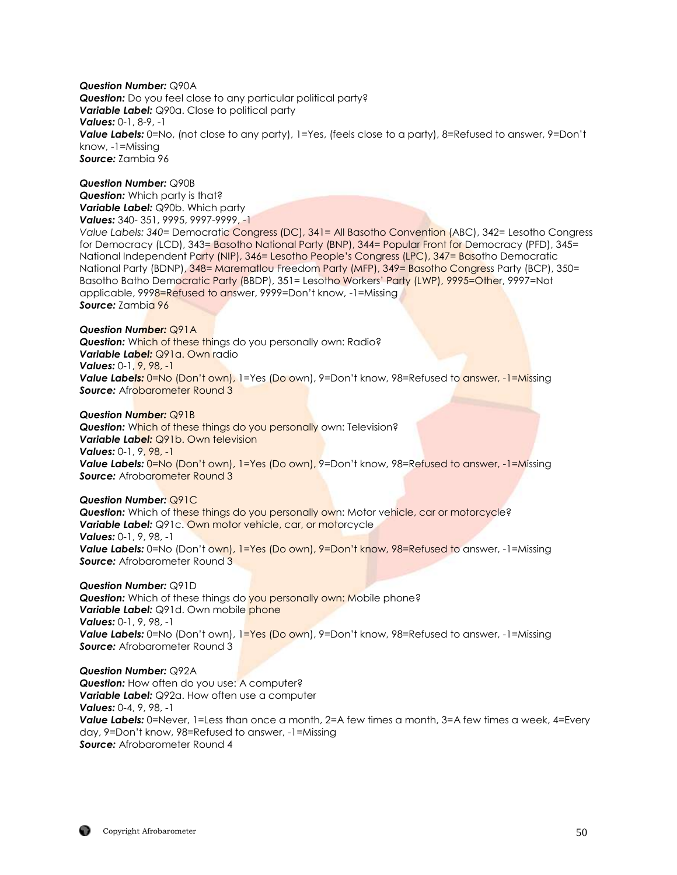#### *Question Number:* Q90A

*Question:* Do you feel close to any particular political party? *Variable Label:* Q90a. Close to political party *Values:* 0-1, 8-9, -1 *Value Labels:* 0=No, (not close to any party), 1=Yes, (feels close to a party), 8=Refused to answer, 9=Don't know, -1=Missing *Source:* Zambia 96

#### *Question Number:* Q90B *Question:* Which party is that?

*Variable Label:* Q90b. Which party *Values:* 340- 351, 9995, 9997-9999, -1

*Value Labels: 340=* Democratic Congress (DC), 341= All Basotho Convention (ABC), 342= Lesotho Congress for Democracy (LCD), 343= Basotho National Party (BNP), 344= Popular Front for Democracy (PFD), 345= National Independent Party (NIP), 346= Lesotho People's Congress (LPC), 347= Basotho Democratic National Party (BDNP), 348= Marematlou Freedom Party (MFP), 349= Basotho Congress Party (BCP), 350= Basotho Batho Democratic Party (BBDP), 351= Lesotho Workers' Party (LWP), 9995=Other, 9997=Not applicable, 9998=Refused to answer, 9999=Don't know, -1=Missing *Source:* Zambia 96

#### *Question Number:* Q91A

**Question:** Which of these things do you personally own: Radio? *Variable Label:* Q91a. Own radio *Values:* 0-1, 9, 98, -1 **Value Labels:** 0=No (Don't own), 1=Yes (Do own), 9=Don't know, 98=Refused to answer, -1=Missing *Source: Afrobarometer Round 3* 

## *Question Number:* Q91B

**Question:** Which of these things do you personally own: Television? *Variable Label:* Q91b. Own television *Values:* 0-1, 9, 98, -1 **Value Labels:** 0=No (Don't own), 1=Yes (Do own), 9=Don't know, 98=Refused to answer, -1=Missing **Source:** Afrobarometer Round 3

## *Question Number:* Q91C

**Question:** Which of these things do you personally own: Motor vehicle, car or motorcycle? **Variable Label:** Q91c. Own motor vehicle, car, or motorcycle *Values:* 0-1, 9, 98, -1 **Value Labels:** 0=No (Don't own), 1=Yes (Do own), 9=Don't know, 98=Refused to answer, -1=Missing **Source:** Afrobarometer Round 3

#### *Question Number:* Q91D

**Question:** Which of these things do you personally own: Mobile phone? *Variable Label: Q91d. Own mobile phone Values:* 0-1, 9, 98, -1 **Value Labels:** 0=No (Don't own), 1=Yes (Do own), 9=Don't know, 98=Refused to answer, -1=Missing *Source:* Afrobarometer Round 3

#### *Question Number:* Q92A

**Question:** How often do you use: A computer? *Variable Label:* Q92a. How often use a computer *Values:* 0-4, 9, 98, -1 **Value Labels:** 0=Never, 1=Less than once a month, 2=A few times a month, 3=A few times a week, 4=Every day, 9=Don't know, 98=Refused to answer, -1=Missing *Source:* Afrobarometer Round 4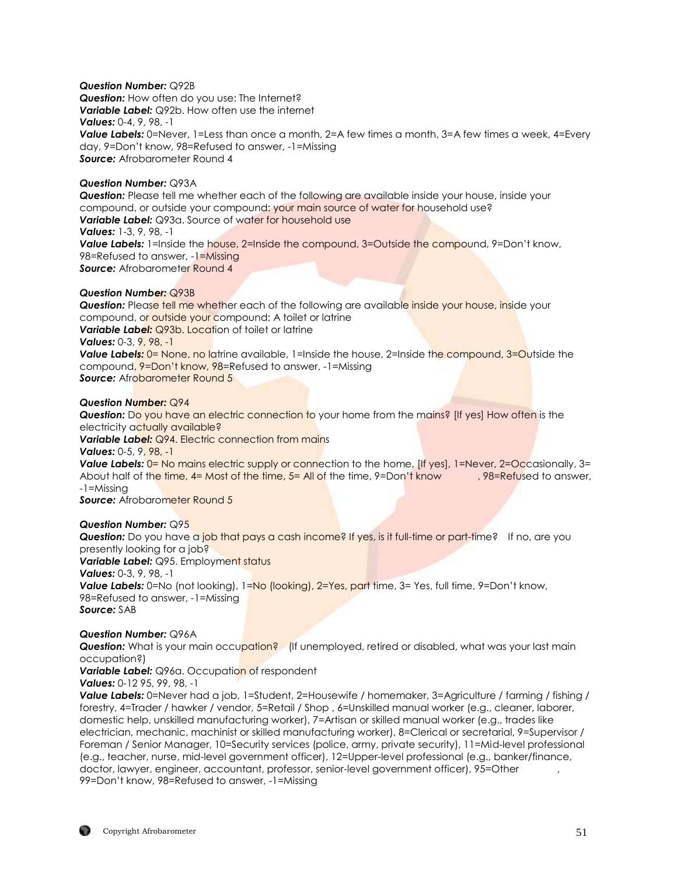## *Question Number:* Q92B

*Question:* How often do you use: The Internet? *Variable Label:* Q92b. How often use the internet *Values:* 0-4, 9, 98, -1 **Value Labels:** 0=Never, 1=Less than once a month, 2=A few times a month, 3=A few times a week, 4=Every day, 9=Don't know, 98=Refused to answer, -1=Missing *Source:* Afrobarometer Round 4

## *Question Number:* Q93A

*Question:* Please tell me whether each of the following are available inside your house, inside your compound, or outside your compound: your main source of water for household use? **Variable Label:** Q93a. Source of water for household use *Values:* 1-3, 9, 98, -1 **Value Labels:** 1=Inside the house, 2=Inside the compound, 3=Outside the compound, 9=Don't know, 98=Refused to answer, -1=Missing **Source:** Afrobarometer Round 4

## *Question Number:* Q93B

**Question:** Please tell me whether each of the following are available inside your house, inside your compound, or outside your compound: A toilet or latrine **Variable Label:** Q93b. Location of toilet or latrine *Values:* 0-3, 9, 98, -1 Value Labels: 0= None, no latrine available, 1=Inside the house, 2=Inside the compound, 3=Outside the compound, 9=Don't know, 98=Refused to answer, -1=Missing **Source:** Afrobarometer Round 5

## *Question Number:* Q94

**Question:** Do you have an electric connection to your home from the mains? [If yes] How often is the electricity actually available? **Variable Label:** Q94. Electric connection from mains *Values:* 0-5, 9, 98, -1

*Value Labels:*  $0=$  No mains electric supply or connection to the home, *[If yes], 1=Never, 2=Occasionally, 3=* About half of the time, 4= Most of the time, 5= All of the time, 9=Don't know , 98=Refused to answer, -1=Missing

**Source:** Afrobarometer Round 5

#### *Question Number:* Q95

**Question:** Do you have a job that pays a cash income? If yes, is it full-time or part-time? If no, are you presently looking for a job? *Variable Label: Q95. Employment status Values:* 0-3, 9, 98, -1 **Value Labels:** 0=No (not looking), 1=No (looking), 2=Yes, part time, 3= Yes, full time, 9=Don't know, 98=Refused to answer, -1=Missing *Source:* SAB

#### *Question Number:* Q96A

**Question:** What is your main occupation? (If unemployed, retired or disabled, what was your last main occupation?)

*Variable Label:* Q96a. Occupation of respondent *Values:* 0-12 95, 99, 98, -1

**Value Labels:** 0=Never had a job, 1=Student, 2=Housewife / homemaker, 3=Agriculture / farming / fishing / forestry, 4=Trader / hawker / vendor, 5=Retail / Shop , 6=Unskilled manual worker (e.g., cleaner, laborer, domestic help, unskilled manufacturing worker), 7=Artisan or skilled manual worker (e.g., trades like electrician, mechanic, machinist or skilled manufacturing worker), 8=Clerical or secretarial, 9=Supervisor / Foreman / Senior Manager, 10=Security services (police, army, private security), 11=Mid-level professional (e.g., teacher, nurse, mid-level government officer), 12=Upper-level professional (e.g., banker/finance, doctor, lawyer, engineer, accountant, professor, senior-level government officer), 95=Other 99=Don't know, 98=Refused to answer, -1=Missing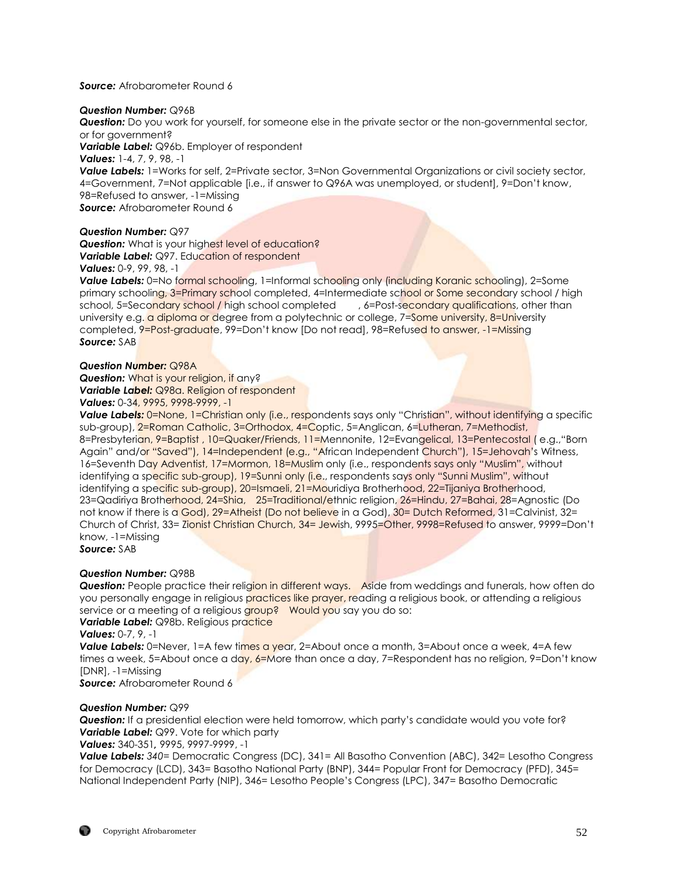### *Source:* Afrobarometer Round 6

#### *Question Number:* Q96B

*Question:* Do you work for yourself, for someone else in the private sector or the non-governmental sector, or for government?

*Variable Label:* Q96b. Employer of respondent

*Values:* 1-4, 7, 9, 98, -1

**Value Labels:** 1=Works for self, 2=Private sector, 3=Non Governmental Organizations or civil society sector, 4=Government, 7=Not applicable [i.e., if answer to Q96A was unemployed, or student], 9=Don't know, 98=Refused to answer, -1=Missing *Source:* Afrobarometer Round 6

## *Question Number:* Q97

**Question:** What is your highest level of education? **Variable Label:** Q97. Education of respondent

*Values:* 0-9, 99, 98, -1

**Value Labels:** 0=No formal schooling, 1=Informal schooling only (including Koranic schooling), 2=Some primary schooling, 3=Primary school completed, 4=Intermediate school or Some secondary school / high school, 5=Secondary school / high school completed , 6=Post-secondary qualifications, other than university e.g. a diploma or degree from a polytechnic or college, 7=Some university, 8=University completed, 9=Post-graduate, 99=Don't know [Do not read], 98=Refused to answer, -1=Missing *Source:* SAB

## *Question Number:* Q98A

**Question:** What is your religion, if any? *Variable Label:* Q98a. Religion of respondent *Values:* 0-34, 9995, 9998-9999, -1

**Value Labels:** 0=None, 1=Christian only (i.e., respondents says only "Christian", without identifying a specific sub-group), 2=Roman Catholic, 3=Orthodox, 4=Coptic, 5=Anglican, 6=Lutheran, 7=Methodist, 8=Presbyterian, 9=Baptist , 10=Quaker/Friends, 11=Mennonite, 12=Evangelical, 13=Pentecostal ( e.g.,"Born Again" and/or "Saved"), 14=Independent (e.g., "African Independent Church"), 15=Jehovah's Witness, 16=Seventh Day Adventist, 17=Mormon, 18=Muslim only (i.e., respondents says only "Muslim", without identifying a specific sub-group), 19=Sunni only (i.e., respondents says only "Sunni Muslim", without identifying a specific sub-group), 20=Ismaeli, 21=Mouridiya Brotherhood, 22=Tijaniya Brotherhood, 23=Qadiriya Brotherhood, 24=Shia, 25=Traditional/ethnic religion, 26=Hindu, 27=Bahai, 28=Agnostic (Do not know if there is a God), 29=Atheist (Do not believe in a God), 30= Dutch Reformed, 31=Calvinist, 32= Church of Christ, 33= Zionist Christian Church, 34= Jewish, 9995=Other, 9998=Refused to answer, 9999=Don't know, -1=Missing *Source:* SAB

## *Question Number:* Q98B

**Question:** People practice their religion in different ways. Aside from weddings and funerals, how often do you personally engage in religious practices like prayer, reading a religious book, or attending a religious service or a meeting of a religious group? Would you say you do so:

**Variable Label:** Q98b. Religious practice

*Values:* 0-7, 9, -1

**Value Labels:** 0=Never, 1=A few times a year, 2=About once a month, 3=About once a week, 4=A few times a week, 5=About once a day,  $6=$ More than once a day, 7=Respondent has no religion, 9=Don't know [DNR], -1=Missing

*Source:* Afrobarometer Round 6

## *Question Number:* Q99

*Question:* If a presidential election were held tomorrow, which party's candidate would you vote for? **Variable Label:** Q99. Vote for which party

#### *Values:* 340-351*,* 9995, 9997-9999, -1

*Value Labels: 340=* Democratic Congress (DC), 341= All Basotho Convention (ABC), 342= Lesotho Congress for Democracy (LCD), 343= Basotho National Party (BNP), 344= Popular Front for Democracy (PFD), 345= National Independent Party (NIP), 346= Lesotho People's Congress (LPC), 347= Basotho Democratic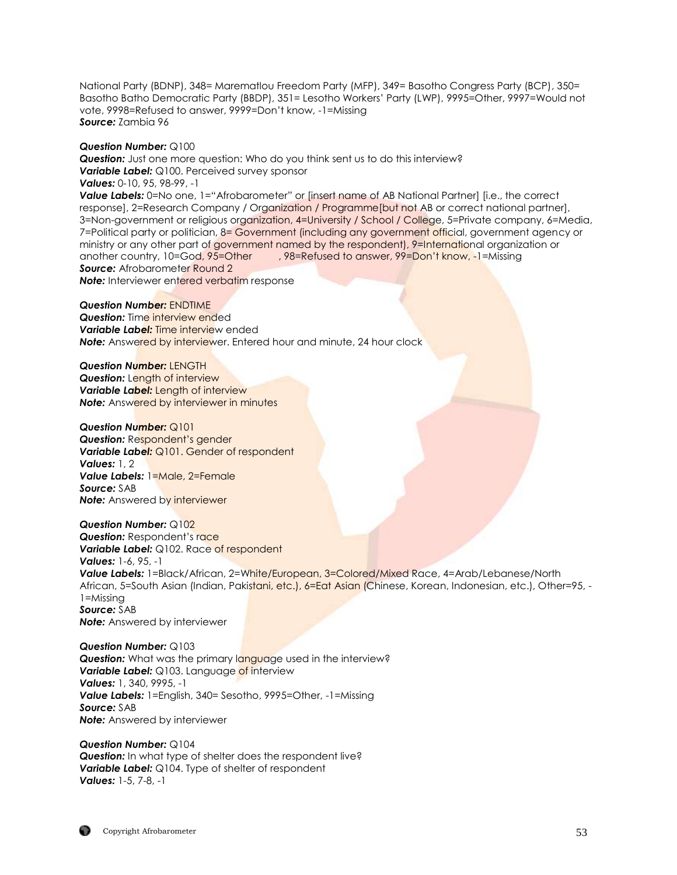National Party (BDNP), 348= Marematlou Freedom Party (MFP), 349= Basotho Congress Party (BCP), 350= Basotho Batho Democratic Party (BBDP), 351= Lesotho Workers' Party (LWP), 9995=Other, 9997=Would not vote, 9998=Refused to answer, 9999=Don't know, -1=Missing *Source:* Zambia 96

#### *Question Number:* Q100

*Question:* Just one more question: Who do you think sent us to do this interview? *Variable Label:* Q100. Perceived survey sponsor *Values:* 0-10, 95, 98-99, -1 **Value Labels:** 0=No one, 1="Afrobarometer" or [insert name of AB National Partner] [i.e., the correct responsel, 2=Research Company / Organization / Programme[but not AB or correct national partner], 3=Non-government or religious organization, 4=University / School / College, 5=Private company, 6=Media, 7=Political party or politician, 8= Government (including any government official, government agency or ministry or any other part of government named by the respondent), 9=International organization or another country, 10=God, 95=Other , 98=Refused to answer, 99=Don't know, -1=Missing **Source:** Afrobarometer Round 2 *Note:* Interviewer entered verbatim response

#### *Question Number:* ENDTIME

**Question:** Time interview ended *Variable Label:* Time interview ended **Note:** Answered by interviewer. Entered hour and minute, 24 hour clock

*Question Number:* LENGTH *Question:* Length of interview *Variable Label:* Length of interview **Note:** Answered by interviewer in minutes

#### *Question Number:* Q101 *Question:* Respondent's gender *Variable Label:* Q101. Gender of respondent

*Values:* 1, 2 *Value Labels:* 1=Male, 2=Female *Source:* SAB **Note:** Answered by interviewer

#### *Question Number:* Q102

**Question:** Respondent's race *Variable Label: Q102. Race of respondent Values:* 1-6, 95, -1 *Value Labels:* 1=Black/African, 2=White/European, 3=Colored/Mixed Race, 4=Arab/Lebanese/North African, 5=South Asian (Indian, Pakistani, etc.), 6=Eat Asian (Chinese, Korean, Indonesian, etc.), Other=95, -1=Missing *Source:* SAB *Note:* Answered by interviewer

*Question Number:* Q103 **Question:** What was the primary language used in the interview? **Variable Label:** Q103. Language of interview *Values:* 1, 340, 9995, -1 *Value Labels:* 1=English, 340= Sesotho, 9995=Other, -1=Missing *Source:* SAB *Note:* Answered by interviewer

*Question Number:* Q104 **Question:** In what type of shelter does the respondent live? *Variable Label:* Q104. Type of shelter of respondent *Values:* 1-5, 7-8, -1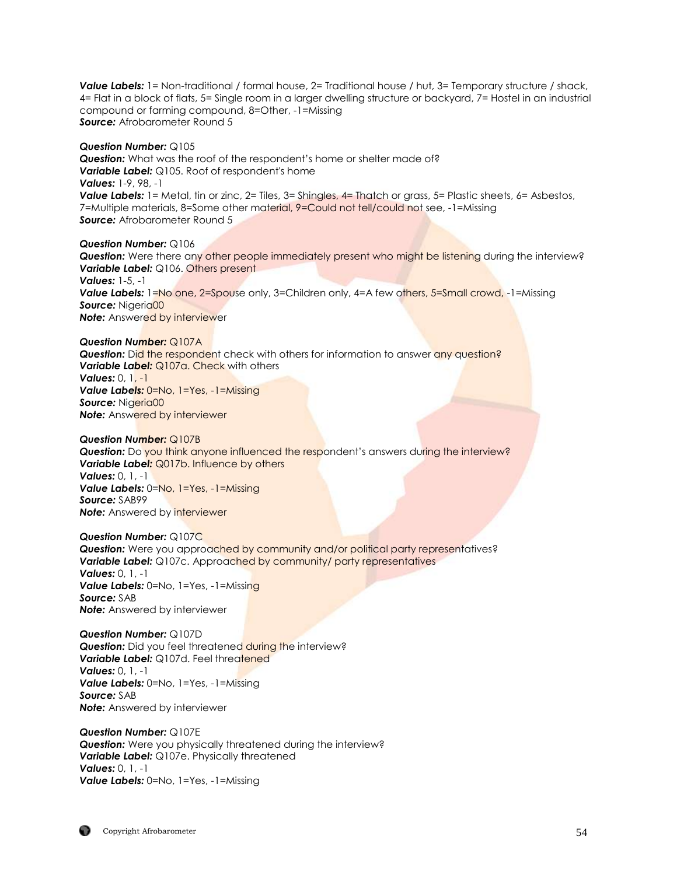**Value Labels:** 1= Non-traditional / formal house, 2= Traditional house / hut, 3= Temporary structure / shack, 4= Flat in a block of flats, 5= Single room in a larger dwelling structure or backyard, 7= Hostel in an industrial compound or farming compound, 8=Other, -1=Missing *Source:* Afrobarometer Round 5

#### *Question Number:* Q105

*Question:* What was the roof of the respondent's home or shelter made of? **Variable Label:** Q105. Roof of respondent's home *Values:* 1-9, 98, -1 *Value Labels:* 1= Metal, tin or zinc, 2= Tiles, 3= Shingles, 4= Thatch or grass, 5= Plastic sheets, 6= Asbestos, 7=Multiple materials, 8=Some other material, 9=Could not tell/could not see, -1=Missing *Source:* Afrobarometer Round 5

*Question Number:* Q106 *Question:* Were there any other people immediately present who might be listening during the interview? **Variable Label:** Q106. Others present *Values:* 1-5, -1 **Value Labels:** 1=No one, 2=Spouse only, 3=Children only, 4=A few others, 5=Small crowd, -1=Missing Source: Nigeria00 **Note:** Answered by interviewer

*Question Number:* Q107A

**Question:** Did the respondent check with others for information to answer any question? *Variable Label: Q107a. Check with others Values:* 0, 1, -1 *Value Labels:* 0=No, 1=Yes, -1=Missing Source: Nigeria00 **Note:** Answered by interviewer

*Question Number:* Q107B **Question:** Do you think anyone influenced the respondent's answers during the interview? *Variable Label: Q017b. Influence by others Values:* 0, 1, -1 *Value Labels:* 0=No, 1=Yes, -1=Missing *Source:* SAB99 **Note:** Answered by interviewer

*Question Number:* Q107C **Question:** Were you approached by community and/or political party representatives? **Variable Label:** Q107c. Approached by community/ party representatives *Values:* 0, 1, -1 *Value Labels:* 0=No, 1=Yes, -1=Missing *Source:* SAB *Note:* Answered by interviewer

*Question Number:* Q107D **Question:** Did you feel threatened during the interview? **Variable Label:** Q107d. Feel threatened *Values:* 0, 1, -1 *Value Labels:* 0=No, 1=Yes, -1=Missing *Source:* SAB *Note:* Answered by interviewer

*Question Number:* Q107E *Question:* Were you physically threatened during the interview? *Variable Label:* Q107e. Physically threatened *Values:* 0, 1, -1 *Value Labels:* 0=No, 1=Yes, -1=Missing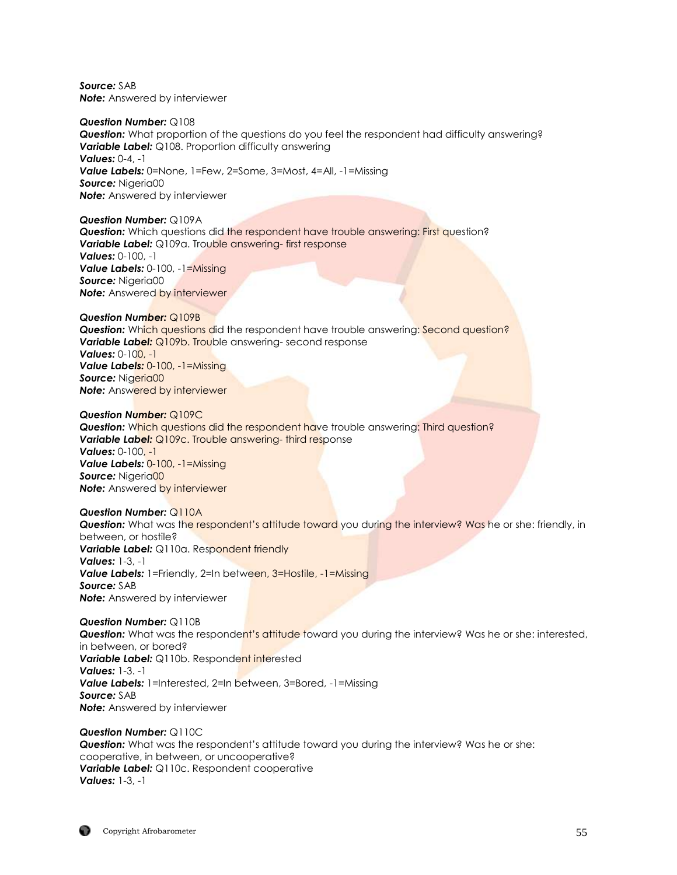*Source:* SAB *Note:* Answered by interviewer

*Question Number:* Q108 *Question:* What proportion of the questions do you feel the respondent had difficulty answering? **Variable Label:** Q108. Proportion difficulty answering *Values:* 0-4, -1 *Value Labels:* 0=None, 1=Few, 2=Some, 3=Most, 4=All, -1=Missing *Source:* Nigeria00 *Note:* Answered by interviewer

*Question Number:* Q109A **Question:** Which questions did the respondent have trouble answering: First question? **Variable Label:** Q109a. Trouble answering- first response *Values:* 0-100, -1 *Value Labels:* 0-100, -1=Missing *Source:* Nigeria00 **Note:** Answered by interviewer

*Question Number:* Q109B **Question:** Which questions did the respondent have trouble answering: Second question? **Variable Label:** Q109b. Trouble answering-second response *Values:* 0-100, -1 *Value Labels:* 0-100, -1=Missing Source: Nigeria00 **Note:** Answered by interviewer

*Question Number:* Q109C *Question:* Which questions did the respondent have trouble answering: Third question? **Variable Label:** Q109c. Trouble answering- third response *Values:* 0-100, -1 *Value Labels:* 0-100, -1=Missing Source: Nigeria00 **Note:** Answered by interviewer

*Question Number:* Q110A *Question:* What was the respondent's attitude toward you during the interview? Was he or she: friendly, in between, or hostile? **Variable Label:** Q110a. Respondent friendly *Values:* 1-3, -1 *Value Labels:* 1=Friendly, 2=In between, 3=Hostile, -1=Missing *Source:* SAB *Note:* Answered by interviewer

*Question Number:* Q110B **Question:** What was the respondent's attitude toward you during the interview? Was he or she: interested, in between, or bored? *Variable Label:* Q110b. Respondent interested *Values:* 1-3. -1 **Value Labels:** 1=Interested, 2=In between, 3=Bored, -1=Missing *Source:* SAB *Note:* Answered by interviewer

*Question Number:* Q110C *Question:* What was the respondent's attitude toward you during the interview? Was he or she: cooperative, in between, or uncooperative? *Variable Label:* Q110c. Respondent cooperative *Values:* 1-3, -1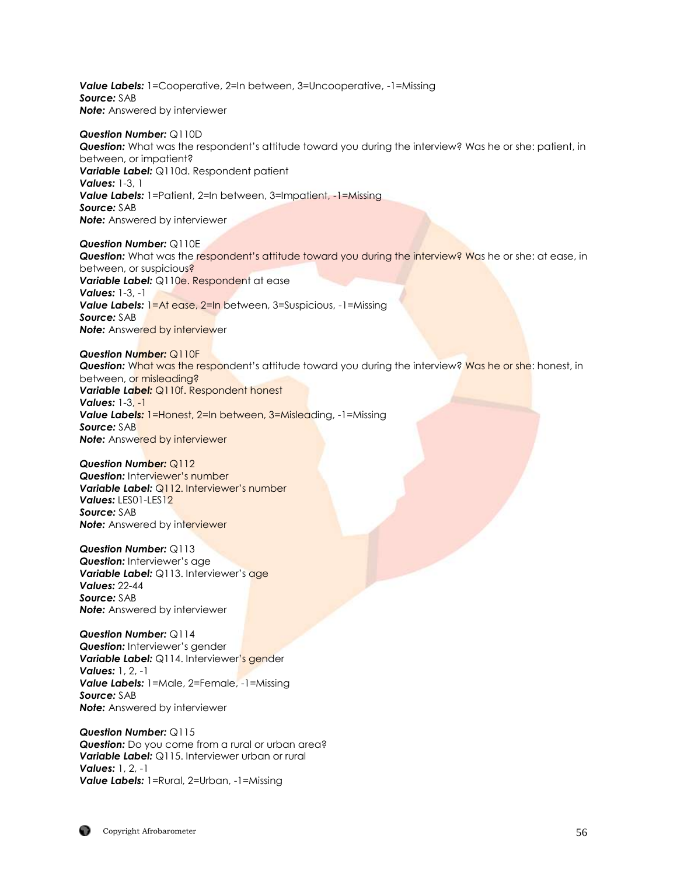**Value Labels:** 1=Cooperative, 2=In between, 3=Uncooperative, -1=Missing *Source:* SAB **Note:** Answered by interviewer

#### *Question Number:* Q110D *Question:* What was the respondent's attitude toward you during the interview? Was he or she: patient, in between, or impatient? *Variable Label:* Q110d. Respondent patient *Values:* 1-3, 1 **Value Labels:** 1=Patient, 2=In between, 3=Impatient, -1=Missing *Source:* SAB *Note:* Answered by interviewer

*Question Number:* Q110E **Question:** What was the respondent's attitude toward you during the interview? Was he or she: at ease, in between, or suspicious? *Variable Label:* Q110e. Respondent at ease *Values:* 1-3, -1 **Value Labels:** 1=At ease, 2=In between, 3=Suspicious, -1=Missing *Source:* SAB **Note:** Answered by interviewer

*Question Number:* Q110F **Question:** What was the respondent's attitude toward you during the interview? Was he or she: honest, in between, or misleading? *Variable Label:* Q110f. Respondent honest *Values:* 1-3, -1 **Value Labels:** 1=Honest, 2=In between, 3=Misleading, -1=Missing *Source:* SAB **Note:** Answered by interviewer

*Question Number:* Q112 **Question:** Interviewer's number **Variable Label:** Q112. Interviewer's number *Values:* LES01-LES12 *Source:* SAB **Note:** Answered by interviewer

*Question Number:* Q113 *Question:* Interviewer's age *Variable Label: Q113. Interviewer's age Values:* 22-44 *Source:* SAB *Note:* Answered by interviewer

*Question Number:* Q114 *Question:* Interviewer's gender **Variable Label:** Q114. Interviewer's gender *Values:* 1, 2, -1 *Value Labels:* 1=Male, 2=Female, -1=Missing *Source:* SAB *Note:* Answered by interviewer

*Question Number:* Q115 **Question:** Do you come from a rural or urban area? **Variable Label:** Q115. Interviewer urban or rural *Values:* 1, 2, -1 *Value Labels:* 1=Rural, 2=Urban, -1=Missing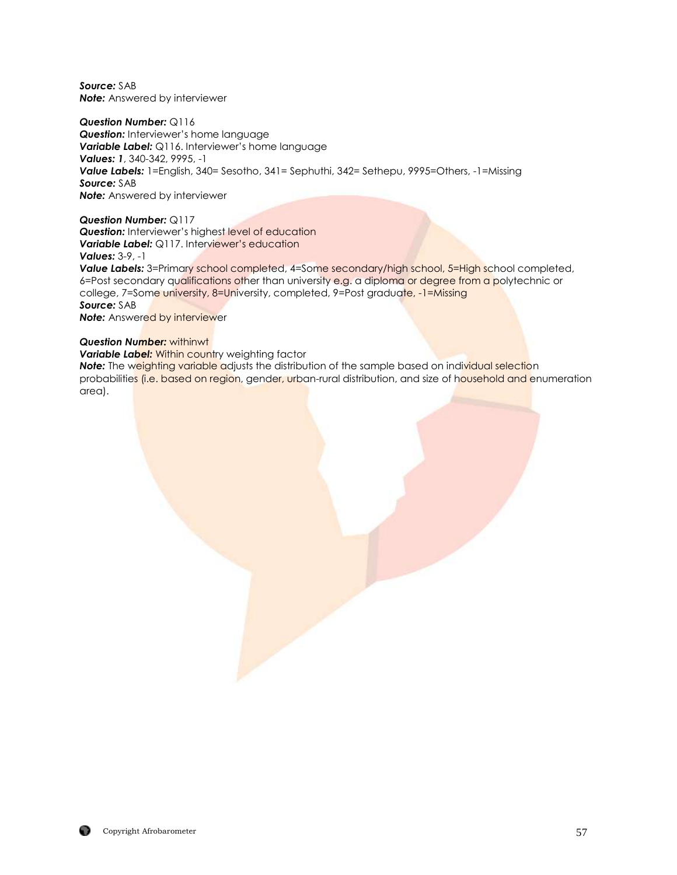*Source:* SAB *Note:* Answered by interviewer

*Question Number:* Q116

**Question:** Interviewer's home language *Variable Label:* Q116. Interviewer's home language *Values: 1*, 340-342, 9995, -1 *Value Labels:* 1=English, 340= Sesotho, 341= Sephuthi, 342= Sethepu, 9995=Others, -1=Missing *Source:* SAB *Note:* Answered by interviewer

*Question Number:* Q117 **Question:** Interviewer's highest level of education *Variable Label: Q117. Interviewer's education Values:* 3-9, -1

Value Labels: 3=Primary school completed, 4=Some secondary/high school, 5=High school completed, 6=Post secondary qualifications other than university e.g. a diploma or degree from a polytechnic or college, 7=Some university, 8=University, completed, 9=Post graduate, -1=Missing *Source:* SAB **Note:** Answered by interviewer

#### *Question Number:* withinwt

**Variable Label:** Within country weighting factor

**Note:** The weighting variable adjusts the distribution of the sample based on individual selection probabilities (i.e. based on region, gender, urban-rural distribution, and size of household and enumeration area).